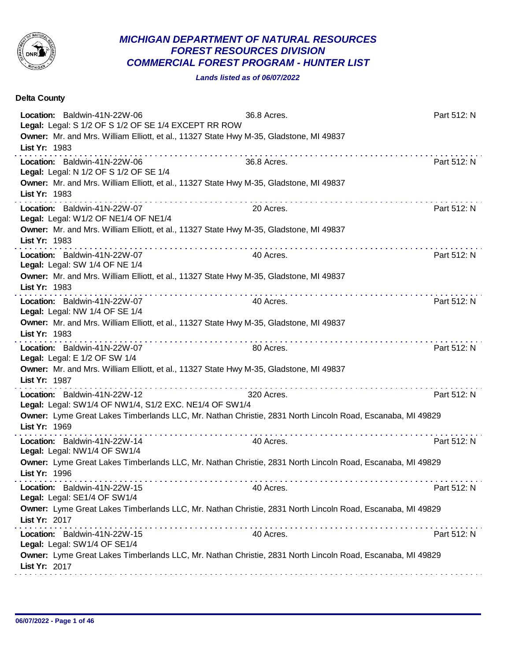

## *MICHIGAN DEPARTMENT OF NATURAL RESOURCES FOREST RESOURCES DIVISION COMMERCIAL FOREST PROGRAM - HUNTER LIST*

## *Lands listed as of 06/07/2022*

| <b>Delta County</b>                                                                                                                                                                                                  |             |             |
|----------------------------------------------------------------------------------------------------------------------------------------------------------------------------------------------------------------------|-------------|-------------|
| Location: Baldwin-41N-22W-06<br>Legal: Legal: S 1/2 OF S 1/2 OF SE 1/4 EXCEPT RR ROW<br>Owner: Mr. and Mrs. William Elliott, et al., 11327 State Hwy M-35, Gladstone, MI 49837<br>List Yr: 1983                      | 36.8 Acres. | Part 512: N |
| Location: Baldwin-41N-22W-06<br>Legal: Legal: N 1/2 OF S 1/2 OF SE 1/4<br>Owner: Mr. and Mrs. William Elliott, et al., 11327 State Hwy M-35, Gladstone, MI 49837<br>List Yr: 1983                                    | 36.8 Acres. | Part 512: N |
| Location: Baldwin-41N-22W-07<br>Legal: Legal: W1/2 OF NE1/4 OF NE1/4<br>Owner: Mr. and Mrs. William Elliott, et al., 11327 State Hwy M-35, Gladstone, MI 49837<br>List Yr: 1983                                      | 20 Acres.   | Part 512: N |
| Location: Baldwin-41N-22W-07<br>Legal: Legal: SW 1/4 OF NE 1/4<br>Owner: Mr. and Mrs. William Elliott, et al., 11327 State Hwy M-35, Gladstone, MI 49837<br>List Yr: 1983                                            | 40 Acres.   | Part 512: N |
| Location: Baldwin-41N-22W-07<br>Legal: Legal: NW 1/4 OF SE 1/4<br>Owner: Mr. and Mrs. William Elliott, et al., 11327 State Hwy M-35, Gladstone, MI 49837<br>List Yr: 1983                                            | 40 Acres.   | Part 512: N |
| Location: Baldwin-41N-22W-07<br>Legal: Legal: E 1/2 OF SW 1/4<br>Owner: Mr. and Mrs. William Elliott, et al., 11327 State Hwy M-35, Gladstone, MI 49837<br>List Yr: 1987                                             | 80 Acres.   | Part 512: N |
| Location: Baldwin-41N-22W-12<br>Legal: Legal: SW1/4 OF NW1/4, S1/2 EXC. NE1/4 OF SW1/4<br>Owner: Lyme Great Lakes Timberlands LLC, Mr. Nathan Christie, 2831 North Lincoln Road, Escanaba, MI 49829<br>List Yr: 1969 | 320 Acres.  | Part 512: N |
| Location: Baldwin-41N-22W-14<br>Legal: Legal: NW1/4 OF SW1/4<br>Owner: Lyme Great Lakes Timberlands LLC, Mr. Nathan Christie, 2831 North Lincoln Road, Escanaba, MI 49829<br>List Yr: 1996                           | 40 Acres.   | Part 512: N |
| Location: Baldwin-41N-22W-15<br>Legal: Legal: SE1/4 OF SW1/4<br>Owner: Lyme Great Lakes Timberlands LLC, Mr. Nathan Christie, 2831 North Lincoln Road, Escanaba, MI 49829<br>List Yr: 2017                           | 40 Acres.   | Part 512: N |
| Location: Baldwin-41N-22W-15<br>Legal: Legal: SW1/4 OF SE1/4<br>Owner: Lyme Great Lakes Timberlands LLC, Mr. Nathan Christie, 2831 North Lincoln Road, Escanaba, MI 49829<br>List Yr: 2017                           | 40 Acres.   | Part 512: N |
|                                                                                                                                                                                                                      |             |             |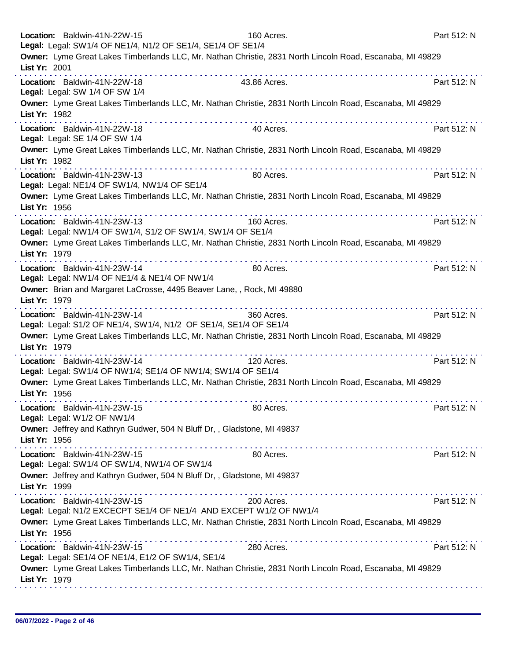| Location: Baldwin-41N-22W-15<br>Legal: Legal: SW1/4 OF NE1/4, N1/2 OF SE1/4, SE1/4 OF SE1/4                                | 160 Acres.   | Part 512: N |
|----------------------------------------------------------------------------------------------------------------------------|--------------|-------------|
| Owner: Lyme Great Lakes Timberlands LLC, Mr. Nathan Christie, 2831 North Lincoln Road, Escanaba, MI 49829<br>List Yr: 2001 |              |             |
| Location: Baldwin-41N-22W-18<br>Legal: Legal: SW 1/4 OF SW 1/4                                                             | 43.86 Acres. | Part 512: N |
| Owner: Lyme Great Lakes Timberlands LLC, Mr. Nathan Christie, 2831 North Lincoln Road, Escanaba, MI 49829<br>List Yr: 1982 |              |             |
| Location: Baldwin-41N-22W-18<br>Legal: Legal: SE 1/4 OF SW 1/4                                                             | 40 Acres.    | Part 512: N |
| Owner: Lyme Great Lakes Timberlands LLC, Mr. Nathan Christie, 2831 North Lincoln Road, Escanaba, MI 49829<br>List Yr: 1982 |              |             |
| Location: Baldwin-41N-23W-13<br>Legal: Legal: NE1/4 OF SW1/4, NW1/4 OF SE1/4                                               | 80 Acres.    | Part 512: N |
| Owner: Lyme Great Lakes Timberlands LLC, Mr. Nathan Christie, 2831 North Lincoln Road, Escanaba, MI 49829<br>List Yr: 1956 |              |             |
| Location: Baldwin-41N-23W-13<br>Legal: Legal: NW1/4 OF SW1/4, S1/2 OF SW1/4, SW1/4 OF SE1/4                                | 160 Acres.   | Part 512: N |
| Owner: Lyme Great Lakes Timberlands LLC, Mr. Nathan Christie, 2831 North Lincoln Road, Escanaba, MI 49829<br>List Yr: 1979 |              |             |
| Location: Baldwin-41N-23W-14<br>Legal: Legal: NW1/4 OF NE1/4 & NE1/4 OF NW1/4                                              | 80 Acres.    | Part 512: N |
| Owner: Brian and Margaret LaCrosse, 4495 Beaver Lane, , Rock, MI 49880<br>List Yr: 1979                                    |              |             |
| Location: Baldwin-41N-23W-14<br>Legal: Legal: S1/2 OF NE1/4, SW1/4, N1/2 OF SE1/4, SE1/4 OF SE1/4                          | 360 Acres.   | Part 512: N |
| Owner: Lyme Great Lakes Timberlands LLC, Mr. Nathan Christie, 2831 North Lincoln Road, Escanaba, MI 49829<br>List Yr: 1979 |              |             |
| Location: Baldwin-41N-23W-14<br>Legal: Legal: SW1/4 OF NW1/4; SE1/4 OF NW1/4; SW1/4 OF SE1/4                               | 120 Acres.   | Part 512: N |
| Owner: Lyme Great Lakes Timberlands LLC, Mr. Nathan Christie, 2831 North Lincoln Road, Escanaba, MI 49829<br>List Yr: 1956 |              |             |
| Location: Baldwin-41N-23W-15<br>Legal: Legal: W1/2 OF NW1/4                                                                | 80 Acres.    | Part 512: N |
| Owner: Jeffrey and Kathryn Gudwer, 504 N Bluff Dr,, Gladstone, MI 49837<br>List Yr: 1956                                   |              |             |
| Location: Baldwin-41N-23W-15<br>Legal: Legal: SW1/4 OF SW1/4, NW1/4 OF SW1/4                                               | 80 Acres.    | Part 512: N |
| Owner: Jeffrey and Kathryn Gudwer, 504 N Bluff Dr,, Gladstone, MI 49837<br>List Yr: 1999                                   |              |             |
| Location: Baldwin-41N-23W-15<br>Legal: Legal: N1/2 EXCECPT SE1/4 OF NE1/4 AND EXCEPT W1/2 OF NW1/4                         | 200 Acres.   | Part 512: N |
| Owner: Lyme Great Lakes Timberlands LLC, Mr. Nathan Christie, 2831 North Lincoln Road, Escanaba, MI 49829<br>List Yr: 1956 |              |             |
| Location: Baldwin-41N-23W-15<br>Legal: Legal: SE1/4 OF NE1/4, E1/2 OF SW1/4, SE1/4                                         | 280 Acres.   | Part 512: N |
| Owner: Lyme Great Lakes Timberlands LLC, Mr. Nathan Christie, 2831 North Lincoln Road, Escanaba, MI 49829<br>List Yr: 1979 |              |             |
|                                                                                                                            |              |             |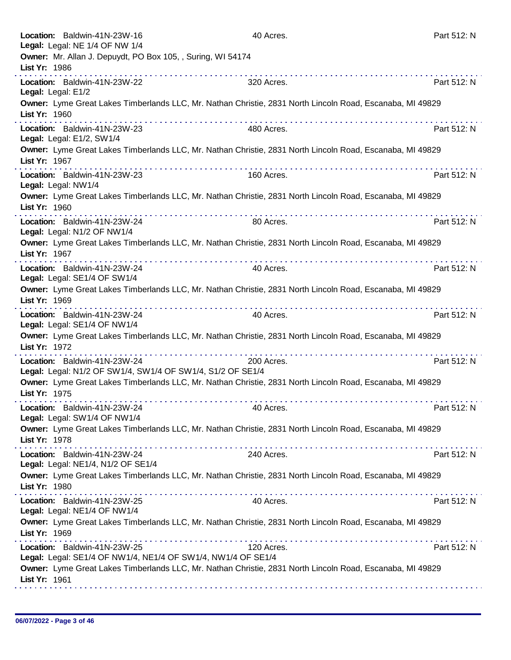|               | Location: Baldwin-41N-23W-16                                                                  | 40 Acres.                                                                                                                                                                                                                                                                                                                                                                                                                                                                 |                                                                                                           | Part 512: N |
|---------------|-----------------------------------------------------------------------------------------------|---------------------------------------------------------------------------------------------------------------------------------------------------------------------------------------------------------------------------------------------------------------------------------------------------------------------------------------------------------------------------------------------------------------------------------------------------------------------------|-----------------------------------------------------------------------------------------------------------|-------------|
|               | Legal: Legal: NE 1/4 OF NW 1/4<br>Owner: Mr. Allan J. Depuydt, PO Box 105, , Suring, WI 54174 |                                                                                                                                                                                                                                                                                                                                                                                                                                                                           |                                                                                                           |             |
| List Yr: 1986 |                                                                                               |                                                                                                                                                                                                                                                                                                                                                                                                                                                                           |                                                                                                           |             |
|               | Location: Baldwin-41N-23W-22<br>Legal: Legal: E1/2                                            | 320 Acres.                                                                                                                                                                                                                                                                                                                                                                                                                                                                |                                                                                                           | Part 512: N |
| List Yr: 1960 |                                                                                               |                                                                                                                                                                                                                                                                                                                                                                                                                                                                           | Owner: Lyme Great Lakes Timberlands LLC, Mr. Nathan Christie, 2831 North Lincoln Road, Escanaba, MI 49829 |             |
|               | Location: Baldwin-41N-23W-23<br>Legal: Legal: E1/2, SW1/4                                     | 480 Acres.                                                                                                                                                                                                                                                                                                                                                                                                                                                                |                                                                                                           | Part 512: N |
| List Yr: 1967 |                                                                                               |                                                                                                                                                                                                                                                                                                                                                                                                                                                                           | Owner: Lyme Great Lakes Timberlands LLC, Mr. Nathan Christie, 2831 North Lincoln Road, Escanaba, MI 49829 |             |
|               | Location: Baldwin-41N-23W-23<br>Legal: Legal: NW1/4                                           | 160 Acres.                                                                                                                                                                                                                                                                                                                                                                                                                                                                |                                                                                                           | Part 512: N |
| List Yr: 1960 |                                                                                               |                                                                                                                                                                                                                                                                                                                                                                                                                                                                           | Owner: Lyme Great Lakes Timberlands LLC, Mr. Nathan Christie, 2831 North Lincoln Road, Escanaba, MI 49829 |             |
|               | Location: Baldwin-41N-23W-24<br>Legal: Legal: N1/2 OF NW1/4                                   | 80 Acres.                                                                                                                                                                                                                                                                                                                                                                                                                                                                 |                                                                                                           | Part 512: N |
| List Yr: 1967 |                                                                                               |                                                                                                                                                                                                                                                                                                                                                                                                                                                                           | Owner: Lyme Great Lakes Timberlands LLC, Mr. Nathan Christie, 2831 North Lincoln Road, Escanaba, MI 49829 |             |
|               | Location: Baldwin-41N-23W-24<br>Legal: Legal: SE1/4 OF SW1/4                                  | 40 Acres.                                                                                                                                                                                                                                                                                                                                                                                                                                                                 |                                                                                                           | Part 512: N |
| List Yr: 1969 |                                                                                               |                                                                                                                                                                                                                                                                                                                                                                                                                                                                           | Owner: Lyme Great Lakes Timberlands LLC, Mr. Nathan Christie, 2831 North Lincoln Road, Escanaba, MI 49829 |             |
|               | Location: Baldwin-41N-23W-24<br>Legal: Legal: SE1/4 OF NW1/4                                  | 40 Acres.                                                                                                                                                                                                                                                                                                                                                                                                                                                                 |                                                                                                           | Part 512: N |
| List Yr: 1972 |                                                                                               |                                                                                                                                                                                                                                                                                                                                                                                                                                                                           | Owner: Lyme Great Lakes Timberlands LLC, Mr. Nathan Christie, 2831 North Lincoln Road, Escanaba, MI 49829 |             |
|               | Location: Baldwin-41N-23W-24<br>Legal: Legal: N1/2 OF SW1/4, SW1/4 OF SW1/4, S1/2 OF SE1/4    | 200 Acres.                                                                                                                                                                                                                                                                                                                                                                                                                                                                |                                                                                                           | Part 512: N |
| List Yr: 1975 |                                                                                               |                                                                                                                                                                                                                                                                                                                                                                                                                                                                           | Owner: Lyme Great Lakes Timberlands LLC, Mr. Nathan Christie, 2831 North Lincoln Road, Escanaba, MI 49829 |             |
|               | Location: Baldwin-41N-23W-24<br>Legal: Legal: SW1/4 OF NW1/4                                  | 40 Acres.                                                                                                                                                                                                                                                                                                                                                                                                                                                                 |                                                                                                           | Part 512: N |
| List Yr: 1978 |                                                                                               |                                                                                                                                                                                                                                                                                                                                                                                                                                                                           | Owner: Lyme Great Lakes Timberlands LLC, Mr. Nathan Christie, 2831 North Lincoln Road, Escanaba, MI 49829 |             |
|               | Location: Baldwin-41N-23W-24<br>Legal: Legal: NE1/4, N1/2 OF SE1/4                            | 240 Acres.                                                                                                                                                                                                                                                                                                                                                                                                                                                                |                                                                                                           | Part 512: N |
| List Yr: 1980 |                                                                                               |                                                                                                                                                                                                                                                                                                                                                                                                                                                                           | Owner: Lyme Great Lakes Timberlands LLC, Mr. Nathan Christie, 2831 North Lincoln Road, Escanaba, MI 49829 |             |
|               | Location: Baldwin-41N-23W-25<br>Legal: Legal: NE1/4 OF NW1/4                                  | $\mathcal{L}^{\mathcal{A}}(\mathcal{A},\mathcal{A},\mathcal{A},\mathcal{A},\mathcal{A},\mathcal{A},\mathcal{A},\mathcal{A},\mathcal{A},\mathcal{A},\mathcal{A},\mathcal{A},\mathcal{A},\mathcal{A},\mathcal{A},\mathcal{A},\mathcal{A},\mathcal{A},\mathcal{A},\mathcal{A},\mathcal{A},\mathcal{A},\mathcal{A},\mathcal{A},\mathcal{A},\mathcal{A},\mathcal{A},\mathcal{A},\mathcal{A},\mathcal{A},\mathcal{A},\mathcal{A},\mathcal{A},\mathcal{A},\mathcal$<br>40 Acres. |                                                                                                           | Part 512: N |
| List Yr: 1969 |                                                                                               |                                                                                                                                                                                                                                                                                                                                                                                                                                                                           | Owner: Lyme Great Lakes Timberlands LLC, Mr. Nathan Christie, 2831 North Lincoln Road, Escanaba, MI 49829 |             |
|               | Location: Baldwin-41N-23W-25<br>Legal: Legal: SE1/4 OF NW1/4, NE1/4 OF SW1/4, NW1/4 OF SE1/4  | 120 Acres.                                                                                                                                                                                                                                                                                                                                                                                                                                                                |                                                                                                           | Part 512: N |
| List Yr: 1961 |                                                                                               |                                                                                                                                                                                                                                                                                                                                                                                                                                                                           | Owner: Lyme Great Lakes Timberlands LLC, Mr. Nathan Christie, 2831 North Lincoln Road, Escanaba, MI 49829 |             |
|               |                                                                                               |                                                                                                                                                                                                                                                                                                                                                                                                                                                                           |                                                                                                           |             |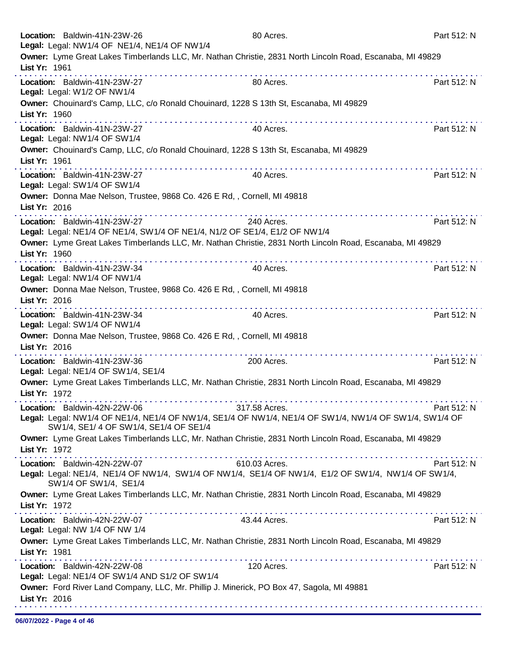| Location: Baldwin-41N-23W-26<br>Legal: Legal: NW1/4 OF NE1/4, NE1/4 OF NW1/4                               | 80 Acres.                                                                                                               | Part 512: N |
|------------------------------------------------------------------------------------------------------------|-------------------------------------------------------------------------------------------------------------------------|-------------|
| List Yr: 1961                                                                                              | Owner: Lyme Great Lakes Timberlands LLC, Mr. Nathan Christie, 2831 North Lincoln Road, Escanaba, MI 49829               |             |
| Location: Baldwin-41N-23W-27<br>Legal: Legal: W1/2 OF NW1/4                                                | 80 Acres.                                                                                                               | Part 512: N |
| List Yr: 1960                                                                                              | Owner: Chouinard's Camp, LLC, c/o Ronald Chouinard, 1228 S 13th St, Escanaba, MI 49829                                  |             |
| Location: Baldwin-41N-23W-27<br>Legal: Legal: NW1/4 OF SW1/4                                               | 40 Acres.                                                                                                               | Part 512: N |
| List Yr: 1961                                                                                              | Owner: Chouinard's Camp, LLC, c/o Ronald Chouinard, 1228 S 13th St, Escanaba, MI 49829                                  |             |
| Location: Baldwin-41N-23W-27<br>Legal: Legal: SW1/4 OF SW1/4                                               | 40 Acres.                                                                                                               | Part 512: N |
| Owner: Donna Mae Nelson, Trustee, 9868 Co. 426 E Rd, , Cornell, MI 49818<br>List Yr: 2016                  |                                                                                                                         |             |
| Location: Baldwin-41N-23W-27<br>Legal: Legal: NE1/4 OF NE1/4, SW1/4 OF NE1/4, N1/2 OF SE1/4, E1/2 OF NW1/4 | 240 Acres.                                                                                                              | Part 512: N |
| List Yr: 1960                                                                                              | Owner: Lyme Great Lakes Timberlands LLC, Mr. Nathan Christie, 2831 North Lincoln Road, Escanaba, MI 49829               |             |
| Location: Baldwin-41N-23W-34<br>Legal: Legal: NW1/4 OF NW1/4                                               | .<br>.<br>40 Acres.                                                                                                     | Part 512: N |
| Owner: Donna Mae Nelson, Trustee, 9868 Co. 426 E Rd, , Cornell, MI 49818<br>List Yr: 2016                  |                                                                                                                         |             |
| Location: Baldwin-41N-23W-34<br>Legal: Legal: SW1/4 OF NW1/4                                               | 40 Acres.                                                                                                               | Part 512: N |
| Owner: Donna Mae Nelson, Trustee, 9868 Co. 426 E Rd, , Cornell, MI 49818<br>List Yr: 2016                  |                                                                                                                         |             |
| Location: Baldwin-41N-23W-36<br>Legal: Legal: NE1/4 OF SW1/4, SE1/4                                        | .<br>200 Acres.                                                                                                         | Part 512: N |
| List Yr: 1972                                                                                              | Owner: Lyme Great Lakes Timberlands LLC, Mr. Nathan Christie, 2831 North Lincoln Road, Escanaba, MI 49829               |             |
| Location: Baldwin-42N-22W-06<br>SW1/4, SE1/ 4 OF SW1/4, SE1/4 OF SE1/4                                     | 317.58 Acres.<br>Legal: Legal: NW1/4 OF NE1/4, NE1/4 OF NW1/4, SE1/4 OF NW1/4, NE1/4 OF SW1/4, NW1/4 OF SW1/4, SW1/4 OF | Part 512: N |
| List Yr: 1972                                                                                              | Owner: Lyme Great Lakes Timberlands LLC, Mr. Nathan Christie, 2831 North Lincoln Road, Escanaba, MI 49829               |             |
| Location: Baldwin-42N-22W-07                                                                               | 610.03 Acres.                                                                                                           | Part 512: N |
| SW1/4 OF SW1/4, SE1/4                                                                                      | Legal: Legal: NE1/4, NE1/4 OF NW1/4, SW1/4 OF NW1/4, SE1/4 OF NW1/4, E1/2 OF SW1/4, NW1/4 OF SW1/4,                     |             |
| List Yr: 1972                                                                                              | Owner: Lyme Great Lakes Timberlands LLC, Mr. Nathan Christie, 2831 North Lincoln Road, Escanaba, MI 49829               |             |
| Location: Baldwin-42N-22W-07<br>Legal: Legal: NW 1/4 OF NW 1/4                                             | 43.44 Acres.                                                                                                            | Part 512: N |
| List Yr: 1981                                                                                              | Owner: Lyme Great Lakes Timberlands LLC, Mr. Nathan Christie, 2831 North Lincoln Road, Escanaba, MI 49829               |             |
| Location: Baldwin-42N-22W-08<br>Legal: Legal: NE1/4 OF SW1/4 AND S1/2 OF SW1/4                             | 120 Acres.                                                                                                              | Part 512: N |
| List Yr: 2016                                                                                              | Owner: Ford River Land Company, LLC, Mr. Phillip J. Minerick, PO Box 47, Sagola, MI 49881                               |             |
|                                                                                                            |                                                                                                                         |             |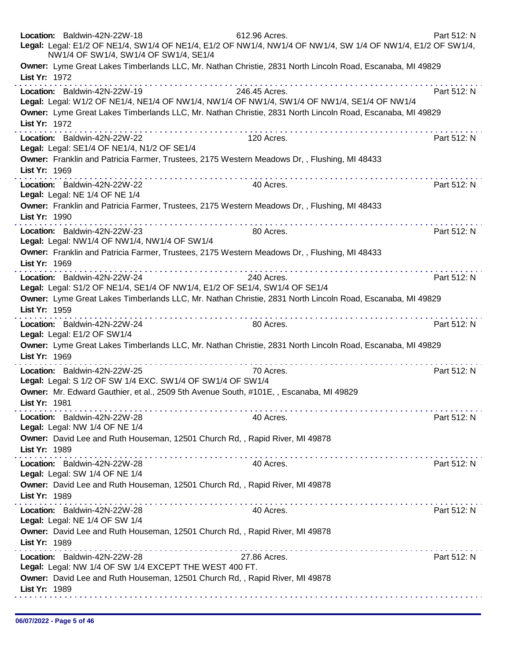| Location: Baldwin-42N-22W-18<br>612.96 Acres.<br>Legal: Legal: E1/2 OF NE1/4, SW1/4 OF NE1/4, E1/2 OF NW1/4, NW1/4 OF NW1/4, SW 1/4 OF NW1/4, E1/2 OF SW1/4,<br>NW1/4 OF SW1/4, SW1/4 OF SW1/4, SE1/4                                                                                                                                                                                                                                                                                                                                                                        | Part 512: N                                                                                                                                                                                                                                                                                                                                                                                                                                                  |  |
|------------------------------------------------------------------------------------------------------------------------------------------------------------------------------------------------------------------------------------------------------------------------------------------------------------------------------------------------------------------------------------------------------------------------------------------------------------------------------------------------------------------------------------------------------------------------------|--------------------------------------------------------------------------------------------------------------------------------------------------------------------------------------------------------------------------------------------------------------------------------------------------------------------------------------------------------------------------------------------------------------------------------------------------------------|--|
| Owner: Lyme Great Lakes Timberlands LLC, Mr. Nathan Christie, 2831 North Lincoln Road, Escanaba, MI 49829<br>List Yr: 1972                                                                                                                                                                                                                                                                                                                                                                                                                                                   |                                                                                                                                                                                                                                                                                                                                                                                                                                                              |  |
| Location: Baldwin-42N-22W-19<br>246.45 Acres.<br>Legal: Legal: W1/2 OF NE1/4, NE1/4 OF NW1/4, NW1/4 OF NW1/4, SW1/4 OF NW1/4, SE1/4 OF NW1/4<br>Owner: Lyme Great Lakes Timberlands LLC, Mr. Nathan Christie, 2831 North Lincoln Road, Escanaba, MI 49829                                                                                                                                                                                                                                                                                                                    | Part 512: N                                                                                                                                                                                                                                                                                                                                                                                                                                                  |  |
| List Yr: 1972                                                                                                                                                                                                                                                                                                                                                                                                                                                                                                                                                                |                                                                                                                                                                                                                                                                                                                                                                                                                                                              |  |
| Location: Baldwin-42N-22W-22<br>Legal: Legal: SE1/4 OF NE1/4, N1/2 OF SE1/4<br>Owner: Franklin and Patricia Farmer, Trustees, 2175 Western Meadows Dr,, Flushing, MI 48433                                                                                                                                                                                                                                                                                                                                                                                                   | 120 Acres.<br>Part 512: N                                                                                                                                                                                                                                                                                                                                                                                                                                    |  |
| List Yr: 1969<br>. <b>.</b>                                                                                                                                                                                                                                                                                                                                                                                                                                                                                                                                                  |                                                                                                                                                                                                                                                                                                                                                                                                                                                              |  |
| Location: Baldwin-42N-22W-22<br>Legal: Legal: NE 1/4 OF NE 1/4                                                                                                                                                                                                                                                                                                                                                                                                                                                                                                               | 40 Acres.<br>Part 512: N                                                                                                                                                                                                                                                                                                                                                                                                                                     |  |
| Owner: Franklin and Patricia Farmer, Trustees, 2175 Western Meadows Dr,, Flushing, MI 48433<br>List Yr: 1990                                                                                                                                                                                                                                                                                                                                                                                                                                                                 |                                                                                                                                                                                                                                                                                                                                                                                                                                                              |  |
| Location: Baldwin-42N-22W-23<br>Legal: Legal: NW1/4 OF NW1/4, NW1/4 OF SW1/4                                                                                                                                                                                                                                                                                                                                                                                                                                                                                                 | Part 512: N<br>80 Acres.                                                                                                                                                                                                                                                                                                                                                                                                                                     |  |
| Owner: Franklin and Patricia Farmer, Trustees, 2175 Western Meadows Dr,, Flushing, MI 48433<br>List Yr: 1969<br>$\mathcal{L}^{\mathcal{A}}(\mathcal{A},\mathcal{A},\mathcal{A},\mathcal{A},\mathcal{A},\mathcal{A},\mathcal{A},\mathcal{A},\mathcal{A},\mathcal{A},\mathcal{A},\mathcal{A},\mathcal{A},\mathcal{A},\mathcal{A},\mathcal{A},\mathcal{A},\mathcal{A},\mathcal{A},\mathcal{A},\mathcal{A},\mathcal{A},\mathcal{A},\mathcal{A},\mathcal{A},\mathcal{A},\mathcal{A},\mathcal{A},\mathcal{A},\mathcal{A},\mathcal{A},\mathcal{A},\mathcal{A},\mathcal{A},\mathcal$ |                                                                                                                                                                                                                                                                                                                                                                                                                                                              |  |
| Location: Baldwin-42N-22W-24<br>Legal: Legal: S1/2 OF NE1/4, SE1/4 OF NW1/4, E1/2 OF SE1/4, SW1/4 OF SE1/4                                                                                                                                                                                                                                                                                                                                                                                                                                                                   | 240 Acres.<br>Part 512: N                                                                                                                                                                                                                                                                                                                                                                                                                                    |  |
| Owner: Lyme Great Lakes Timberlands LLC, Mr. Nathan Christie, 2831 North Lincoln Road, Escanaba, MI 49829<br>List Yr: 1959                                                                                                                                                                                                                                                                                                                                                                                                                                                   |                                                                                                                                                                                                                                                                                                                                                                                                                                                              |  |
| Location: Baldwin-42N-22W-24<br>Legal: Legal: E1/2 OF SW1/4                                                                                                                                                                                                                                                                                                                                                                                                                                                                                                                  | Part 512: N<br>80 Acres.                                                                                                                                                                                                                                                                                                                                                                                                                                     |  |
| Owner: Lyme Great Lakes Timberlands LLC, Mr. Nathan Christie, 2831 North Lincoln Road, Escanaba, MI 49829<br>List Yr: 1969                                                                                                                                                                                                                                                                                                                                                                                                                                                   |                                                                                                                                                                                                                                                                                                                                                                                                                                                              |  |
| Location: Baldwin-42N-22W-25<br>Legal: Legal: S 1/2 OF SW 1/4 EXC. SW1/4 OF SW1/4 OF SW1/4                                                                                                                                                                                                                                                                                                                                                                                                                                                                                   | 70 Acres.<br>Part 512: N                                                                                                                                                                                                                                                                                                                                                                                                                                     |  |
| Owner: Mr. Edward Gauthier, et al., 2509 5th Avenue South, #101E, , Escanaba, MI 49829<br>List Yr: 1981                                                                                                                                                                                                                                                                                                                                                                                                                                                                      |                                                                                                                                                                                                                                                                                                                                                                                                                                                              |  |
| Location: Baldwin-42N-22W-28<br>Legal: Legal: NW 1/4 OF NE 1/4                                                                                                                                                                                                                                                                                                                                                                                                                                                                                                               | 40 Acres.<br>Part 512: N                                                                                                                                                                                                                                                                                                                                                                                                                                     |  |
| Owner: David Lee and Ruth Houseman, 12501 Church Rd, , Rapid River, MI 49878<br>List Yr: 1989                                                                                                                                                                                                                                                                                                                                                                                                                                                                                |                                                                                                                                                                                                                                                                                                                                                                                                                                                              |  |
| Location: Baldwin-42N-22W-28<br>Legal: Legal: SW 1/4 OF NE 1/4                                                                                                                                                                                                                                                                                                                                                                                                                                                                                                               | 40 Acres.<br>Part 512: N                                                                                                                                                                                                                                                                                                                                                                                                                                     |  |
| Owner: David Lee and Ruth Houseman, 12501 Church Rd,, Rapid River, MI 49878<br>List Yr: 1989                                                                                                                                                                                                                                                                                                                                                                                                                                                                                 | $\mathcal{L}^{\mathcal{A}}(\mathcal{A},\mathcal{A},\mathcal{A},\mathcal{A},\mathcal{A},\mathcal{A},\mathcal{A},\mathcal{A},\mathcal{A},\mathcal{A},\mathcal{A},\mathcal{A},\mathcal{A},\mathcal{A},\mathcal{A},\mathcal{A},\mathcal{A},\mathcal{A},\mathcal{A},\mathcal{A},\mathcal{A},\mathcal{A},\mathcal{A},\mathcal{A},\mathcal{A},\mathcal{A},\mathcal{A},\mathcal{A},\mathcal{A},\mathcal{A},\mathcal{A},\mathcal{A},\mathcal{A},\mathcal{A},\mathcal$ |  |
| a construction of a construction of the con-<br>Location: Baldwin-42N-22W-28<br>Legal: Legal: NE 1/4 OF SW 1/4                                                                                                                                                                                                                                                                                                                                                                                                                                                               | 40 Acres.<br>Part 512: N                                                                                                                                                                                                                                                                                                                                                                                                                                     |  |
| Owner: David Lee and Ruth Houseman, 12501 Church Rd,, Rapid River, MI 49878<br>List Yr: 1989                                                                                                                                                                                                                                                                                                                                                                                                                                                                                 |                                                                                                                                                                                                                                                                                                                                                                                                                                                              |  |
| Location: Baldwin-42N-22W-28<br>Legal: Legal: NW 1/4 OF SW 1/4 EXCEPT THE WEST 400 FT.                                                                                                                                                                                                                                                                                                                                                                                                                                                                                       | 27.86 Acres.<br>Part 512: N                                                                                                                                                                                                                                                                                                                                                                                                                                  |  |
| Owner: David Lee and Ruth Houseman, 12501 Church Rd, , Rapid River, MI 49878<br>List Yr: 1989                                                                                                                                                                                                                                                                                                                                                                                                                                                                                |                                                                                                                                                                                                                                                                                                                                                                                                                                                              |  |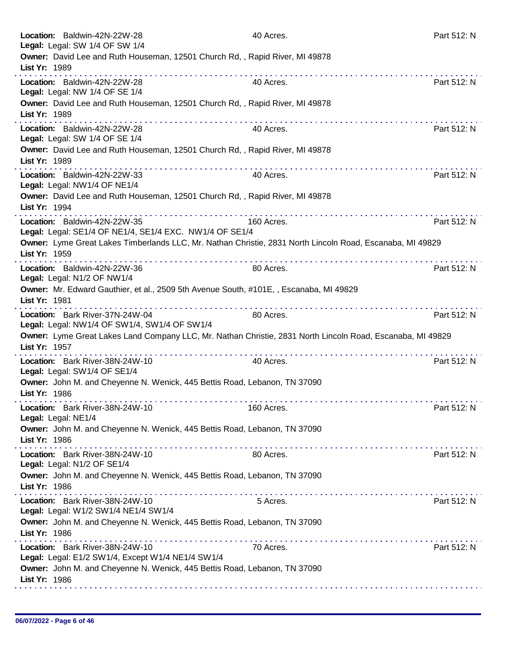| Location: Baldwin-42N-22W-28<br>Legal: Legal: SW 1/4 OF SW 1/4                                                                   | 40 Acres.  | Part 512: N |
|----------------------------------------------------------------------------------------------------------------------------------|------------|-------------|
| Owner: David Lee and Ruth Houseman, 12501 Church Rd,, Rapid River, MI 49878<br>List Yr: 1989                                     |            |             |
| Location: Baldwin-42N-22W-28<br>Legal: Legal: NW 1/4 OF SE 1/4                                                                   | 40 Acres.  | Part 512: N |
| Owner: David Lee and Ruth Houseman, 12501 Church Rd, , Rapid River, MI 49878<br>List Yr: 1989                                    |            |             |
| Location: Baldwin-42N-22W-28<br>Legal: Legal: SW 1/4 OF SE 1/4                                                                   | 40 Acres.  | Part 512: N |
| Owner: David Lee and Ruth Houseman, 12501 Church Rd,, Rapid River, MI 49878<br>List Yr: 1989                                     |            |             |
| Location: Baldwin-42N-22W-33<br>Legal: Legal: NW1/4 OF NE1/4                                                                     | 40 Acres.  | Part 512: N |
| Owner: David Lee and Ruth Houseman, 12501 Church Rd,, Rapid River, MI 49878<br>List Yr: 1994                                     |            |             |
| Location: Baldwin-42N-22W-35<br>Legal: Legal: SE1/4 OF NE1/4, SE1/4 EXC. NW1/4 OF SE1/4                                          | 160 Acres. | Part 512: N |
| Owner: Lyme Great Lakes Timberlands LLC, Mr. Nathan Christie, 2831 North Lincoln Road, Escanaba, MI 49829<br>List Yr: 1959       |            |             |
| Location: Baldwin-42N-22W-36<br>Legal: Legal: N1/2 OF NW1/4                                                                      | 80 Acres.  | Part 512: N |
| Owner: Mr. Edward Gauthier, et al., 2509 5th Avenue South, #101E, , Escanaba, MI 49829<br>List Yr: 1981                          |            |             |
| Location: Bark River-37N-24W-04<br>Legal: Legal: NW1/4 OF SW1/4, SW1/4 OF SW1/4                                                  | 80 Acres.  | Part 512: N |
| Owner: Lyme Great Lakes Land Company LLC, Mr. Nathan Christie, 2831 North Lincoln Road, Escanaba, MI 49829<br>List Yr: 1957<br>. |            |             |
| Location: Bark River-38N-24W-10<br>Legal: Legal: SW1/4 OF SE1/4                                                                  | 40 Acres.  | Part 512: N |
| Owner: John M. and Cheyenne N. Wenick, 445 Bettis Road, Lebanon, TN 37090<br>List Yr: 1986                                       |            |             |
| Location: Bark River-38N-24W-10<br>Legal: Legal: NE1/4                                                                           | 160 Acres. | Part 512: N |
| Owner: John M. and Cheyenne N. Wenick, 445 Bettis Road, Lebanon, TN 37090<br>List Yr: 1986                                       |            |             |
| Location: Bark River-38N-24W-10<br>Legal: Legal: N1/2 OF SE1/4                                                                   | 80 Acres.  | Part 512: N |
| Owner: John M. and Cheyenne N. Wenick, 445 Bettis Road, Lebanon, TN 37090<br>List Yr: 1986                                       |            |             |
| Location: Bark River-38N-24W-10<br>Legal: Legal: W1/2 SW1/4 NE1/4 SW1/4                                                          | 5 Acres.   | Part 512: N |
| Owner: John M. and Cheyenne N. Wenick, 445 Bettis Road, Lebanon, TN 37090<br>List Yr: 1986                                       |            |             |
| .<br>Location: Bark River-38N-24W-10<br>Legal: Legal: E1/2 SW1/4, Except W1/4 NE1/4 SW1/4                                        | 70 Acres.  | Part 512: N |
| Owner: John M. and Cheyenne N. Wenick, 445 Bettis Road, Lebanon, TN 37090<br>List Yr: 1986                                       |            |             |
|                                                                                                                                  |            |             |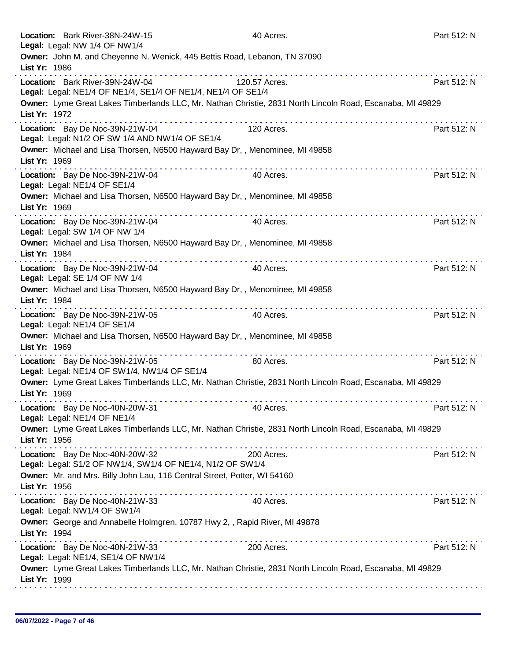| Location: Bark River-38N-24W-15<br>Legal: Legal: NW 1/4 OF NW1/4                                                           | 40 Acres.     | Part 512: N |
|----------------------------------------------------------------------------------------------------------------------------|---------------|-------------|
| Owner: John M. and Cheyenne N. Wenick, 445 Bettis Road, Lebanon, TN 37090<br>List Yr: 1986                                 |               |             |
| Location: Bark River-39N-24W-04<br>Legal: Legal: NE1/4 OF NE1/4, SE1/4 OF NE1/4, NE1/4 OF SE1/4                            | 120.57 Acres. | Part 512: N |
| Owner: Lyme Great Lakes Timberlands LLC, Mr. Nathan Christie, 2831 North Lincoln Road, Escanaba, MI 49829<br>List Yr: 1972 | .             |             |
| Location: Bay De Noc-39N-21W-04<br>Legal: Legal: N1/2 OF SW 1/4 AND NW1/4 OF SE1/4                                         | 120 Acres.    | Part 512: N |
| Owner: Michael and Lisa Thorsen, N6500 Hayward Bay Dr,, Menominee, MI 49858<br>List Yr: 1969                               |               |             |
| Location: Bay De Noc-39N-21W-04<br>Legal: Legal: NE1/4 OF SE1/4                                                            | 40 Acres.     | Part 512: N |
| Owner: Michael and Lisa Thorsen, N6500 Hayward Bay Dr,, Menominee, MI 49858<br>List Yr: 1969                               |               |             |
| Location: Bay De Noc-39N-21W-04<br>Legal: Legal: SW 1/4 OF NW 1/4                                                          | 40 Acres.     | Part 512: N |
| Owner: Michael and Lisa Thorsen, N6500 Hayward Bay Dr,, Menominee, MI 49858<br>List Yr: 1984                               |               |             |
| Location: Bay De Noc-39N-21W-04<br>Legal: Legal: SE 1/4 OF NW 1/4                                                          | 40 Acres.     | Part 512: N |
| Owner: Michael and Lisa Thorsen, N6500 Hayward Bay Dr,, Menominee, MI 49858<br>List Yr: 1984                               |               |             |
| Location: Bay De Noc-39N-21W-05<br>Legal: Legal: NE1/4 OF SE1/4                                                            | 40 Acres.     | Part 512: N |
| Owner: Michael and Lisa Thorsen, N6500 Hayward Bay Dr,, Menominee, MI 49858<br>List Yr: 1969                               |               |             |
| Location: Bay De Noc-39N-21W-05<br>Legal: Legal: NE1/4 OF SW1/4, NW1/4 OF SE1/4                                            | 80 Acres.     | Part 512: N |
| Owner: Lyme Great Lakes Timberlands LLC, Mr. Nathan Christie, 2831 North Lincoln Road, Escanaba, MI 49829<br>List Yr: 1969 |               |             |
| Location: Bay De Noc-40N-20W-31<br>Legal: Legal: NE1/4 OF NE1/4                                                            | 40 Acres.     | Part 512: N |
| Owner: Lyme Great Lakes Timberlands LLC, Mr. Nathan Christie, 2831 North Lincoln Road, Escanaba, MI 49829<br>List Yr: 1956 |               |             |
| Location: Bay De Noc-40N-20W-32<br>Legal: Legal: S1/2 OF NW1/4, SW1/4 OF NE1/4, N1/2 OF SW1/4                              | 200 Acres.    | Part 512: N |
| Owner: Mr. and Mrs. Billy John Lau, 116 Central Street, Potter, WI 54160<br>List Yr: 1956                                  |               |             |
| Location: Bay De Noc-40N-21W-33<br>Legal: Legal: NW1/4 OF SW1/4                                                            | 40 Acres.     | Part 512: N |
| Owner: George and Annabelle Holmgren, 10787 Hwy 2,, Rapid River, MI 49878<br>List Yr: 1994                                 |               |             |
| Location: Bay De Noc-40N-21W-33<br>Legal: Legal: NE1/4, SE1/4 OF NW1/4                                                     | 200 Acres.    | Part 512: N |
| Owner: Lyme Great Lakes Timberlands LLC, Mr. Nathan Christie, 2831 North Lincoln Road, Escanaba, MI 49829<br>List Yr: 1999 |               |             |
|                                                                                                                            |               |             |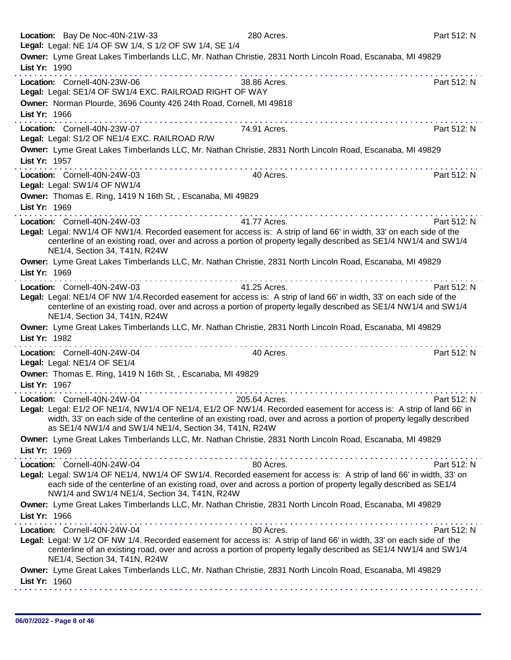| Location: Bay De Noc-40N-21W-33<br>Legal: Legal: NE 1/4 OF SW 1/4, S 1/2 OF SW 1/4, SE 1/4                                                                                                                                                                                                                 | 280 Acres.    | Part 512: N |
|------------------------------------------------------------------------------------------------------------------------------------------------------------------------------------------------------------------------------------------------------------------------------------------------------------|---------------|-------------|
| Owner: Lyme Great Lakes Timberlands LLC, Mr. Nathan Christie, 2831 North Lincoln Road, Escanaba, MI 49829<br>List Yr: 1990                                                                                                                                                                                 |               |             |
| .<br>Location: Cornell-40N-23W-06<br>Legal: Legal: SE1/4 OF SW1/4 EXC. RAILROAD RIGHT OF WAY                                                                                                                                                                                                               | 38.86 Acres.  | Part 512: N |
| Owner: Norman Plourde, 3696 County 426 24th Road, Cornell, MI 49818<br>List Yr: 1966                                                                                                                                                                                                                       |               |             |
| Location: Cornell-40N-23W-07                                                                                                                                                                                                                                                                               | 74.91 Acres.  | Part 512: N |
| Legal: Legal: S1/2 OF NE1/4 EXC. RAILROAD R/W<br>Owner: Lyme Great Lakes Timberlands LLC, Mr. Nathan Christie, 2831 North Lincoln Road, Escanaba, MI 49829                                                                                                                                                 |               |             |
| List Yr: 1957                                                                                                                                                                                                                                                                                              |               |             |
| Location: Cornell-40N-24W-03<br>Legal: Legal: SW1/4 OF NW1/4                                                                                                                                                                                                                                               | 40 Acres.     | Part 512: N |
| Owner: Thomas E. Ring, 1419 N 16th St, , Escanaba, MI 49829<br>List Yr: 1969                                                                                                                                                                                                                               |               |             |
| .<br>Location: Cornell-40N-24W-03                                                                                                                                                                                                                                                                          | 41.77 Acres.  | Part 512: N |
| Legal: Legal: NW1/4 OF NW1/4. Recorded easement for access is: A strip of land 66' in width, 33' on each side of the<br>centerline of an existing road, over and across a portion of property legally described as SE1/4 NW1/4 and SW1/4<br>NE1/4, Section 34, T41N, R24W                                  |               |             |
| Owner: Lyme Great Lakes Timberlands LLC, Mr. Nathan Christie, 2831 North Lincoln Road, Escanaba, MI 49829<br>List Yr: 1969                                                                                                                                                                                 |               |             |
| Location: Cornell-40N-24W-03                                                                                                                                                                                                                                                                               | 41.25 Acres.  | Part 512: N |
| Legal: Legal: NE1/4 OF NW 1/4. Recorded easement for access is: A strip of land 66' in width, 33' on each side of the<br>centerline of an existing road, over and across a portion of property legally described as SE1/4 NW1/4 and SW1/4<br>NE1/4, Section 34, T41N, R24W                                 |               |             |
| Owner: Lyme Great Lakes Timberlands LLC, Mr. Nathan Christie, 2831 North Lincoln Road, Escanaba, MI 49829                                                                                                                                                                                                  |               |             |
| List Yr: 1982<br><u>a serie de la característica de la cara</u>                                                                                                                                                                                                                                            |               |             |
| Location: Cornell-40N-24W-04<br>Legal: Legal: NE1/4 OF SE1/4                                                                                                                                                                                                                                               | 40 Acres.     | Part 512: N |
| Owner: Thomas E. Ring, 1419 N 16th St, , Escanaba, MI 49829                                                                                                                                                                                                                                                |               |             |
| List Yr: 1967                                                                                                                                                                                                                                                                                              |               |             |
| Location: Cornell-40N-24W-04                                                                                                                                                                                                                                                                               | 205.64 Acres. | Part 512: N |
| Legal: Legal: E1/2 OF NE1/4, NW1/4 OF NE1/4, E1/2 OF NW1/4. Recorded easement for access is: A strip of land 66' in<br>width, 33' on each side of the centerline of an existing road, over and across a portion of property legally described<br>as SE1/4 NW1/4 and SW1/4 NE1/4, Section 34, T41N, R24W    |               |             |
| Owner: Lyme Great Lakes Timberlands LLC, Mr. Nathan Christie, 2831 North Lincoln Road, Escanaba, MI 49829<br>List Yr: 1969                                                                                                                                                                                 |               |             |
| Location: Cornell-40N-24W-04                                                                                                                                                                                                                                                                               | 80 Acres.     | Part 512: N |
| Legal: Legal: SW1/4 OF NE1/4, NW1/4 OF SW1/4. Recorded easement for access is: A strip of land 66' in width, 33' on<br>each side of the centerline of an existing road, over and across a portion of property legally described as SE1/4<br>NW1/4 and SW1/4 NE1/4, Section 34, T41N, R24W                  |               |             |
| Owner: Lyme Great Lakes Timberlands LLC, Mr. Nathan Christie, 2831 North Lincoln Road, Escanaba, MI 49829<br>List Yr: 1966                                                                                                                                                                                 |               |             |
| Location: Cornell-40N-24W-04<br>Legal: Legal: W 1/2 OF NW 1/4. Recorded easement for access is: A strip of land 66' in width, 33' on each side of the<br>centerline of an existing road, over and across a portion of property legally described as SE1/4 NW1/4 and SW1/4<br>NE1/4, Section 34, T41N, R24W | 80 Acres.     | Part 512: N |
| Owner: Lyme Great Lakes Timberlands LLC, Mr. Nathan Christie, 2831 North Lincoln Road, Escanaba, MI 49829<br>List Yr: 1960                                                                                                                                                                                 |               |             |
|                                                                                                                                                                                                                                                                                                            |               |             |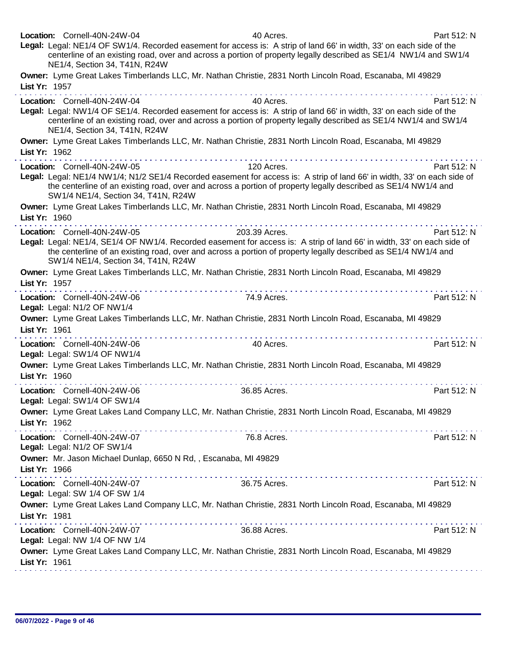| Location: Cornell-40N-24W-04<br>40 Acres.<br>Legal: Legal: NE1/4 OF SW1/4. Recorded easement for access is: A strip of land 66' in width, 33' on each side of the<br>centerline of an existing road, over and across a portion of property legally described as SE1/4 NW1/4 and SW1/4<br>NE1/4, Section 34, T41N, R24W            | Part 512: N                                                                                                                                                                                                                                                                                                                                                                                                                                                              |
|-----------------------------------------------------------------------------------------------------------------------------------------------------------------------------------------------------------------------------------------------------------------------------------------------------------------------------------|--------------------------------------------------------------------------------------------------------------------------------------------------------------------------------------------------------------------------------------------------------------------------------------------------------------------------------------------------------------------------------------------------------------------------------------------------------------------------|
| Owner: Lyme Great Lakes Timberlands LLC, Mr. Nathan Christie, 2831 North Lincoln Road, Escanaba, MI 49829<br>List Yr: 1957                                                                                                                                                                                                        |                                                                                                                                                                                                                                                                                                                                                                                                                                                                          |
| Location: Cornell-40N-24W-04<br>40 Acres.<br>Legal: Legal: NW1/4 OF SE1/4. Recorded easement for access is: A strip of land 66' in width, 33' on each side of the<br>centerline of an existing road, over and across a portion of property legally described as SE1/4 NW1/4 and SW1/4<br>NE1/4, Section 34, T41N, R24W            | Part 512: N                                                                                                                                                                                                                                                                                                                                                                                                                                                              |
| Owner: Lyme Great Lakes Timberlands LLC, Mr. Nathan Christie, 2831 North Lincoln Road, Escanaba, MI 49829<br>List Yr: 1962<br>.                                                                                                                                                                                                   |                                                                                                                                                                                                                                                                                                                                                                                                                                                                          |
| Location: Cornell-40N-24W-05<br>120 Acres.<br>Legal: Legal: NE1/4 NW1/4; N1/2 SE1/4 Recorded easement for access is: A strip of land 66' in width, 33' on each side of<br>the centerline of an existing road, over and across a portion of property legally described as SE1/4 NW1/4 and<br>SW1/4 NE1/4, Section 34, T41N, R24W   | Part 512: N                                                                                                                                                                                                                                                                                                                                                                                                                                                              |
| Owner: Lyme Great Lakes Timberlands LLC, Mr. Nathan Christie, 2831 North Lincoln Road, Escanaba, MI 49829<br>List Yr: 1960                                                                                                                                                                                                        |                                                                                                                                                                                                                                                                                                                                                                                                                                                                          |
| 203.39 Acres.<br>Location: Cornell-40N-24W-05<br>Legal: Legal: NE1/4, SE1/4 OF NW1/4. Recorded easement for access is: A strip of land 66' in width, 33' on each side of<br>the centerline of an existing road, over and across a portion of property legally described as SE1/4 NW1/4 and<br>SW1/4 NE1/4, Section 34, T41N, R24W | Part 512: N                                                                                                                                                                                                                                                                                                                                                                                                                                                              |
| Owner: Lyme Great Lakes Timberlands LLC, Mr. Nathan Christie, 2831 North Lincoln Road, Escanaba, MI 49829<br>List Yr: 1957                                                                                                                                                                                                        |                                                                                                                                                                                                                                                                                                                                                                                                                                                                          |
| Location: Cornell-40N-24W-06<br>74.9 Acres.<br>Legal: Legal: N1/2 OF NW1/4                                                                                                                                                                                                                                                        | Part 512: N                                                                                                                                                                                                                                                                                                                                                                                                                                                              |
| Owner: Lyme Great Lakes Timberlands LLC, Mr. Nathan Christie, 2831 North Lincoln Road, Escanaba, MI 49829<br>List Yr: 1961                                                                                                                                                                                                        |                                                                                                                                                                                                                                                                                                                                                                                                                                                                          |
| 40 Acres.<br>Location: Cornell-40N-24W-06<br>Legal: Legal: SW1/4 OF NW1/4                                                                                                                                                                                                                                                         | Part 512: N                                                                                                                                                                                                                                                                                                                                                                                                                                                              |
| Owner: Lyme Great Lakes Timberlands LLC, Mr. Nathan Christie, 2831 North Lincoln Road, Escanaba, MI 49829<br>List Yr: 1960                                                                                                                                                                                                        |                                                                                                                                                                                                                                                                                                                                                                                                                                                                          |
| Location: Cornell-40N-24W-06<br>36.85 Acres.<br>egal: Legal: SW1/4 OF SW1/4                                                                                                                                                                                                                                                       | Part 512: N                                                                                                                                                                                                                                                                                                                                                                                                                                                              |
| Owner: Lyme Great Lakes Land Company LLC, Mr. Nathan Christie, 2831 North Lincoln Road, Escanaba, MI 49829<br>List Yr: 1962                                                                                                                                                                                                       |                                                                                                                                                                                                                                                                                                                                                                                                                                                                          |
| 76.8 Acres.<br>Location: Cornell-40N-24W-07<br>Legal: Legal: N1/2 OF SW1/4                                                                                                                                                                                                                                                        | Part 512: N                                                                                                                                                                                                                                                                                                                                                                                                                                                              |
| Owner: Mr. Jason Michael Dunlap, 6650 N Rd, , Escanaba, MI 49829<br>List Yr: 1966                                                                                                                                                                                                                                                 |                                                                                                                                                                                                                                                                                                                                                                                                                                                                          |
| 36.75 Acres.<br>Location: Cornell-40N-24W-07<br>Legal: Legal: SW 1/4 OF SW 1/4                                                                                                                                                                                                                                                    | Part 512: N                                                                                                                                                                                                                                                                                                                                                                                                                                                              |
| Owner: Lyme Great Lakes Land Company LLC, Mr. Nathan Christie, 2831 North Lincoln Road, Escanaba, MI 49829<br>List Yr: 1981                                                                                                                                                                                                       |                                                                                                                                                                                                                                                                                                                                                                                                                                                                          |
| Location: Cornell-40N-24W-07<br>36.88 Acres.<br>Legal: Legal: NW 1/4 OF NW 1/4                                                                                                                                                                                                                                                    | $\label{eq:2.1} \mathcal{L}^{\mathcal{A}}(\mathcal{A}^{\mathcal{A}}(\mathcal{A}^{\mathcal{A}}(\mathcal{A}^{\mathcal{A}}(\mathcal{A}^{\mathcal{A}}(\mathcal{A}^{\mathcal{A}}(\mathcal{A}^{\mathcal{A}}(\mathcal{A}^{\mathcal{A}}(\mathcal{A}^{\mathcal{A}}(\mathcal{A}^{\mathcal{A}}(\mathcal{A}^{\mathcal{A}}(\mathcal{A}^{\mathcal{A}}(\mathcal{A}^{\mathcal{A}}(\mathcal{A}^{\mathcal{A}}(\mathcal{A}^{\mathcal{A}}(\mathcal{A}^{\mathcal{A}}(\mathcal$<br>Part 512: N |
| Owner: Lyme Great Lakes Land Company LLC, Mr. Nathan Christie, 2831 North Lincoln Road, Escanaba, MI 49829<br>List Yr: 1961                                                                                                                                                                                                       |                                                                                                                                                                                                                                                                                                                                                                                                                                                                          |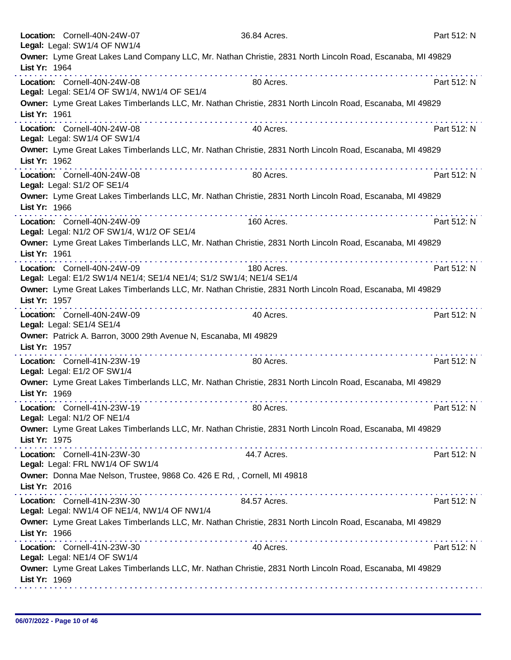|               | Location: Cornell-40N-24W-07<br>Legal: Legal: SW1/4 OF NW1/4                                         | 36.84 Acres.                                                                                               | Part 512: N |
|---------------|------------------------------------------------------------------------------------------------------|------------------------------------------------------------------------------------------------------------|-------------|
| List Yr: 1964 | .                                                                                                    | Owner: Lyme Great Lakes Land Company LLC, Mr. Nathan Christie, 2831 North Lincoln Road, Escanaba, MI 49829 |             |
|               | Location: Cornell-40N-24W-08<br>Legal: Legal: SE1/4 OF SW1/4, NW1/4 OF SE1/4                         | 80 Acres.                                                                                                  | Part 512: N |
| List Yr: 1961 |                                                                                                      | Owner: Lyme Great Lakes Timberlands LLC, Mr. Nathan Christie, 2831 North Lincoln Road, Escanaba, MI 49829  |             |
|               | Location: Cornell-40N-24W-08<br>Legal: Legal: SW1/4 OF SW1/4                                         | 40 Acres.                                                                                                  | Part 512: N |
| List Yr: 1962 |                                                                                                      | Owner: Lyme Great Lakes Timberlands LLC, Mr. Nathan Christie, 2831 North Lincoln Road, Escanaba, MI 49829  |             |
|               | Location: Cornell-40N-24W-08<br>Legal: Legal: S1/2 OF SE1/4                                          | 80 Acres.                                                                                                  | Part 512: N |
| List Yr: 1966 |                                                                                                      | Owner: Lyme Great Lakes Timberlands LLC, Mr. Nathan Christie, 2831 North Lincoln Road, Escanaba, MI 49829  |             |
|               | Location: Cornell-40N-24W-09<br>Legal: Legal: N1/2 OF SW1/4, W1/2 OF SE1/4                           | 160 Acres.                                                                                                 | Part 512: N |
| List Yr: 1961 |                                                                                                      | Owner: Lyme Great Lakes Timberlands LLC, Mr. Nathan Christie, 2831 North Lincoln Road, Escanaba, MI 49829  |             |
|               | Location: Cornell-40N-24W-09<br>Legal: Legal: E1/2 SW1/4 NE1/4; SE1/4 NE1/4; S1/2 SW1/4; NE1/4 SE1/4 | 180 Acres.                                                                                                 | Part 512: N |
| List Yr: 1957 |                                                                                                      | Owner: Lyme Great Lakes Timberlands LLC, Mr. Nathan Christie, 2831 North Lincoln Road, Escanaba, MI 49829  |             |
|               | Location: Cornell-40N-24W-09<br>Legal: Legal: SE1/4 SE1/4                                            | 40 Acres.                                                                                                  | Part 512: N |
| List Yr: 1957 | Owner: Patrick A. Barron, 3000 29th Avenue N, Escanaba, MI 49829                                     |                                                                                                            |             |
|               | Location: Cornell-41N-23W-19<br>Legal: Legal: E1/2 OF SW1/4                                          | 80 Acres.                                                                                                  | Part 512: N |
| List Yr: 1969 |                                                                                                      | Owner: Lyme Great Lakes Timberlands LLC, Mr. Nathan Christie, 2831 North Lincoln Road, Escanaba, MI 49829  |             |
|               | Location: Cornell-41N-23W-19<br>Legal: Legal: N1/2 OF NE1/4                                          | 80 Acres.                                                                                                  | Part 512: N |
| List Yr: 1975 |                                                                                                      | Owner: Lyme Great Lakes Timberlands LLC, Mr. Nathan Christie, 2831 North Lincoln Road, Escanaba, MI 49829  |             |
|               | Location: Cornell-41N-23W-30<br>Legal: Legal: FRL NW1/4 OF SW1/4                                     | 44.7 Acres.                                                                                                | Part 512: N |
| List Yr: 2016 | Owner: Donna Mae Nelson, Trustee, 9868 Co. 426 E Rd, , Cornell, MI 49818                             |                                                                                                            |             |
|               | Location: Cornell-41N-23W-30<br>Legal: Legal: NW1/4 OF NE1/4, NW1/4 OF NW1/4                         | 84.57 Acres.                                                                                               | Part 512: N |
| List Yr: 1966 |                                                                                                      | Owner: Lyme Great Lakes Timberlands LLC, Mr. Nathan Christie, 2831 North Lincoln Road, Escanaba, MI 49829  |             |
|               | Location: Cornell-41N-23W-30<br>Legal: Legal: NE1/4 OF SW1/4                                         | 40 Acres.                                                                                                  | Part 512: N |
| List Yr: 1969 |                                                                                                      | Owner: Lyme Great Lakes Timberlands LLC, Mr. Nathan Christie, 2831 North Lincoln Road, Escanaba, MI 49829  |             |
|               |                                                                                                      |                                                                                                            |             |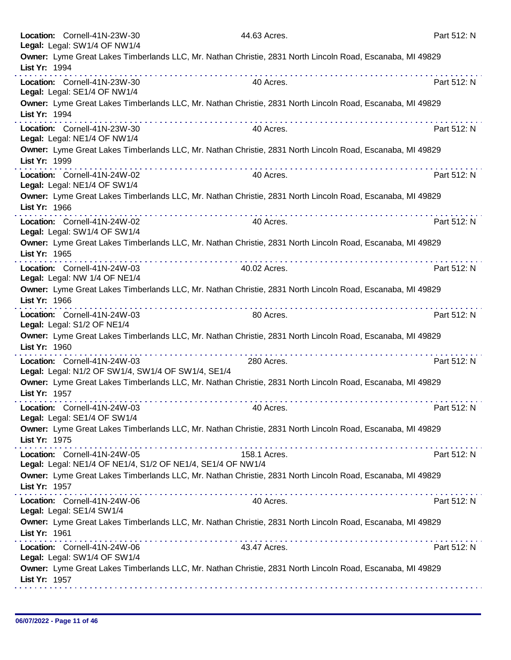|               | Location: Cornell-41N-23W-30<br>Legal: Legal: SW1/4 OF NW1/4                                              |                                        | 44.63 Acres. | Part 512: N |
|---------------|-----------------------------------------------------------------------------------------------------------|----------------------------------------|--------------|-------------|
| List Yr: 1994 | Owner: Lyme Great Lakes Timberlands LLC, Mr. Nathan Christie, 2831 North Lincoln Road, Escanaba, MI 49829 |                                        |              |             |
|               | Location: Cornell-41N-23W-30<br>Legal: Legal: SE1/4 OF NW1/4                                              |                                        | 40 Acres.    | Part 512: N |
| List Yr: 1994 | Owner: Lyme Great Lakes Timberlands LLC, Mr. Nathan Christie, 2831 North Lincoln Road, Escanaba, MI 49829 |                                        |              |             |
|               | Location: Cornell-41N-23W-30<br>Legal: Legal: NE1/4 OF NW1/4                                              |                                        | 40 Acres.    | Part 512: N |
| List Yr: 1999 | Owner: Lyme Great Lakes Timberlands LLC, Mr. Nathan Christie, 2831 North Lincoln Road, Escanaba, MI 49829 |                                        |              |             |
|               | Location: Cornell-41N-24W-02<br>Legal: Legal: NE1/4 OF SW1/4                                              |                                        | 40 Acres.    | Part 512: N |
| List Yr: 1966 | Owner: Lyme Great Lakes Timberlands LLC, Mr. Nathan Christie, 2831 North Lincoln Road, Escanaba, MI 49829 |                                        |              |             |
|               | Location: Cornell-41N-24W-02<br>Legal: Legal: SW1/4 OF SW1/4                                              |                                        | 40 Acres.    | Part 512: N |
| List Yr: 1965 | Owner: Lyme Great Lakes Timberlands LLC, Mr. Nathan Christie, 2831 North Lincoln Road, Escanaba, MI 49829 |                                        |              |             |
|               | Location: Cornell-41N-24W-03<br>Legal: Legal: NW 1/4 OF NE1/4                                             | the second contract of the second con- | 40.02 Acres. | Part 512: N |
| List Yr: 1966 | Owner: Lyme Great Lakes Timberlands LLC, Mr. Nathan Christie, 2831 North Lincoln Road, Escanaba, MI 49829 |                                        |              |             |
|               | Location: Cornell-41N-24W-03<br>Legal: Legal: S1/2 OF NE1/4                                               |                                        | 80 Acres.    | Part 512: N |
| List Yr: 1960 | Owner: Lyme Great Lakes Timberlands LLC, Mr. Nathan Christie, 2831 North Lincoln Road, Escanaba, MI 49829 |                                        |              |             |
|               | Location: Cornell-41N-24W-03<br>Legal: Legal: N1/2 OF SW1/4, SW1/4 OF SW1/4, SE1/4                        |                                        | 280 Acres.   | Part 512: N |
| List Yr: 1957 | Owner: Lyme Great Lakes Timberlands LLC, Mr. Nathan Christie, 2831 North Lincoln Road, Escanaba, MI 49829 |                                        |              |             |
|               | Location: Cornell-41N-24W-03<br>Legal: Legal: SE1/4 OF SW1/4                                              |                                        | 40 Acres.    | Part 512: N |
| List Yr: 1975 | Owner: Lyme Great Lakes Timberlands LLC, Mr. Nathan Christie, 2831 North Lincoln Road, Escanaba, MI 49829 |                                        |              |             |
|               | Location: Cornell-41N-24W-05<br>Legal: Legal: NE1/4 OF NE1/4, S1/2 OF NE1/4, SE1/4 OF NW1/4               |                                        | 158.1 Acres. | Part 512: N |
| List Yr: 1957 | Owner: Lyme Great Lakes Timberlands LLC, Mr. Nathan Christie, 2831 North Lincoln Road, Escanaba, MI 49829 |                                        |              |             |
|               | Location: Cornell-41N-24W-06<br>Legal: Legal: SE1/4 SW1/4                                                 |                                        | 40 Acres.    | Part 512: N |
| List Yr: 1961 | Owner: Lyme Great Lakes Timberlands LLC, Mr. Nathan Christie, 2831 North Lincoln Road, Escanaba, MI 49829 |                                        |              |             |
|               | Location: Cornell-41N-24W-06<br>Legal: Legal: SW1/4 OF SW1/4                                              |                                        | 43.47 Acres. | Part 512: N |
| List Yr: 1957 | Owner: Lyme Great Lakes Timberlands LLC, Mr. Nathan Christie, 2831 North Lincoln Road, Escanaba, MI 49829 |                                        |              |             |
|               |                                                                                                           |                                        |              |             |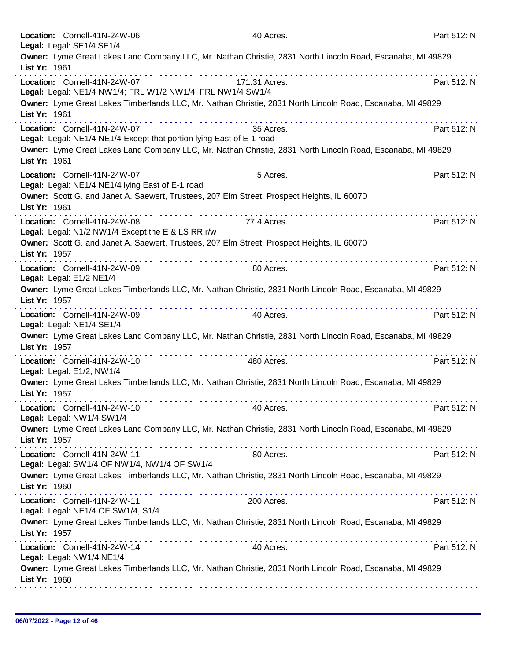| Legal: Legal: SE1/4 SE1/4 | Location: Cornell-41N-24W-06                                                                         | 40 Acres.                                                                                                  | Part 512: N |
|---------------------------|------------------------------------------------------------------------------------------------------|------------------------------------------------------------------------------------------------------------|-------------|
|                           |                                                                                                      | Owner: Lyme Great Lakes Land Company LLC, Mr. Nathan Christie, 2831 North Lincoln Road, Escanaba, MI 49829 |             |
| List Yr: 1961             |                                                                                                      |                                                                                                            |             |
|                           | Location: Cornell-41N-24W-07<br>Legal: Legal: NE1/4 NW1/4; FRL W1/2 NW1/4; FRL NW1/4 SW1/4           | 171.31 Acres.                                                                                              | Part 512: N |
| List Yr: 1961             |                                                                                                      | Owner: Lyme Great Lakes Timberlands LLC, Mr. Nathan Christie, 2831 North Lincoln Road, Escanaba, MI 49829  |             |
|                           | Location: Cornell-41N-24W-07<br>Legal: Legal: NE1/4 NE1/4 Except that portion lying East of E-1 road | 35 Acres.                                                                                                  | Part 512: N |
| List Yr: 1961             |                                                                                                      | Owner: Lyme Great Lakes Land Company LLC, Mr. Nathan Christie, 2831 North Lincoln Road, Escanaba, MI 49829 |             |
|                           | Location: Cornell-41N-24W-07<br>Legal: Legal: NE1/4 NE1/4 lying East of E-1 road                     | 5 Acres.                                                                                                   | Part 512: N |
| List Yr: 1961             | Owner: Scott G. and Janet A. Saewert, Trustees, 207 Elm Street, Prospect Heights, IL 60070           | .                                                                                                          |             |
|                           | Location: Cornell-41N-24W-08<br>Legal: Legal: N1/2 NW1/4 Except the E & LS RR r/w                    | 77.4 Acres.                                                                                                | Part 512: N |
| List Yr: 1957             | Owner: Scott G. and Janet A. Saewert, Trustees, 207 Elm Street, Prospect Heights, IL 60070           |                                                                                                            |             |
| Legal: Legal: E1/2 NE1/4  | Location: Cornell-41N-24W-09                                                                         | 80 Acres.                                                                                                  | Part 512: N |
| List Yr: 1957             |                                                                                                      | Owner: Lyme Great Lakes Timberlands LLC, Mr. Nathan Christie, 2831 North Lincoln Road, Escanaba, MI 49829  |             |
| Legal: Legal: NE1/4 SE1/4 | Location: Cornell-41N-24W-09                                                                         | 40 Acres.                                                                                                  | Part 512: N |
| List Yr: 1957             |                                                                                                      | Owner: Lyme Great Lakes Land Company LLC, Mr. Nathan Christie, 2831 North Lincoln Road, Escanaba, MI 49829 |             |
| Legal: Legal: E1/2; NW1/4 | Location: Cornell-41N-24W-10                                                                         | 480 Acres.                                                                                                 | Part 512: N |
| List Yr: 1957             |                                                                                                      | Owner: Lyme Great Lakes Timberlands LLC, Mr. Nathan Christie, 2831 North Lincoln Road, Escanaba, MI 49829  |             |
| Legal: Legal: NW1/4 SW1/4 | Location: Cornell-41N-24W-10                                                                         | 40 Acres.                                                                                                  | Part 512: N |
| List Yr: 1957             |                                                                                                      | Owner: Lyme Great Lakes Land Company LLC, Mr. Nathan Christie, 2831 North Lincoln Road, Escanaba, MI 49829 |             |
|                           | Location: Cornell-41N-24W-11<br>Legal: Legal: SW1/4 OF NW1/4, NW1/4 OF SW1/4                         | 80 Acres.                                                                                                  | Part 512: N |
| List Yr: 1960             |                                                                                                      | Owner: Lyme Great Lakes Timberlands LLC, Mr. Nathan Christie, 2831 North Lincoln Road, Escanaba, MI 49829  |             |
|                           | Location: Cornell-41N-24W-11<br>Legal: Legal: NE1/4 OF SW1/4, S1/4                                   | 200 Acres.                                                                                                 | Part 512: N |
| List Yr: 1957             |                                                                                                      | Owner: Lyme Great Lakes Timberlands LLC, Mr. Nathan Christie, 2831 North Lincoln Road, Escanaba, MI 49829  |             |
| Legal: Legal: NW1/4 NE1/4 | Location: Cornell-41N-24W-14                                                                         | 40 Acres.                                                                                                  | Part 512: N |
| List Yr: 1960             |                                                                                                      | Owner: Lyme Great Lakes Timberlands LLC, Mr. Nathan Christie, 2831 North Lincoln Road, Escanaba, MI 49829  |             |
|                           |                                                                                                      |                                                                                                            |             |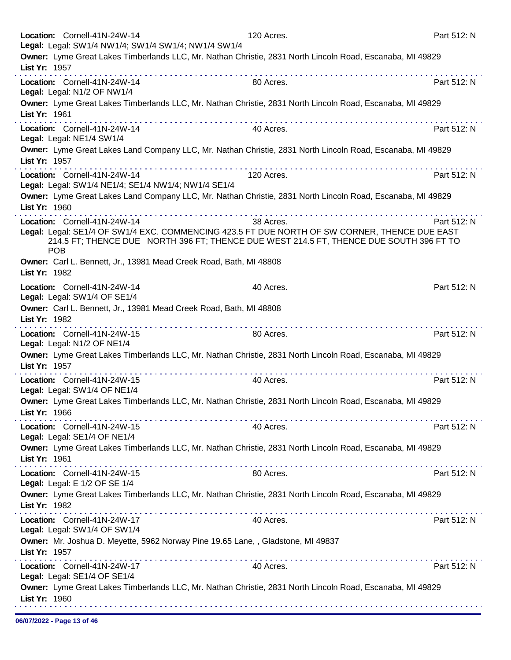|               | Location: Cornell-41N-24W-14                                  | Legal: Legal: SW1/4 NW1/4; SW1/4 SW1/4; NW1/4 SW1/4                              | 120 Acres.                                                                                                                                                                                            | Part 512: N |
|---------------|---------------------------------------------------------------|----------------------------------------------------------------------------------|-------------------------------------------------------------------------------------------------------------------------------------------------------------------------------------------------------|-------------|
| List Yr: 1957 |                                                               |                                                                                  | Owner: Lyme Great Lakes Timberlands LLC, Mr. Nathan Christie, 2831 North Lincoln Road, Escanaba, MI 49829                                                                                             |             |
|               | Location: Cornell-41N-24W-14<br>Legal: Legal: N1/2 OF NW1/4   |                                                                                  | 80 Acres.                                                                                                                                                                                             | Part 512: N |
| List Yr: 1961 |                                                               |                                                                                  | Owner: Lyme Great Lakes Timberlands LLC, Mr. Nathan Christie, 2831 North Lincoln Road, Escanaba, MI 49829                                                                                             |             |
|               | Location: Cornell-41N-24W-14<br>Legal: Legal: NE1/4 SW1/4     |                                                                                  | 40 Acres.                                                                                                                                                                                             | Part 512: N |
| List Yr: 1957 |                                                               | a construction of the construction of                                            | Owner: Lyme Great Lakes Land Company LLC, Mr. Nathan Christie, 2831 North Lincoln Road, Escanaba, MI 49829                                                                                            |             |
|               | Location: Cornell-41N-24W-14                                  | Legal: Legal: SW1/4 NE1/4; SE1/4 NW1/4; NW1/4 SE1/4                              | 120 Acres.                                                                                                                                                                                            | Part 512: N |
| List Yr: 1960 |                                                               |                                                                                  | Owner: Lyme Great Lakes Land Company LLC, Mr. Nathan Christie, 2831 North Lincoln Road, Escanaba, MI 49829                                                                                            |             |
| <b>POB</b>    | Location: Cornell-41N-24W-14                                  |                                                                                  | 38 Acres.<br>Legal: Legal: SE1/4 OF SW1/4 EXC. COMMENCING 423.5 FT DUE NORTH OF SW CORNER, THENCE DUE EAST<br>214.5 FT; THENCE DUE NORTH 396 FT; THENCE DUE WEST 214.5 FT, THENCE DUE SOUTH 396 FT TO | Part 512: N |
| List Yr: 1982 |                                                               | Owner: Carl L. Bennett, Jr., 13981 Mead Creek Road, Bath, MI 48808               |                                                                                                                                                                                                       |             |
|               | Location: Cornell-41N-24W-14<br>Legal: Legal: SW1/4 OF SE1/4  |                                                                                  | 40 Acres.                                                                                                                                                                                             | Part 512: N |
| List Yr: 1982 |                                                               | Owner: Carl L. Bennett, Jr., 13981 Mead Creek Road, Bath, MI 48808               |                                                                                                                                                                                                       |             |
|               | Location: Cornell-41N-24W-15<br>Legal: Legal: N1/2 OF NE1/4   |                                                                                  | 80 Acres.                                                                                                                                                                                             | Part 512: N |
| List Yr: 1957 |                                                               |                                                                                  | Owner: Lyme Great Lakes Timberlands LLC, Mr. Nathan Christie, 2831 North Lincoln Road, Escanaba, MI 49829                                                                                             |             |
|               | Location: Cornell-41N-24W-15<br>Legal: Legal: SW1/4 OF NE1/4  |                                                                                  | 40 Acres.                                                                                                                                                                                             | Part 512: N |
| List Yr: 1966 |                                                               |                                                                                  | Owner: Lyme Great Lakes Timberlands LLC, Mr. Nathan Christie, 2831 North Lincoln Road, Escanaba, MI 49829                                                                                             |             |
|               | Location: Cornell-41N-24W-15<br>Legal: Legal: SE1/4 OF NE1/4  |                                                                                  | 40 Acres.                                                                                                                                                                                             | Part 512: N |
| List Yr: 1961 |                                                               |                                                                                  | Owner: Lyme Great Lakes Timberlands LLC, Mr. Nathan Christie, 2831 North Lincoln Road, Escanaba, MI 49829                                                                                             |             |
|               | Location: Cornell-41N-24W-15<br>Legal: Legal: E 1/2 OF SE 1/4 |                                                                                  | 80 Acres.                                                                                                                                                                                             | Part 512: N |
| List Yr: 1982 |                                                               |                                                                                  | Owner: Lyme Great Lakes Timberlands LLC, Mr. Nathan Christie, 2831 North Lincoln Road, Escanaba, MI 49829                                                                                             |             |
|               | Location: Cornell-41N-24W-17<br>Legal: Legal: SW1/4 OF SW1/4  |                                                                                  | 40 Acres.                                                                                                                                                                                             | Part 512: N |
| List Yr: 1957 |                                                               | Owner: Mr. Joshua D. Meyette, 5962 Norway Pine 19.65 Lane, , Gladstone, MI 49837 |                                                                                                                                                                                                       |             |
|               | Location: Cornell-41N-24W-17<br>Legal: Legal: SE1/4 OF SE1/4  |                                                                                  | 40 Acres.                                                                                                                                                                                             | Part 512: N |
| List Yr: 1960 |                                                               |                                                                                  | Owner: Lyme Great Lakes Timberlands LLC, Mr. Nathan Christie, 2831 North Lincoln Road, Escanaba, MI 49829                                                                                             |             |
|               |                                                               |                                                                                  |                                                                                                                                                                                                       |             |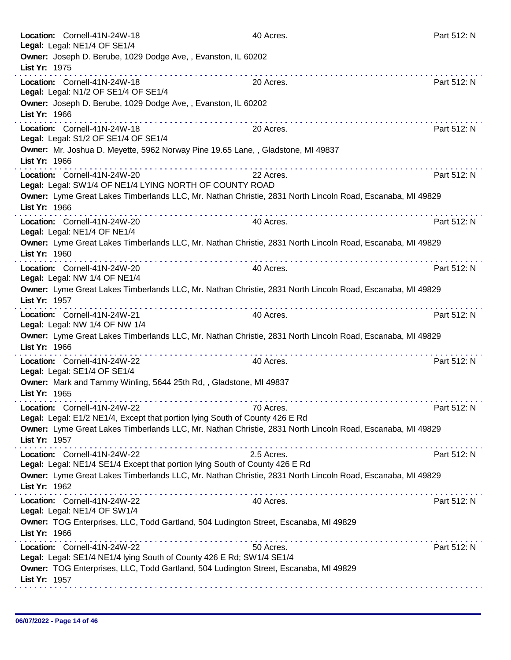| Location: Cornell-41N-24W-18<br>Legal: Legal: NE1/4 OF SE1/4                                                                    | 40 Acres.  | Part 512: N |
|---------------------------------------------------------------------------------------------------------------------------------|------------|-------------|
| Owner: Joseph D. Berube, 1029 Dodge Ave,, Evanston, IL 60202<br>List Yr: 1975<br>.                                              |            |             |
| Location: Cornell-41N-24W-18<br>Legal: Legal: N1/2 OF SE1/4 OF SE1/4                                                            | 20 Acres.  | Part 512: N |
| Owner: Joseph D. Berube, 1029 Dodge Ave, , Evanston, IL 60202<br>List Yr: 1966                                                  |            |             |
| Location: Cornell-41N-24W-18<br>Legal: Legal: S1/2 OF SE1/4 OF SE1/4                                                            | 20 Acres.  | Part 512: N |
| Owner: Mr. Joshua D. Meyette, 5962 Norway Pine 19.65 Lane, , Gladstone, MI 49837<br>List Yr: 1966                               |            |             |
| Location: Cornell-41N-24W-20<br>Legal: Legal: SW1/4 OF NE1/4 LYING NORTH OF COUNTY ROAD                                         | 22 Acres.  | Part 512: N |
| Owner: Lyme Great Lakes Timberlands LLC, Mr. Nathan Christie, 2831 North Lincoln Road, Escanaba, MI 49829<br>List Yr: 1966      |            |             |
| Location: Cornell-41N-24W-20<br>Legal: Legal: NE1/4 OF NE1/4                                                                    | 40 Acres.  | Part 512: N |
| Owner: Lyme Great Lakes Timberlands LLC, Mr. Nathan Christie, 2831 North Lincoln Road, Escanaba, MI 49829<br>List Yr: 1960      |            |             |
| Location: Cornell-41N-24W-20<br>Legal: Legal: NW 1/4 OF NE1/4                                                                   | 40 Acres.  | Part 512: N |
| Owner: Lyme Great Lakes Timberlands LLC, Mr. Nathan Christie, 2831 North Lincoln Road, Escanaba, MI 49829<br>List Yr: 1957      |            |             |
| Location: Cornell-41N-24W-21<br>Legal: Legal: NW 1/4 OF NW 1/4                                                                  | 40 Acres.  | Part 512: N |
| Owner: Lyme Great Lakes Timberlands LLC, Mr. Nathan Christie, 2831 North Lincoln Road, Escanaba, MI 49829<br>List Yr: 1966<br>. |            |             |
| Location: Cornell-41N-24W-22<br>Legal: Legal: SE1/4 OF SE1/4                                                                    | 40 Acres.  | Part 512: N |
| Owner: Mark and Tammy Winling, 5644 25th Rd,, Gladstone, MI 49837<br>List Yr: 1965                                              |            |             |
| Location: Cornell-41N-24W-22<br>Legal: Legal: E1/2 NE1/4, Except that portion lying South of County 426 E Rd                    | 70 Acres.  | Part 512: N |
| Owner: Lyme Great Lakes Timberlands LLC, Mr. Nathan Christie, 2831 North Lincoln Road, Escanaba, MI 49829<br>List Yr: 1957      |            |             |
| Location: Cornell-41N-24W-22<br>Legal: Legal: NE1/4 SE1/4 Except that portion lying South of County 426 E Rd                    | 2.5 Acres. | Part 512: N |
| Owner: Lyme Great Lakes Timberlands LLC, Mr. Nathan Christie, 2831 North Lincoln Road, Escanaba, MI 49829<br>List Yr: 1962      |            |             |
| Location: Cornell-41N-24W-22<br>Legal: Legal: NE1/4 OF SW1/4                                                                    | 40 Acres.  | Part 512: N |
| Owner: TOG Enterprises, LLC, Todd Gartland, 504 Ludington Street, Escanaba, MI 49829<br>List Yr: 1966                           |            |             |
| Location: Cornell-41N-24W-22<br>Legal: Legal: SE1/4 NE1/4 lying South of County 426 E Rd; SW1/4 SE1/4                           | 50 Acres.  | Part 512: N |
| Owner: TOG Enterprises, LLC, Todd Gartland, 504 Ludington Street, Escanaba, MI 49829<br>List Yr: 1957                           |            |             |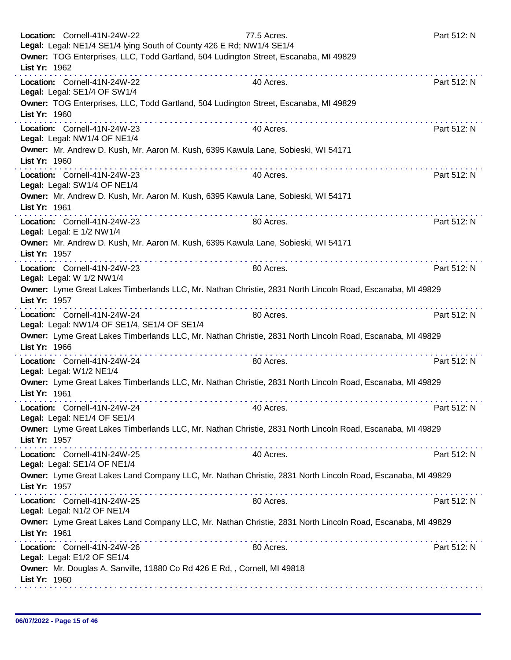|               | Location: Cornell-41N-24W-22<br>Legal: Legal: NE1/4 SE1/4 lying South of County 426 E Rd; NW1/4 SE1/4      | 77.5 Acres. | Part 512: N |
|---------------|------------------------------------------------------------------------------------------------------------|-------------|-------------|
| List Yr: 1962 | Owner: TOG Enterprises, LLC, Todd Gartland, 504 Ludington Street, Escanaba, MI 49829                       |             |             |
|               | Location: Cornell-41N-24W-22<br>Legal: Legal: SE1/4 OF SW1/4                                               | 40 Acres.   | Part 512: N |
| List Yr: 1960 | Owner: TOG Enterprises, LLC, Todd Gartland, 504 Ludington Street, Escanaba, MI 49829                       |             |             |
|               | Location: Cornell-41N-24W-23<br>Legal: Legal: NW1/4 OF NE1/4                                               | 40 Acres.   | Part 512: N |
| List Yr: 1960 | Owner: Mr. Andrew D. Kush, Mr. Aaron M. Kush, 6395 Kawula Lane, Sobieski, WI 54171                         |             |             |
|               | Location: Cornell-41N-24W-23<br>Legal: Legal: SW1/4 OF NE1/4                                               | 40 Acres.   | Part 512: N |
| List Yr: 1961 | Owner: Mr. Andrew D. Kush, Mr. Aaron M. Kush, 6395 Kawula Lane, Sobieski, WI 54171                         |             |             |
|               | Location: Cornell-41N-24W-23<br>Legal: Legal: E 1/2 NW1/4                                                  | 80 Acres.   | Part 512: N |
| List Yr: 1957 | Owner: Mr. Andrew D. Kush, Mr. Aaron M. Kush, 6395 Kawula Lane, Sobieski, WI 54171                         |             |             |
|               | Location: Cornell-41N-24W-23<br>Legal: Legal: W 1/2 NW1/4                                                  | 80 Acres.   | Part 512: N |
| List Yr: 1957 | Owner: Lyme Great Lakes Timberlands LLC, Mr. Nathan Christie, 2831 North Lincoln Road, Escanaba, MI 49829  |             |             |
|               | Location: Cornell-41N-24W-24<br>Legal: Legal: NW1/4 OF SE1/4, SE1/4 OF SE1/4                               | 80 Acres.   | Part 512: N |
| List Yr: 1966 | Owner: Lyme Great Lakes Timberlands LLC, Mr. Nathan Christie, 2831 North Lincoln Road, Escanaba, MI 49829  |             |             |
|               | Location: Cornell-41N-24W-24<br>Legal: Legal: W1/2 NE1/4                                                   | 80 Acres.   | Part 512: N |
| List Yr: 1961 | Owner: Lyme Great Lakes Timberlands LLC, Mr. Nathan Christie, 2831 North Lincoln Road, Escanaba, MI 49829  |             |             |
|               | Location: Cornell-41N-24W-24<br>Legal: Legal: NE1/4 OF SE1/4                                               | 40 Acres.   | Part 512: N |
| List Yr: 1957 | Owner: Lyme Great Lakes Timberlands LLC, Mr. Nathan Christie, 2831 North Lincoln Road, Escanaba, MI 49829  |             |             |
|               | Location: Cornell-41N-24W-25<br>Legal: Legal: SE1/4 OF NE1/4                                               | 40 Acres.   | Part 512: N |
| List Yr: 1957 | Owner: Lyme Great Lakes Land Company LLC, Mr. Nathan Christie, 2831 North Lincoln Road, Escanaba, MI 49829 |             |             |
|               | Location: Cornell-41N-24W-25<br>Legal: Legal: N1/2 OF NE1/4                                                | 80 Acres.   | Part 512: N |
| List Yr: 1961 | Owner: Lyme Great Lakes Land Company LLC, Mr. Nathan Christie, 2831 North Lincoln Road, Escanaba, MI 49829 |             |             |
|               | Location: Cornell-41N-24W-26<br>Legal: Legal: E1/2 OF SE1/4                                                | 80 Acres.   | Part 512: N |
| List Yr: 1960 | Owner: Mr. Douglas A. Sanville, 11880 Co Rd 426 E Rd, , Cornell, MI 49818                                  |             |             |
|               |                                                                                                            |             |             |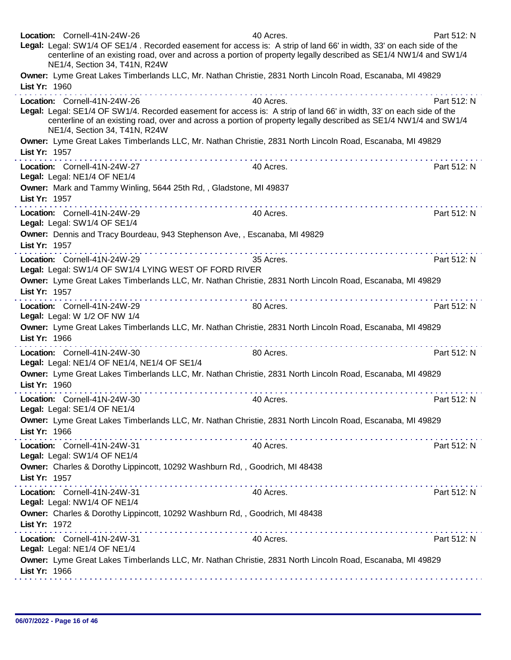| Location: Cornell-41N-24W-26<br>NE1/4, Section 34, T41N, R24W                         | 40 Acres.<br>Legal: Legal: SW1/4 OF SE1/4. Recorded easement for access is: A strip of land 66' in width, 33' on each side of the<br>centerline of an existing road, over and across a portion of property legally described as SE1/4 NW1/4 and SW1/4                                                                                                                                                                                                                                   | Part 512: N |
|---------------------------------------------------------------------------------------|-----------------------------------------------------------------------------------------------------------------------------------------------------------------------------------------------------------------------------------------------------------------------------------------------------------------------------------------------------------------------------------------------------------------------------------------------------------------------------------------|-------------|
| List Yr: 1960                                                                         | Owner: Lyme Great Lakes Timberlands LLC, Mr. Nathan Christie, 2831 North Lincoln Road, Escanaba, MI 49829                                                                                                                                                                                                                                                                                                                                                                               |             |
| Location: Cornell-41N-24W-26<br>NE1/4, Section 34, T41N, R24W                         | 40 Acres.<br>Legal: Legal: SE1/4 OF SW1/4. Recorded easement for access is: A strip of land 66' in width, 33' on each side of the<br>centerline of an existing road, over and across a portion of property legally described as SE1/4 NW1/4 and SW1/4                                                                                                                                                                                                                                   | Part 512: N |
| List Yr: 1957                                                                         | Owner: Lyme Great Lakes Timberlands LLC, Mr. Nathan Christie, 2831 North Lincoln Road, Escanaba, MI 49829                                                                                                                                                                                                                                                                                                                                                                               |             |
| Location: Cornell-41N-24W-27<br>Legal: Legal: NE1/4 OF NE1/4                          | 40 Acres.                                                                                                                                                                                                                                                                                                                                                                                                                                                                               | Part 512: N |
| List Yr: 1957                                                                         | Owner: Mark and Tammy Winling, 5644 25th Rd,, Gladstone, MI 49837                                                                                                                                                                                                                                                                                                                                                                                                                       |             |
| Location: Cornell-41N-24W-29<br>Legal: Legal: SW1/4 OF SE1/4                          | 40 Acres.                                                                                                                                                                                                                                                                                                                                                                                                                                                                               | Part 512: N |
| List Yr: 1957                                                                         | Owner: Dennis and Tracy Bourdeau, 943 Stephenson Ave,, Escanaba, MI 49829                                                                                                                                                                                                                                                                                                                                                                                                               |             |
| Location: Cornell-41N-24W-29<br>Legal: Legal: SW1/4 OF SW1/4 LYING WEST OF FORD RIVER | dia ara-dia ara-dia ara-dia ara-dia a<br>35 Acres.                                                                                                                                                                                                                                                                                                                                                                                                                                      | Part 512: N |
| List Yr: 1957                                                                         | Owner: Lyme Great Lakes Timberlands LLC, Mr. Nathan Christie, 2831 North Lincoln Road, Escanaba, MI 49829                                                                                                                                                                                                                                                                                                                                                                               |             |
| Location: Cornell-41N-24W-29<br>Legal: Legal: W 1/2 OF NW 1/4                         | 80 Acres.                                                                                                                                                                                                                                                                                                                                                                                                                                                                               | Part 512: N |
| List Yr: 1966                                                                         | Owner: Lyme Great Lakes Timberlands LLC, Mr. Nathan Christie, 2831 North Lincoln Road, Escanaba, MI 49829                                                                                                                                                                                                                                                                                                                                                                               |             |
| Location: Cornell-41N-24W-30<br>Legal: Legal: NE1/4 OF NE1/4, NE1/4 OF SE1/4          | .<br>80 Acres.                                                                                                                                                                                                                                                                                                                                                                                                                                                                          | Part 512: N |
| List Yr: 1960                                                                         | Owner: Lyme Great Lakes Timberlands LLC, Mr. Nathan Christie, 2831 North Lincoln Road, Escanaba, MI 49829                                                                                                                                                                                                                                                                                                                                                                               |             |
| Location: Cornell-41N-24W-30<br>Legal: Legal: SE1/4 OF NE1/4                          | 40 Acres                                                                                                                                                                                                                                                                                                                                                                                                                                                                                | Part 512: N |
| List Yr: 1966                                                                         | Owner: Lyme Great Lakes Timberlands LLC, Mr. Nathan Christie, 2831 North Lincoln Road, Escanaba, MI 49829                                                                                                                                                                                                                                                                                                                                                                               |             |
| Location: Cornell-41N-24W-31<br>Legal: Legal: SW1/4 OF NE1/4                          | 40 Acres.                                                                                                                                                                                                                                                                                                                                                                                                                                                                               | Part 512: N |
| List Yr: 1957                                                                         | Owner: Charles & Dorothy Lippincott, 10292 Washburn Rd,, Goodrich, MI 48438                                                                                                                                                                                                                                                                                                                                                                                                             |             |
| Location: Cornell-41N-24W-31<br>Legal: Legal: NW1/4 OF NE1/4                          | 40 Acres.                                                                                                                                                                                                                                                                                                                                                                                                                                                                               | Part 512: N |
| List Yr: 1972                                                                         | Owner: Charles & Dorothy Lippincott, 10292 Washburn Rd,, Goodrich, MI 48438                                                                                                                                                                                                                                                                                                                                                                                                             |             |
| Location: Cornell-41N-24W-31<br>Legal: Legal: NE1/4 OF NE1/4                          | $\mathcal{L}^{\mathcal{A}}\left(\mathcal{A}^{\mathcal{A}}\right)=\mathcal{L}^{\mathcal{A}}\left(\mathcal{A}^{\mathcal{A}}\right)=\mathcal{L}^{\mathcal{A}}\left(\mathcal{A}^{\mathcal{A}}\right)=\mathcal{L}^{\mathcal{A}}\left(\mathcal{A}^{\mathcal{A}}\right)=\mathcal{L}^{\mathcal{A}}\left(\mathcal{A}^{\mathcal{A}}\right)=\mathcal{L}^{\mathcal{A}}\left(\mathcal{A}^{\mathcal{A}}\right)=\mathcal{L}^{\mathcal{A}}\left(\mathcal{A}^{\mathcal{A}}\right)=\mathcal$<br>40 Acres. | Part 512: N |
| List Yr: 1966                                                                         | Owner: Lyme Great Lakes Timberlands LLC, Mr. Nathan Christie, 2831 North Lincoln Road, Escanaba, MI 49829                                                                                                                                                                                                                                                                                                                                                                               |             |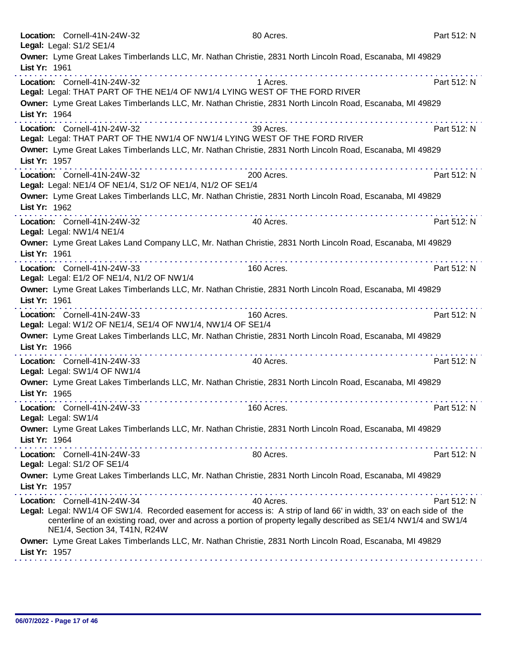| Location: Cornell-41N-24W-32                                                                | 80 Acres.                                                                                                                                                                                                                                                                                                                                                                                                                                                                                                       | Part 512: N |
|---------------------------------------------------------------------------------------------|-----------------------------------------------------------------------------------------------------------------------------------------------------------------------------------------------------------------------------------------------------------------------------------------------------------------------------------------------------------------------------------------------------------------------------------------------------------------------------------------------------------------|-------------|
| Legal: Legal: S1/2 SE1/4                                                                    | Owner: Lyme Great Lakes Timberlands LLC, Mr. Nathan Christie, 2831 North Lincoln Road, Escanaba, MI 49829                                                                                                                                                                                                                                                                                                                                                                                                       |             |
| List Yr: 1961                                                                               |                                                                                                                                                                                                                                                                                                                                                                                                                                                                                                                 |             |
| Location: Cornell-41N-24W-32                                                                | 1 Acres.                                                                                                                                                                                                                                                                                                                                                                                                                                                                                                        | Part 512: N |
|                                                                                             | Legal: Legal: THAT PART OF THE NE1/4 OF NW1/4 LYING WEST OF THE FORD RIVER                                                                                                                                                                                                                                                                                                                                                                                                                                      |             |
| List Yr: 1964                                                                               | Owner: Lyme Great Lakes Timberlands LLC, Mr. Nathan Christie, 2831 North Lincoln Road, Escanaba, MI 49829                                                                                                                                                                                                                                                                                                                                                                                                       |             |
| Location: Cornell-41N-24W-32                                                                | 39 Acres.                                                                                                                                                                                                                                                                                                                                                                                                                                                                                                       | Part 512: N |
|                                                                                             | Legal: Legal: THAT PART OF THE NW1/4 OF NW1/4 LYING WEST OF THE FORD RIVER                                                                                                                                                                                                                                                                                                                                                                                                                                      |             |
|                                                                                             | Owner: Lyme Great Lakes Timberlands LLC, Mr. Nathan Christie, 2831 North Lincoln Road, Escanaba, MI 49829                                                                                                                                                                                                                                                                                                                                                                                                       |             |
| List Yr: 1957                                                                               |                                                                                                                                                                                                                                                                                                                                                                                                                                                                                                                 |             |
| Location: Cornell-41N-24W-32                                                                | 200 Acres.                                                                                                                                                                                                                                                                                                                                                                                                                                                                                                      | Part 512: N |
| Legal: Legal: NE1/4 OF NE1/4, S1/2 OF NE1/4, N1/2 OF SE1/4                                  | Owner: Lyme Great Lakes Timberlands LLC, Mr. Nathan Christie, 2831 North Lincoln Road, Escanaba, MI 49829                                                                                                                                                                                                                                                                                                                                                                                                       |             |
| List Yr: 1962                                                                               |                                                                                                                                                                                                                                                                                                                                                                                                                                                                                                                 |             |
| Location: Cornell-41N-24W-32                                                                | 40 Acres.                                                                                                                                                                                                                                                                                                                                                                                                                                                                                                       | Part 512: N |
| Legal: Legal: NW1/4 NE1/4                                                                   |                                                                                                                                                                                                                                                                                                                                                                                                                                                                                                                 |             |
| List Yr: 1961                                                                               | Owner: Lyme Great Lakes Land Company LLC, Mr. Nathan Christie, 2831 North Lincoln Road, Escanaba, MI 49829                                                                                                                                                                                                                                                                                                                                                                                                      |             |
| Location: Cornell-41N-24W-33                                                                | 160 Acres.                                                                                                                                                                                                                                                                                                                                                                                                                                                                                                      | Part 512: N |
| Legal: Legal: E1/2 OF NE1/4, N1/2 OF NW1/4                                                  |                                                                                                                                                                                                                                                                                                                                                                                                                                                                                                                 |             |
|                                                                                             | Owner: Lyme Great Lakes Timberlands LLC, Mr. Nathan Christie, 2831 North Lincoln Road, Escanaba, MI 49829                                                                                                                                                                                                                                                                                                                                                                                                       |             |
| List Yr: 1961                                                                               |                                                                                                                                                                                                                                                                                                                                                                                                                                                                                                                 |             |
| Location: Cornell-41N-24W-33<br>Legal: Legal: W1/2 OF NE1/4, SE1/4 OF NW1/4, NW1/4 OF SE1/4 | 160 Acres.                                                                                                                                                                                                                                                                                                                                                                                                                                                                                                      | Part 512: N |
|                                                                                             | Owner: Lyme Great Lakes Timberlands LLC, Mr. Nathan Christie, 2831 North Lincoln Road, Escanaba, MI 49829                                                                                                                                                                                                                                                                                                                                                                                                       |             |
| List Yr: 1966                                                                               |                                                                                                                                                                                                                                                                                                                                                                                                                                                                                                                 |             |
| Location: Cornell-41N-24W-33                                                                | 40 Acres.                                                                                                                                                                                                                                                                                                                                                                                                                                                                                                       | Part 512: N |
| Legal: Legal: SW1/4 OF NW1/4                                                                |                                                                                                                                                                                                                                                                                                                                                                                                                                                                                                                 |             |
| List Yr: 1965                                                                               | Owner: Lyme Great Lakes Timberlands LLC, Mr. Nathan Christie, 2831 North Lincoln Road, Escanaba, MI 49829                                                                                                                                                                                                                                                                                                                                                                                                       |             |
| Location: Cornell-41N-24W-33                                                                | 160 Acres.                                                                                                                                                                                                                                                                                                                                                                                                                                                                                                      | Part 512: N |
| Legal: Legal: SW1/4                                                                         |                                                                                                                                                                                                                                                                                                                                                                                                                                                                                                                 |             |
|                                                                                             | Owner: Lyme Great Lakes Timberlands LLC, Mr. Nathan Christie, 2831 North Lincoln Road, Escanaba, MI 49829                                                                                                                                                                                                                                                                                                                                                                                                       |             |
| List Yr: 1964                                                                               | $\mathbf{a}^{\mathsf{T}} \mathbf{a}^{\mathsf{T}} \mathbf{a}^{\mathsf{T}} \mathbf{a}^{\mathsf{T}} \mathbf{a}^{\mathsf{T}} \mathbf{a}^{\mathsf{T}} \mathbf{a}^{\mathsf{T}} \mathbf{a}^{\mathsf{T}} \mathbf{a}^{\mathsf{T}} \mathbf{a}^{\mathsf{T}} \mathbf{a}^{\mathsf{T}} \mathbf{a}^{\mathsf{T}} \mathbf{a}^{\mathsf{T}} \mathbf{a}^{\mathsf{T}} \mathbf{a}^{\mathsf{T}} \mathbf{a}^{\mathsf{T}} \mathbf{a}^{\mathsf{T}} \mathbf{a}^{\mathsf{T}} \mathbf{$<br>the second contract of the second contract of the |             |
| Location: Cornell-41N-24W-33<br>Legal: Legal: S1/2 OF SE1/4                                 | 80 Acres.                                                                                                                                                                                                                                                                                                                                                                                                                                                                                                       | Part 512: N |
|                                                                                             | Owner: Lyme Great Lakes Timberlands LLC, Mr. Nathan Christie, 2831 North Lincoln Road, Escanaba, MI 49829                                                                                                                                                                                                                                                                                                                                                                                                       |             |
| List Yr: 1957                                                                               |                                                                                                                                                                                                                                                                                                                                                                                                                                                                                                                 |             |
| Location: Cornell-41N-24W-34                                                                | 40 Acres.                                                                                                                                                                                                                                                                                                                                                                                                                                                                                                       | Part 512: N |
| NE1/4, Section 34, T41N, R24W                                                               | Legal: Legal: NW1/4 OF SW1/4. Recorded easement for access is: A strip of land 66' in width, 33' on each side of the<br>centerline of an existing road, over and across a portion of property legally described as SE1/4 NW1/4 and SW1/4                                                                                                                                                                                                                                                                        |             |
|                                                                                             | Owner: Lyme Great Lakes Timberlands LLC, Mr. Nathan Christie, 2831 North Lincoln Road, Escanaba, MI 49829                                                                                                                                                                                                                                                                                                                                                                                                       |             |
| List Yr: 1957                                                                               |                                                                                                                                                                                                                                                                                                                                                                                                                                                                                                                 |             |
|                                                                                             |                                                                                                                                                                                                                                                                                                                                                                                                                                                                                                                 |             |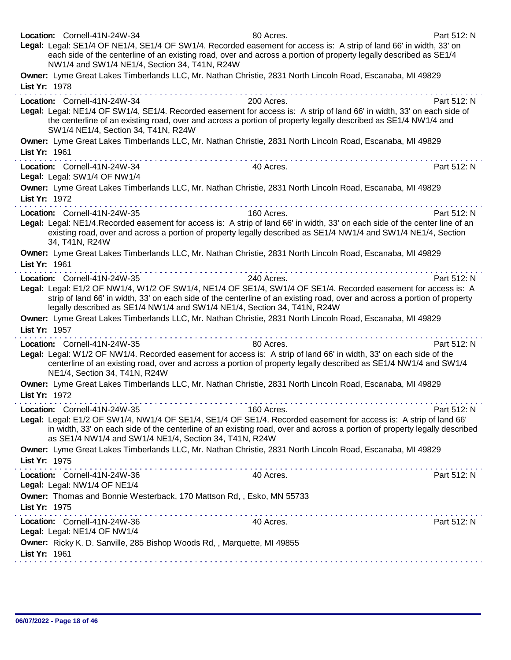| Location: Cornell-41N-24W-34<br>Legal: Legal: SE1/4 OF NE1/4, SE1/4 OF SW1/4. Recorded easement for access is: A strip of land 66' in width, 33' on<br>NW1/4 and SW1/4 NE1/4, Section 34, T41N, R24W                       | 80 Acres.<br>each side of the centerline of an existing road, over and across a portion of property legally described as SE1/4          | Part 512: N |
|----------------------------------------------------------------------------------------------------------------------------------------------------------------------------------------------------------------------------|-----------------------------------------------------------------------------------------------------------------------------------------|-------------|
| Owner: Lyme Great Lakes Timberlands LLC, Mr. Nathan Christie, 2831 North Lincoln Road, Escanaba, MI 49829<br>List Yr: 1978                                                                                                 |                                                                                                                                         |             |
| Location: Cornell-41N-24W-34<br>Legal: Legal: NE1/4 OF SW1/4, SE1/4. Recorded easement for access is: A strip of land 66' in width, 33' on each side of<br>SW1/4 NE1/4, Section 34, T41N, R24W                             | 200 Acres.<br>the centerline of an existing road, over and across a portion of property legally described as SE1/4 NW1/4 and            | Part 512: N |
| Owner: Lyme Great Lakes Timberlands LLC, Mr. Nathan Christie, 2831 North Lincoln Road, Escanaba, MI 49829<br>List Yr: 1961                                                                                                 |                                                                                                                                         |             |
| Location: Cornell-41N-24W-34<br>Legal: Legal: SW1/4 OF NW1/4                                                                                                                                                               | the second contract of the second contract of the<br>40 Acres.                                                                          | Part 512: N |
| Owner: Lyme Great Lakes Timberlands LLC, Mr. Nathan Christie, 2831 North Lincoln Road, Escanaba, MI 49829<br>List Yr: 1972<br>.                                                                                            | .                                                                                                                                       |             |
| Location: Cornell-41N-24W-35<br>Legal: Legal: NE1/4. Recorded easement for access is: A strip of land 66' in width, 33' on each side of the center line of an<br>34, T41N, R24W                                            | 160 Acres.<br>existing road, over and across a portion of property legally described as SE1/4 NW1/4 and SW1/4 NE1/4, Section            | Part 512: N |
| Owner: Lyme Great Lakes Timberlands LLC, Mr. Nathan Christie, 2831 North Lincoln Road, Escanaba, MI 49829<br>List Yr: 1961                                                                                                 |                                                                                                                                         |             |
| Location: Cornell-41N-24W-35<br>Legal: Legal: E1/2 OF NW1/4, W1/2 OF SW1/4, NE1/4 OF SE1/4, SW1/4 OF SE1/4. Recorded easement for access is: A<br>legally described as SE1/4 NW1/4 and SW1/4 NE1/4, Section 34, T41N, R24W | 240 Acres.<br>strip of land 66' in width, 33' on each side of the centerline of an existing road, over and across a portion of property | Part 512: N |
| Owner: Lyme Great Lakes Timberlands LLC, Mr. Nathan Christie, 2831 North Lincoln Road, Escanaba, MI 49829<br>List Yr: 1957                                                                                                 |                                                                                                                                         |             |
| Location: Cornell-41N-24W-35<br>Legal: Legal: W1/2 OF NW1/4. Recorded easement for access is: A strip of land 66' in width, 33' on each side of the<br>NE1/4, Section 34, T41N, R24W                                       | 80 Acres.<br>centerline of an existing road, over and across a portion of property legally described as SE1/4 NW1/4 and SW1/4           | Part 512: N |
| Owner: Lyme Great Lakes Timberlands LLC, Mr. Nathan Christie, 2831 North Lincoln Road, Escanaba, MI 49829<br>List Yr: 1972                                                                                                 |                                                                                                                                         |             |
| Location: Cornell-41N-24W-35<br>Legal: Legal: E1/2 OF SW1/4, NW1/4 OF SE1/4, SE1/4 OF SE1/4. Recorded easement for access is: A strip of land 66'<br>as SE1/4 NW1/4 and SW1/4 NE1/4, Section 34, T41N, R24W                | 160 Acres.<br>in width, 33' on each side of the centerline of an existing road, over and across a portion of property legally described | Part 512: N |
| Owner: Lyme Great Lakes Timberlands LLC, Mr. Nathan Christie, 2831 North Lincoln Road, Escanaba, MI 49829<br>List Yr: 1975                                                                                                 |                                                                                                                                         |             |
| Location: Cornell-41N-24W-36<br>Legal: Legal: NW1/4 OF NE1/4                                                                                                                                                               | 40 Acres.                                                                                                                               | Part 512: N |
| Owner: Thomas and Bonnie Westerback, 170 Mattson Rd, , Esko, MN 55733<br>List Yr: 1975                                                                                                                                     |                                                                                                                                         |             |
| Location: Cornell-41N-24W-36<br>Legal: Legal: NE1/4 OF NW1/4                                                                                                                                                               | 40 Acres.                                                                                                                               | Part 512: N |
| Owner: Ricky K. D. Sanville, 285 Bishop Woods Rd,, Marquette, MI 49855<br>List Yr: 1961                                                                                                                                    |                                                                                                                                         |             |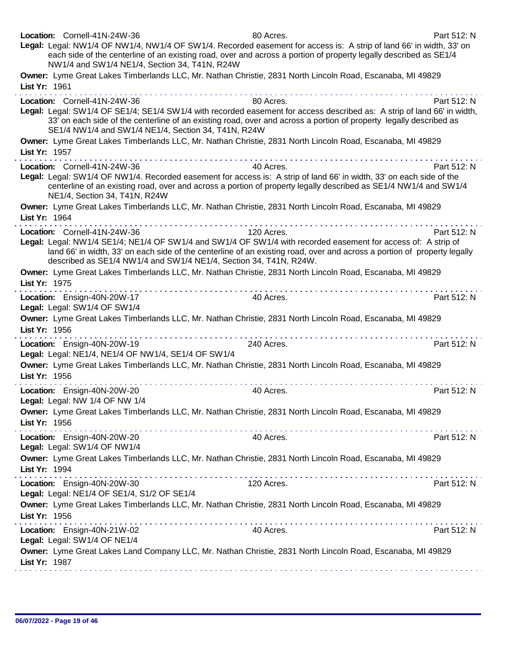| Location: Cornell-41N-24W-36<br>Legal: Legal: NW1/4 OF NW1/4, NW1/4 OF SW1/4. Recorded easement for access is: A strip of land 66' in width, 33' on<br>each side of the centerline of an existing road, over and across a portion of property legally described as SE1/4<br>NW1/4 and SW1/4 NE1/4, Section 34, T41N, R24W            | 80 Acres.  | Part 512: N |
|--------------------------------------------------------------------------------------------------------------------------------------------------------------------------------------------------------------------------------------------------------------------------------------------------------------------------------------|------------|-------------|
| Owner: Lyme Great Lakes Timberlands LLC, Mr. Nathan Christie, 2831 North Lincoln Road, Escanaba, MI 49829<br>List Yr: 1961                                                                                                                                                                                                           |            |             |
| Location: Cornell-41N-24W-36<br>Legal: Legal: SW1/4 OF SE1/4; SE1/4 SW1/4 with recorded easement for access described as: A strip of land 66' in width,<br>33' on each side of the centerline of an existing road, over and across a portion of property legally described as<br>SE1/4 NW1/4 and SW1/4 NE1/4, Section 34, T41N, R24W | 80 Acres.  | Part 512: N |
| Owner: Lyme Great Lakes Timberlands LLC, Mr. Nathan Christie, 2831 North Lincoln Road, Escanaba, MI 49829<br>List Yr: 1957<br>.                                                                                                                                                                                                      |            |             |
| Location: Cornell-41N-24W-36                                                                                                                                                                                                                                                                                                         | 40 Acres.  | Part 512: N |
| Legal: Legal: SW1/4 OF NW1/4. Recorded easement for access is: A strip of land 66' in width, 33' on each side of the<br>centerline of an existing road, over and across a portion of property legally described as SE1/4 NW1/4 and SW1/4<br>NE1/4, Section 34, T41N, R24W                                                            |            |             |
| Owner: Lyme Great Lakes Timberlands LLC, Mr. Nathan Christie, 2831 North Lincoln Road, Escanaba, MI 49829<br>List Yr: 1964                                                                                                                                                                                                           |            |             |
| the second contract of the<br>Location: Cornell-41N-24W-36                                                                                                                                                                                                                                                                           | 120 Acres. | Part 512: N |
| Legal: Legal: NW1/4 SE1/4; NE1/4 OF SW1/4 and SW1/4 OF SW1/4 with recorded easement for access of: A strip of<br>land 66' in width, 33' on each side of the centerline of an existing road, over and across a portion of property legally<br>described as SE1/4 NW1/4 and SW1/4 NE1/4, Section 34, T41N, R24W.                       |            |             |
| Owner: Lyme Great Lakes Timberlands LLC, Mr. Nathan Christie, 2831 North Lincoln Road, Escanaba, MI 49829<br>List Yr: 1975                                                                                                                                                                                                           |            |             |
| Location: Ensign-40N-20W-17<br>Legal: Legal: SW1/4 OF SW1/4                                                                                                                                                                                                                                                                          | 40 Acres.  | Part 512: N |
| Owner: Lyme Great Lakes Timberlands LLC, Mr. Nathan Christie, 2831 North Lincoln Road, Escanaba, MI 49829<br>List Yr: 1956<br>.                                                                                                                                                                                                      |            |             |
| Location: Ensign-40N-20W-19<br>Legal: Legal: NE1/4, NE1/4 OF NW1/4, SE1/4 OF SW1/4                                                                                                                                                                                                                                                   | 240 Acres. | Part 512: N |
| Owner: Lyme Great Lakes Timberlands LLC, Mr. Nathan Christie, 2831 North Lincoln Road, Escanaba, MI 49829<br>List Yr: 1956                                                                                                                                                                                                           |            |             |
| Location: Ensign-40N-20W-20<br>egal: Legal: NW 1/4 OF NW 1/4                                                                                                                                                                                                                                                                         | 40 Acres.  | Part 512: N |
| Owner: Lyme Great Lakes Timberlands LLC, Mr. Nathan Christie, 2831 North Lincoln Road, Escanaba, MI 49829<br>List Yr: 1956                                                                                                                                                                                                           |            |             |
| Location: Ensign-40N-20W-20<br>Legal: Legal: SW1/4 OF NW1/4                                                                                                                                                                                                                                                                          | 40 Acres.  | Part 512: N |
| Owner: Lyme Great Lakes Timberlands LLC, Mr. Nathan Christie, 2831 North Lincoln Road, Escanaba, MI 49829<br>List Yr: 1994                                                                                                                                                                                                           |            |             |
| Location: Ensign-40N-20W-30<br>Legal: Legal: NE1/4 OF SE1/4, S1/2 OF SE1/4                                                                                                                                                                                                                                                           | 120 Acres. | Part 512: N |
| Owner: Lyme Great Lakes Timberlands LLC, Mr. Nathan Christie, 2831 North Lincoln Road, Escanaba, MI 49829<br>List Yr: 1956                                                                                                                                                                                                           |            |             |
| Location: Ensign-40N-21W-02<br>Legal: Legal: SW1/4 OF NE1/4                                                                                                                                                                                                                                                                          | 40 Acres.  | Part 512: N |
| Owner: Lyme Great Lakes Land Company LLC, Mr. Nathan Christie, 2831 North Lincoln Road, Escanaba, MI 49829<br>List Yr: 1987                                                                                                                                                                                                          |            |             |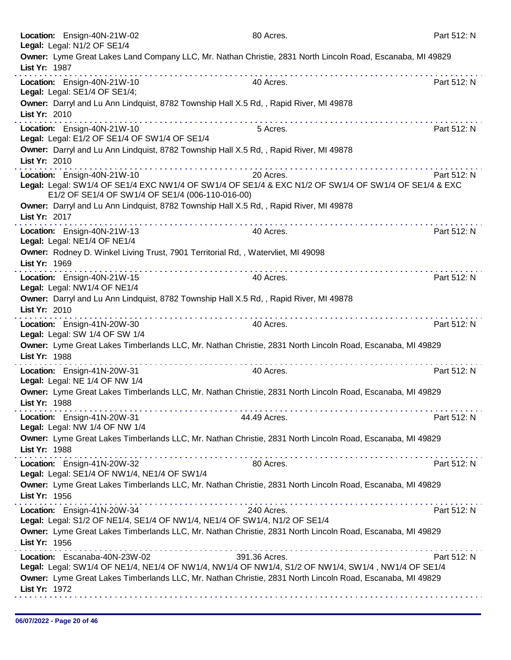|               | Location: Ensign-40N-21W-02<br>Legal: Legal: N1/2 OF SE1/4                                                                                                                              | 80 Acres.     | Part 512: N |
|---------------|-----------------------------------------------------------------------------------------------------------------------------------------------------------------------------------------|---------------|-------------|
| List Yr: 1987 | Owner: Lyme Great Lakes Land Company LLC, Mr. Nathan Christie, 2831 North Lincoln Road, Escanaba, MI 49829                                                                              |               |             |
|               | Location: Ensign-40N-21W-10<br>Legal: Legal: SE1/4 OF SE1/4;                                                                                                                            | 40 Acres.     | Part 512: N |
| List Yr: 2010 | Owner: Darryl and Lu Ann Lindquist, 8782 Township Hall X.5 Rd,, Rapid River, MI 49878                                                                                                   |               |             |
|               | Location: Ensign-40N-21W-10<br>Legal: Legal: E1/2 OF SE1/4 OF SW1/4 OF SE1/4                                                                                                            | 5 Acres.      | Part 512: N |
| List Yr: 2010 | Owner: Darryl and Lu Ann Lindquist, 8782 Township Hall X.5 Rd, , Rapid River, MI 49878                                                                                                  |               |             |
|               | Location: Ensign-40N-21W-10<br>Legal: Legal: SW1/4 OF SE1/4 EXC NW1/4 OF SW1/4 OF SE1/4 & EXC N1/2 OF SW1/4 OF SW1/4 OF SE1/4 & EXC<br>E1/2 OF SE1/4 OF SW1/4 OF SE1/4 (006-110-016-00) | 20 Acres.     | Part 512: N |
| List Yr: 2017 | Owner: Darryl and Lu Ann Lindquist, 8782 Township Hall X.5 Rd,, Rapid River, MI 49878                                                                                                   |               |             |
|               | Location: Ensign-40N-21W-13<br>Legal: Legal: NE1/4 OF NE1/4                                                                                                                             | 40 Acres.     | Part 512: N |
| List Yr: 1969 | Owner: Rodney D. Winkel Living Trust, 7901 Territorial Rd,, Watervliet, MI 49098                                                                                                        |               |             |
|               | Location: Ensign-40N-21W-15<br>Legal: Legal: NW1/4 OF NE1/4                                                                                                                             | 40 Acres.     | Part 512: N |
| List Yr: 2010 | Owner: Darryl and Lu Ann Lindquist, 8782 Township Hall X.5 Rd,, Rapid River, MI 49878                                                                                                   |               |             |
|               | Location: Ensign-41N-20W-30<br>Legal: Legal: SW 1/4 OF SW 1/4                                                                                                                           | 40 Acres.     | Part 512: N |
| List Yr: 1988 | Owner: Lyme Great Lakes Timberlands LLC, Mr. Nathan Christie, 2831 North Lincoln Road, Escanaba, MI 49829                                                                               |               |             |
|               | Location: Ensign-41N-20W-31<br>Legal: Legal: NE 1/4 OF NW 1/4                                                                                                                           | 40 Acres.     | Part 512: N |
| List Yr: 1988 | Owner: Lyme Great Lakes Timberlands LLC, Mr. Nathan Christie, 2831 North Lincoln Road, Escanaba, MI 49829                                                                               |               |             |
|               | Location: Ensign-41N-20W-31<br>Legal: Legal: NW 1/4 OF NW 1/4                                                                                                                           | 44.49 Acres.  | Part 512: N |
| List Yr: 1988 | Owner: Lyme Great Lakes Timberlands LLC, Mr. Nathan Christie, 2831 North Lincoln Road, Escanaba, MI 49829                                                                               |               |             |
|               | Location: Ensign-41N-20W-32<br>Legal: Legal: SE1/4 OF NW1/4, NE1/4 OF SW1/4                                                                                                             | 80 Acres.     | Part 512: N |
| List Yr: 1956 | Owner: Lyme Great Lakes Timberlands LLC, Mr. Nathan Christie, 2831 North Lincoln Road, Escanaba, MI 49829                                                                               |               |             |
|               | Location: Ensign-41N-20W-34<br>Legal: Legal: S1/2 OF NE1/4, SE1/4 OF NW1/4, NE1/4 OF SW1/4, N1/2 OF SE1/4                                                                               | 240 Acres.    | Part 512: N |
| List Yr: 1956 | Owner: Lyme Great Lakes Timberlands LLC, Mr. Nathan Christie, 2831 North Lincoln Road, Escanaba, MI 49829                                                                               |               |             |
|               | Location: Escanaba-40N-23W-02<br>Legal: Legal: SW1/4 OF NE1/4, NE1/4 OF NW1/4, NW1/4 OF NW1/4, S1/2 OF NW1/4, SW1/4, NW1/4 OF SE1/4                                                     | 391.36 Acres. | Part 512: N |
| List Yr: 1972 | Owner: Lyme Great Lakes Timberlands LLC, Mr. Nathan Christie, 2831 North Lincoln Road, Escanaba, MI 49829                                                                               |               |             |
|               |                                                                                                                                                                                         |               |             |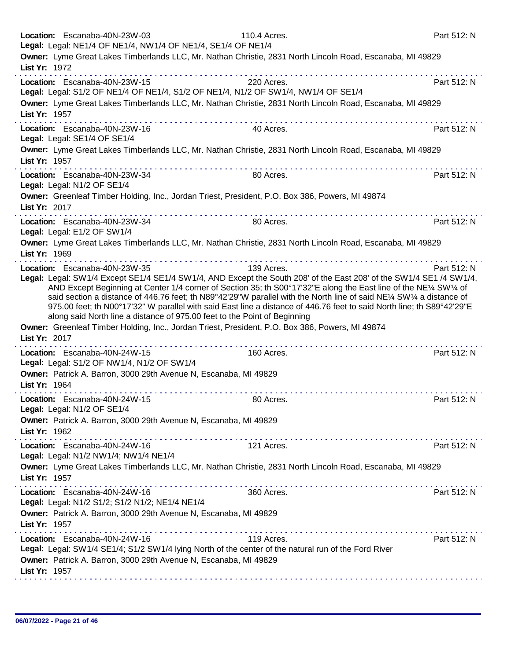|               | Location: Escanaba-40N-23W-03<br>Legal: Legal: NE1/4 OF NE1/4, NW1/4 OF NE1/4, SE1/4 OF NE1/4                                                                            | 110.4 Acres.                                                                                                           | Part 512: N |
|---------------|--------------------------------------------------------------------------------------------------------------------------------------------------------------------------|------------------------------------------------------------------------------------------------------------------------|-------------|
|               |                                                                                                                                                                          | Owner: Lyme Great Lakes Timberlands LLC, Mr. Nathan Christie, 2831 North Lincoln Road, Escanaba, MI 49829              |             |
| List Yr: 1972 | . <b>.</b>                                                                                                                                                               |                                                                                                                        |             |
|               | Location: Escanaba-40N-23W-15                                                                                                                                            | 220 Acres.                                                                                                             | Part 512: N |
|               | Legal: Legal: S1/2 OF NE1/4 OF NE1/4, S1/2 OF NE1/4, N1/2 OF SW1/4, NW1/4 OF SE1/4                                                                                       |                                                                                                                        |             |
|               |                                                                                                                                                                          | Owner: Lyme Great Lakes Timberlands LLC, Mr. Nathan Christie, 2831 North Lincoln Road, Escanaba, MI 49829              |             |
| List Yr: 1957 | the companies of the companies of the companies of the                                                                                                                   |                                                                                                                        |             |
|               | Location: Escanaba-40N-23W-16                                                                                                                                            | 40 Acres.                                                                                                              | Part 512: N |
|               | Legal: Legal: SE1/4 OF SE1/4                                                                                                                                             |                                                                                                                        |             |
|               |                                                                                                                                                                          | Owner: Lyme Great Lakes Timberlands LLC, Mr. Nathan Christie, 2831 North Lincoln Road, Escanaba, MI 49829              |             |
| List Yr: 1957 |                                                                                                                                                                          | .                                                                                                                      |             |
|               | Location: Escanaba-40N-23W-34                                                                                                                                            | 80 Acres.                                                                                                              | Part 512: N |
|               | Legal: Legal: N1/2 OF SE1/4                                                                                                                                              |                                                                                                                        |             |
|               | Owner: Greenleaf Timber Holding, Inc., Jordan Triest, President, P.O. Box 386, Powers, MI 49874                                                                          |                                                                                                                        |             |
| List Yr: 2017 |                                                                                                                                                                          |                                                                                                                        |             |
|               | Location: Escanaba-40N-23W-34                                                                                                                                            | 80 Acres.                                                                                                              | Part 512: N |
|               | Legal: Legal: E1/2 OF SW1/4                                                                                                                                              |                                                                                                                        |             |
|               |                                                                                                                                                                          | Owner: Lyme Great Lakes Timberlands LLC, Mr. Nathan Christie, 2831 North Lincoln Road, Escanaba, MI 49829              |             |
| List Yr: 1969 |                                                                                                                                                                          |                                                                                                                        |             |
|               | . <b>.</b><br>Location: Escanaba-40N-23W-35                                                                                                                              | 139 Acres.                                                                                                             | Part 512: N |
|               |                                                                                                                                                                          | Legal: Legal: SW1/4 Except SE1/4 SE1/4 SW1/4, AND Except the South 208' of the East 208' of the SW1/4 SE1 /4 SW1/4,    |             |
|               |                                                                                                                                                                          | AND Except Beginning at Center 1/4 corner of Section 35; th S00°17'32"E along the East line of the NE¼ SW14 of         |             |
|               |                                                                                                                                                                          | said section a distance of 446.76 feet; th N89°42'29"W parallel with the North line of said NE¼ SW¼ a distance of      |             |
|               |                                                                                                                                                                          | 975.00 feet; th N00°17'32" W parallel with said East line a distance of 446.76 feet to said North line; th S89°42'29"E |             |
|               | along said North line a distance of 975.00 feet to the Point of Beginning                                                                                                |                                                                                                                        |             |
|               | Owner: Greenleaf Timber Holding, Inc., Jordan Triest, President, P.O. Box 386, Powers, MI 49874                                                                          |                                                                                                                        |             |
| List Yr: 2017 |                                                                                                                                                                          |                                                                                                                        |             |
|               |                                                                                                                                                                          |                                                                                                                        |             |
|               | Location: Escanaba-40N-24W-15                                                                                                                                            | 160 Acres.                                                                                                             | Part 512: N |
|               | Legal: Legal: S1/2 OF NW1/4, N1/2 OF SW1/4                                                                                                                               |                                                                                                                        |             |
|               | Owner: Patrick A. Barron, 3000 29th Avenue N, Escanaba, MI 49829                                                                                                         |                                                                                                                        |             |
| List Yr: 1964 |                                                                                                                                                                          |                                                                                                                        |             |
|               | Location: Escanaba-40N-24W-15                                                                                                                                            | 80 Acres.                                                                                                              | Part 512: N |
|               | Legal: Legal: N1/2 OF SE1/4                                                                                                                                              |                                                                                                                        |             |
|               | Owner: Patrick A. Barron, 3000 29th Avenue N, Escanaba, MI 49829                                                                                                         |                                                                                                                        |             |
| List Yr: 1962 |                                                                                                                                                                          |                                                                                                                        |             |
|               | Location: Escanaba-40N-24W-16                                                                                                                                            | 121 Acres.                                                                                                             | Part 512: N |
|               | Legal: Legal: N1/2 NW1/4; NW1/4 NE1/4                                                                                                                                    |                                                                                                                        |             |
|               |                                                                                                                                                                          | Owner: Lyme Great Lakes Timberlands LLC, Mr. Nathan Christie, 2831 North Lincoln Road, Escanaba, MI 49829              |             |
| List Yr: 1957 |                                                                                                                                                                          |                                                                                                                        |             |
|               | Location: Escanaba-40N-24W-16                                                                                                                                            |                                                                                                                        | Part 512: N |
|               | Legal: Legal: N1/2 S1/2; S1/2 N1/2; NE1/4 NE1/4                                                                                                                          | 360 Acres.                                                                                                             |             |
|               | Owner: Patrick A. Barron, 3000 29th Avenue N, Escanaba, MI 49829                                                                                                         |                                                                                                                        |             |
| List Yr: 1957 |                                                                                                                                                                          |                                                                                                                        |             |
|               | <u>a sa sanaran sa sanaran sa sara</u>                                                                                                                                   |                                                                                                                        |             |
|               | Location: Escanaba-40N-24W-16                                                                                                                                            | 119 Acres.                                                                                                             | Part 512: N |
|               | Legal: Legal: SW1/4 SE1/4; S1/2 SW1/4 lying North of the center of the natural run of the Ford River<br>Owner: Patrick A. Barron, 3000 29th Avenue N, Escanaba, MI 49829 |                                                                                                                        |             |
| List Yr: 1957 |                                                                                                                                                                          |                                                                                                                        |             |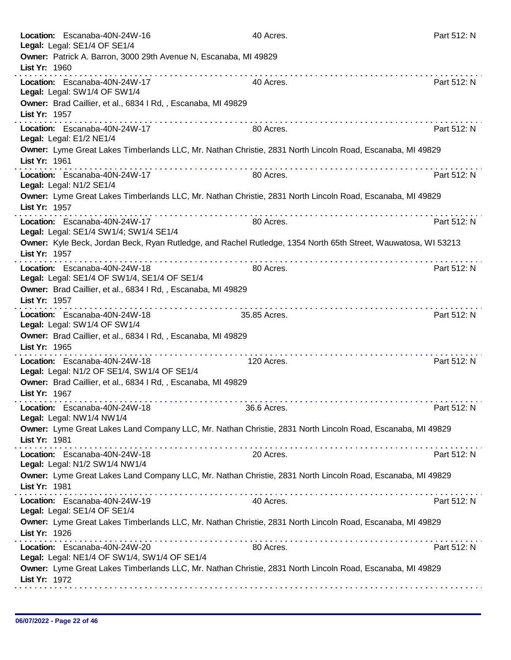| Location: Escanaba-40N-24W-16<br>Legal: Legal: SE1/4 OF SE1/4                                                                   | 40 Acres.                                          | Part 512: N |
|---------------------------------------------------------------------------------------------------------------------------------|----------------------------------------------------|-------------|
| Owner: Patrick A. Barron, 3000 29th Avenue N, Escanaba, MI 49829<br>List Yr: 1960                                               |                                                    |             |
| .<br>Location: Escanaba-40N-24W-17<br>Legal: Legal: SW1/4 OF SW1/4                                                              | 40 Acres.                                          | Part 512: N |
| Owner: Brad Caillier, et al., 6834 I Rd, , Escanaba, MI 49829<br>List Yr: 1957                                                  |                                                    |             |
| Location: Escanaba-40N-24W-17<br>Legal: Legal: E1/2 NE1/4                                                                       | 80 Acres.                                          | Part 512: N |
| Owner: Lyme Great Lakes Timberlands LLC, Mr. Nathan Christie, 2831 North Lincoln Road, Escanaba, MI 49829<br>List Yr: 1961      |                                                    |             |
| Location: Escanaba-40N-24W-17<br>Legal: Legal: N1/2 SE1/4                                                                       | 80 Acres.                                          | Part 512: N |
| Owner: Lyme Great Lakes Timberlands LLC, Mr. Nathan Christie, 2831 North Lincoln Road, Escanaba, MI 49829<br>List Yr: 1957      |                                                    |             |
| Location: Escanaba-40N-24W-17<br>Legal: Legal: SE1/4 SW1/4; SW1/4 SE1/4                                                         | 80 Acres.                                          | Part 512: N |
| Owner: Kyle Beck, Jordan Beck, Ryan Rutledge, and Rachel Rutledge, 1354 North 65th Street, Wauwatosa, WI 53213<br>List Yr: 1957 |                                                    |             |
| Location: Escanaba-40N-24W-18<br>Legal: Legal: SE1/4 OF SW1/4, SE1/4 OF SE1/4                                                   | 80 Acres.                                          | Part 512: N |
| Owner: Brad Caillier, et al., 6834 I Rd, , Escanaba, MI 49829<br>List Yr: 1957                                                  |                                                    |             |
| Location: Escanaba-40N-24W-18<br>Legal: Legal: SW1/4 OF SW1/4                                                                   | 35.85 Acres.                                       | Part 512: N |
| Owner: Brad Caillier, et al., 6834 I Rd, , Escanaba, MI 49829<br>List Yr: 1965                                                  | <u> 2012 - La Caraca de La Caraca de La Caraca</u> |             |
| Location: Escanaba-40N-24W-18<br>Legal: Legal: N1/2 OF SE1/4, SW1/4 OF SE1/4                                                    | 120 Acres.                                         | Part 512: N |
| Owner: Brad Caillier, et al., 6834 I Rd, , Escanaba, MI 49829<br>List Yr: 1967                                                  |                                                    |             |
| Location: Escanaba-40N-24W-18<br>Legal: Legal: NW1/4 NW1/4                                                                      | 36.6 Acres.                                        | Part 512: N |
| Owner: Lyme Great Lakes Land Company LLC, Mr. Nathan Christie, 2831 North Lincoln Road, Escanaba, MI 49829<br>List Yr: 1981     |                                                    |             |
| Location: Escanaba-40N-24W-18<br>Legal: Legal: N1/2 SW1/4 NW1/4                                                                 | 20 Acres.                                          | Part 512: N |
| Owner: Lyme Great Lakes Land Company LLC, Mr. Nathan Christie, 2831 North Lincoln Road, Escanaba, MI 49829<br>List Yr: 1981     |                                                    |             |
| Location: Escanaba-40N-24W-19<br>Legal: Legal: SE1/4 OF SE1/4                                                                   | 40 Acres.                                          | Part 512: N |
| Owner: Lyme Great Lakes Timberlands LLC, Mr. Nathan Christie, 2831 North Lincoln Road, Escanaba, MI 49829<br>List Yr: 1926<br>. |                                                    |             |
| Location: Escanaba-40N-24W-20<br>Legal: Legal: NE1/4 OF SW1/4, SW1/4 OF SE1/4                                                   | 80 Acres.                                          | Part 512: N |
| Owner: Lyme Great Lakes Timberlands LLC, Mr. Nathan Christie, 2831 North Lincoln Road, Escanaba, MI 49829<br>List Yr: 1972      |                                                    |             |
|                                                                                                                                 |                                                    |             |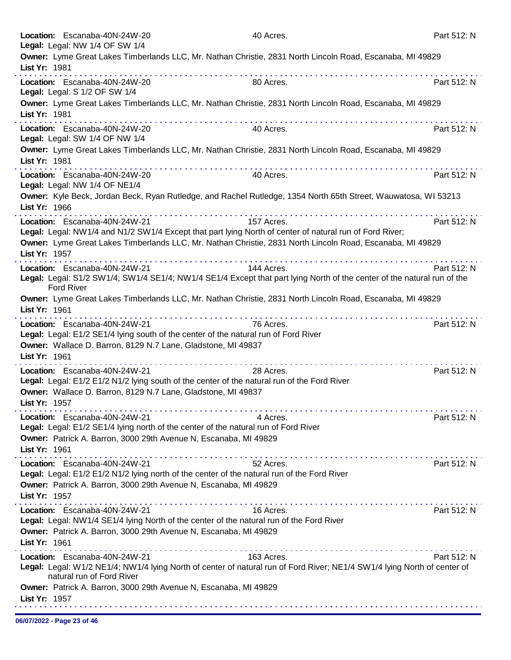|               | Location: Escanaba-40N-24W-20<br>Legal: Legal: NW 1/4 OF SW 1/4                                                                                                                                                                                            |                                              | 40 Acres.  |   | Part 512: N |
|---------------|------------------------------------------------------------------------------------------------------------------------------------------------------------------------------------------------------------------------------------------------------------|----------------------------------------------|------------|---|-------------|
| List Yr: 1981 | Owner: Lyme Great Lakes Timberlands LLC, Mr. Nathan Christie, 2831 North Lincoln Road, Escanaba, MI 49829                                                                                                                                                  |                                              |            |   |             |
|               | Location: Escanaba-40N-24W-20<br>Legal: Legal: S 1/2 OF SW 1/4                                                                                                                                                                                             |                                              | 80 Acres.  |   | Part 512: N |
| List Yr: 1981 | Owner: Lyme Great Lakes Timberlands LLC, Mr. Nathan Christie, 2831 North Lincoln Road, Escanaba, MI 49829                                                                                                                                                  | .                                            |            |   |             |
|               | Location: Escanaba-40N-24W-20<br>Legal: Legal: SW 1/4 OF NW 1/4                                                                                                                                                                                            |                                              | 40 Acres.  |   | Part 512: N |
| List Yr: 1981 | Owner: Lyme Great Lakes Timberlands LLC, Mr. Nathan Christie, 2831 North Lincoln Road, Escanaba, MI 49829                                                                                                                                                  |                                              |            |   |             |
|               | Location: Escanaba-40N-24W-20<br>Legal: Legal: NW 1/4 OF NE1/4                                                                                                                                                                                             |                                              | 40 Acres.  |   | Part 512: N |
| List Yr: 1966 | Owner: Kyle Beck, Jordan Beck, Ryan Rutledge, and Rachel Rutledge, 1354 North 65th Street, Wauwatosa, WI 53213                                                                                                                                             |                                              |            |   |             |
|               | Location: Escanaba-40N-24W-21<br>Legal: Legal: NW1/4 and N1/2 SW1/4 Except that part lying North of center of natural run of Ford River;                                                                                                                   |                                              | 157 Acres. |   | Part 512: N |
| List Yr: 1957 | Owner: Lyme Great Lakes Timberlands LLC, Mr. Nathan Christie, 2831 North Lincoln Road, Escanaba, MI 49829                                                                                                                                                  |                                              |            | . |             |
|               | Location: Escanaba-40N-24W-21<br>Legal: Legal: S1/2 SW1/4; SW1/4 SE1/4; NW1/4 SE1/4 Except that part lying North of the center of the natural run of the<br><b>Ford River</b>                                                                              | <u>a dia ana ana ana ana ana ana ana ana</u> | 144 Acres. |   | Part 512: N |
| List Yr: 1961 | Owner: Lyme Great Lakes Timberlands LLC, Mr. Nathan Christie, 2831 North Lincoln Road, Escanaba, MI 49829                                                                                                                                                  | . <b>.</b>                                   |            |   |             |
| List Yr: 1961 | Location: Escanaba-40N-24W-21<br>Legal: Legal: E1/2 SE1/4 lying south of the center of the natural run of Ford River<br>Owner: Wallace D. Barron, 8129 N.7 Lane, Gladstone, MI 49837                                                                       |                                              | 76 Acres.  |   | Part 512: N |
| List Yr: 1957 | Location: Escanaba-40N-24W-21<br>Legal: Legal: E1/2 E1/2 N1/2 lying south of the center of the natural run of the Ford River<br>Owner: Wallace D. Barron, 8129 N.7 Lane, Gladstone, MI 49837                                                               | .                                            | 28 Acres.  |   | Part 512: N |
| List Yr: 1961 | Location: Escanaba-40N-24W-21<br>Legal: Legal: E1/2 SE1/4 lying north of the center of the natural run of Ford River<br>Owner: Patrick A. Barron, 3000 29th Avenue N, Escanaba, MI 49829                                                                   |                                              | 4 Acres.   |   | Part 512: N |
| List Yr: 1957 | Location: Escanaba-40N-24W-21<br>Legal: Legal: E1/2 E1/2 N1/2 lying north of the center of the natural run of the Ford River<br>Owner: Patrick A. Barron, 3000 29th Avenue N, Escanaba, MI 49829                                                           |                                              | 52 Acres.  |   | Part 512: N |
| List Yr: 1961 | Location: Escanaba-40N-24W-21<br>Legal: Legal: NW1/4 SE1/4 lying North of the center of the natural run of the Ford River<br>Owner: Patrick A. Barron, 3000 29th Avenue N, Escanaba, MI 49829                                                              |                                              | 16 Acres.  |   | Part 512: N |
| List Yr: 1957 | Location: Escanaba-40N-24W-21<br>Legal: Legal: W1/2 NE1/4; NW1/4 lying North of center of natural run of Ford River; NE1/4 SW1/4 lying North of center of<br>natural run of Ford River<br>Owner: Patrick A. Barron, 3000 29th Avenue N, Escanaba, MI 49829 |                                              | 163 Acres. |   | Part 512: N |
|               |                                                                                                                                                                                                                                                            |                                              |            |   |             |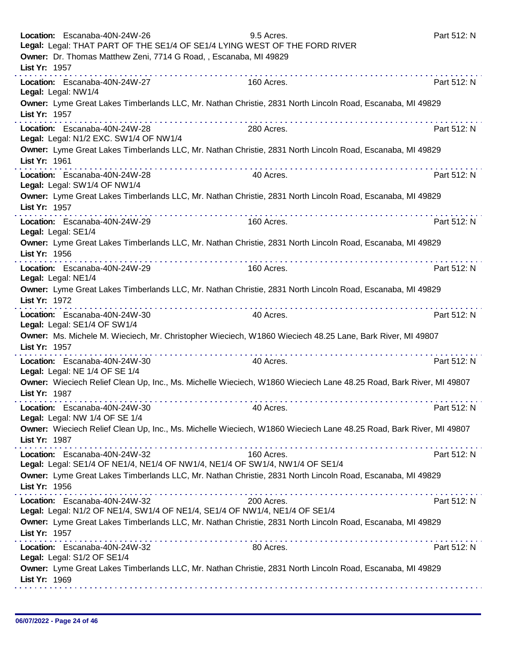|                     | Location: Escanaba-40N-24W-26<br>Legal: Legal: THAT PART OF THE SE1/4 OF SE1/4 LYING WEST OF THE FORD RIVER<br>Owner: Dr. Thomas Matthew Zeni, 7714 G Road, , Escanaba, MI 49829 | 9.5 Acres. | Part 512: N |
|---------------------|----------------------------------------------------------------------------------------------------------------------------------------------------------------------------------|------------|-------------|
| List Yr: 1957       |                                                                                                                                                                                  |            |             |
|                     | Location: Escanaba-40N-24W-27<br>Legal: Legal: NW1/4                                                                                                                             | 160 Acres. | Part 512: N |
| List Yr: 1957       | Owner: Lyme Great Lakes Timberlands LLC, Mr. Nathan Christie, 2831 North Lincoln Road, Escanaba, MI 49829<br>. <b>.</b>                                                          |            |             |
|                     | Location: Escanaba-40N-24W-28<br>Legal: Legal: N1/2 EXC. SW1/4 OF NW1/4                                                                                                          | 280 Acres. | Part 512: N |
| List Yr: 1961       | Owner: Lyme Great Lakes Timberlands LLC, Mr. Nathan Christie, 2831 North Lincoln Road, Escanaba, MI 49829                                                                        |            |             |
|                     | Location: Escanaba-40N-24W-28<br>Legal: Legal: SW1/4 OF NW1/4                                                                                                                    | 40 Acres.  | Part 512: N |
| List Yr: 1957       | Owner: Lyme Great Lakes Timberlands LLC, Mr. Nathan Christie, 2831 North Lincoln Road, Escanaba, MI 49829                                                                        |            |             |
| Legal: Legal: SE1/4 | Location: Escanaba-40N-24W-29                                                                                                                                                    | 160 Acres. | Part 512: N |
| List Yr: 1956       | Owner: Lyme Great Lakes Timberlands LLC, Mr. Nathan Christie, 2831 North Lincoln Road, Escanaba, MI 49829                                                                        |            |             |
| Legal: Legal: NE1/4 | Location: Escanaba-40N-24W-29                                                                                                                                                    | 160 Acres. | Part 512: N |
| List Yr: 1972       | Owner: Lyme Great Lakes Timberlands LLC, Mr. Nathan Christie, 2831 North Lincoln Road, Escanaba, MI 49829<br>.                                                                   |            |             |
|                     | Location: Escanaba-40N-24W-30<br>Legal: Legal: SE1/4 OF SW1/4                                                                                                                    | 40 Acres.  | Part 512: N |
| List Yr: 1957       | Owner: Ms. Michele M. Wieciech, Mr. Christopher Wieciech, W1860 Wieciech 48.25 Lane, Bark River, MI 49807                                                                        |            |             |
|                     | Location: Escanaba-40N-24W-30<br>Legal: Legal: NE 1/4 OF SE 1/4                                                                                                                  | 40 Acres.  | Part 512: N |
| List Yr: 1987       | Owner: Wieciech Relief Clean Up, Inc., Ms. Michelle Wieciech, W1860 Wieciech Lane 48.25 Road, Bark River, MI 49807                                                               |            |             |
|                     | Location: Escanaba-40N-24W-30<br>Legal: Legal: NW 1/4 OF SE 1/4                                                                                                                  | 40 Acres.  | Part 512: N |
| List Yr: 1987       | Owner: Wieciech Relief Clean Up, Inc., Ms. Michelle Wieciech, W1860 Wieciech Lane 48.25 Road, Bark River, MI 49807                                                               |            |             |
|                     | Location: Escanaba-40N-24W-32<br>Legal: Legal: SE1/4 OF NE1/4, NE1/4 OF NW1/4, NE1/4 OF SW1/4, NW1/4 OF SE1/4                                                                    | 160 Acres. | Part 512: N |
| List Yr: 1956       | Owner: Lyme Great Lakes Timberlands LLC, Mr. Nathan Christie, 2831 North Lincoln Road, Escanaba, MI 49829                                                                        |            |             |
|                     | Location: Escanaba-40N-24W-32<br>Legal: Legal: N1/2 OF NE1/4, SW1/4 OF NE1/4, SE1/4 OF NW1/4, NE1/4 OF SE1/4                                                                     | 200 Acres. | Part 512: N |
| List Yr: 1957       | Owner: Lyme Great Lakes Timberlands LLC, Mr. Nathan Christie, 2831 North Lincoln Road, Escanaba, MI 49829                                                                        |            |             |
|                     | Location: Escanaba-40N-24W-32<br>Legal: Legal: S1/2 OF SE1/4                                                                                                                     | 80 Acres.  | Part 512: N |
| List Yr: 1969       | Owner: Lyme Great Lakes Timberlands LLC, Mr. Nathan Christie, 2831 North Lincoln Road, Escanaba, MI 49829                                                                        |            |             |
|                     |                                                                                                                                                                                  |            |             |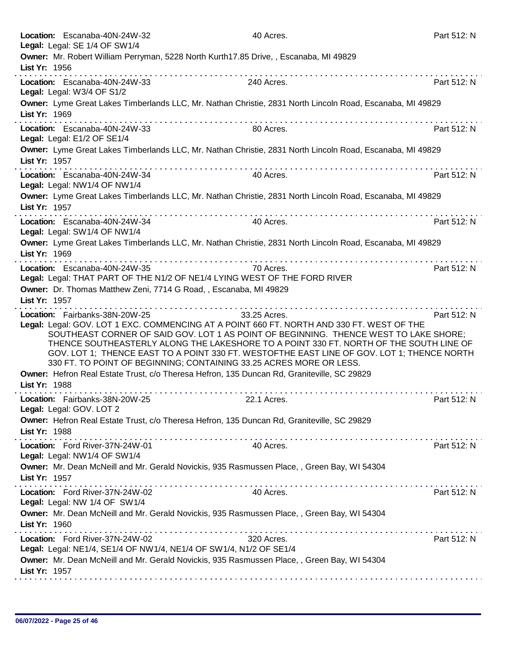| Location: Escanaba-40N-24W-32                                    | 40 Acres.                                                                                                                                                         | Part 512: N |
|------------------------------------------------------------------|-------------------------------------------------------------------------------------------------------------------------------------------------------------------|-------------|
| Legal: Legal: SE 1/4 OF SW1/4                                    |                                                                                                                                                                   |             |
| List Yr: 1956                                                    | Owner: Mr. Robert William Perryman, 5228 North Kurth17.85 Drive,, Escanaba, MI 49829                                                                              |             |
|                                                                  |                                                                                                                                                                   |             |
| Location: Escanaba-40N-24W-33<br>Legal: Legal: W3/4 OF S1/2      | 240 Acres.                                                                                                                                                        | Part 512: N |
| List Yr: 1969                                                    | Owner: Lyme Great Lakes Timberlands LLC, Mr. Nathan Christie, 2831 North Lincoln Road, Escanaba, MI 49829                                                         |             |
| Location: Escanaba-40N-24W-33<br>Legal: Legal: E1/2 OF SE1/4     | 80 Acres.                                                                                                                                                         | Part 512: N |
|                                                                  | Owner: Lyme Great Lakes Timberlands LLC, Mr. Nathan Christie, 2831 North Lincoln Road, Escanaba, MI 49829                                                         |             |
| List Yr: 1957                                                    | and a series and a series and                                                                                                                                     |             |
| Location: Escanaba-40N-24W-34<br>Legal: Legal: NW1/4 OF NW1/4    | 40 Acres.                                                                                                                                                         | Part 512: N |
| List Yr: 1957                                                    | Owner: Lyme Great Lakes Timberlands LLC, Mr. Nathan Christie, 2831 North Lincoln Road, Escanaba, MI 49829                                                         |             |
| Location: Escanaba-40N-24W-34<br>Legal: Legal: SW1/4 OF NW1/4    | 40 Acres.                                                                                                                                                         | Part 512: N |
| List Yr: 1969                                                    | Owner: Lyme Great Lakes Timberlands LLC, Mr. Nathan Christie, 2831 North Lincoln Road, Escanaba, MI 49829                                                         |             |
| Location: Escanaba-40N-24W-35                                    |                                                                                                                                                                   | Part 512: N |
|                                                                  | 70 Acres.<br>Legal: Legal: THAT PART OF THE N1/2 OF NE1/4 LYING WEST OF THE FORD RIVER                                                                            |             |
|                                                                  | Owner: Dr. Thomas Matthew Zeni, 7714 G Road, , Escanaba, MI 49829                                                                                                 |             |
| List Yr: 1957                                                    |                                                                                                                                                                   |             |
|                                                                  |                                                                                                                                                                   |             |
| Location: Fairbanks-38N-20W-25                                   | 33.25 Acres.<br>Legal: Legal: GOV. LOT 1 EXC. COMMENCING AT A POINT 660 FT. NORTH AND 330 FT. WEST OF THE                                                         | Part 512: N |
|                                                                  | SOUTHEAST CORNER OF SAID GOV. LOT 1 AS POINT OF BEGINNING. THENCE WEST TO LAKE SHORE:                                                                             |             |
|                                                                  | THENCE SOUTHEASTERLY ALONG THE LAKESHORE TO A POINT 330 FT. NORTH OF THE SOUTH LINE OF                                                                            |             |
|                                                                  | GOV. LOT 1; THENCE EAST TO A POINT 330 FT. WESTOFTHE EAST LINE OF GOV. LOT 1; THENCE NORTH                                                                        |             |
|                                                                  | 330 FT. TO POINT OF BEGINNING; CONTAINING 33.25 ACRES MORE OR LESS.                                                                                               |             |
|                                                                  | Owner: Hefron Real Estate Trust, c/o Theresa Hefron, 135 Duncan Rd, Graniteville, SC 29829                                                                        |             |
| List Yr: 1988                                                    |                                                                                                                                                                   |             |
| Location: Fairbanks-38N-20W-25<br>Legal: Legal: GOV. LOT 2       | 22.1 Acres.                                                                                                                                                       | Part 512: N |
| List Yr: 1988                                                    | Owner: Hefron Real Estate Trust, c/o Theresa Hefron, 135 Duncan Rd, Graniteville, SC 29829                                                                        |             |
| Location: Ford River-37N-24W-01<br>Legal: Legal: NW1/4 OF SW1/4  | 40 Acres.                                                                                                                                                         | Part 512: N |
|                                                                  | Owner: Mr. Dean McNeill and Mr. Gerald Novickis, 935 Rasmussen Place, , Green Bay, WI 54304                                                                       |             |
| List Yr: 1957                                                    | . <b>.</b>                                                                                                                                                        |             |
| Location: Ford River-37N-24W-02<br>Legal: Legal: NW 1/4 OF SW1/4 | 40 Acres.                                                                                                                                                         | Part 512: N |
| List Yr: 1960                                                    | Owner: Mr. Dean McNeill and Mr. Gerald Novickis, 935 Rasmussen Place, , Green Bay, WI 54304                                                                       |             |
| Location: Ford River-37N-24W-02                                  | 320 Acres.                                                                                                                                                        | Part 512: N |
|                                                                  | Legal: Legal: NE1/4, SE1/4 OF NW1/4, NE1/4 OF SW1/4, N1/2 OF SE1/4<br>Owner: Mr. Dean McNeill and Mr. Gerald Novickis, 935 Rasmussen Place, , Green Bay, WI 54304 |             |
| List Yr: 1957                                                    |                                                                                                                                                                   |             |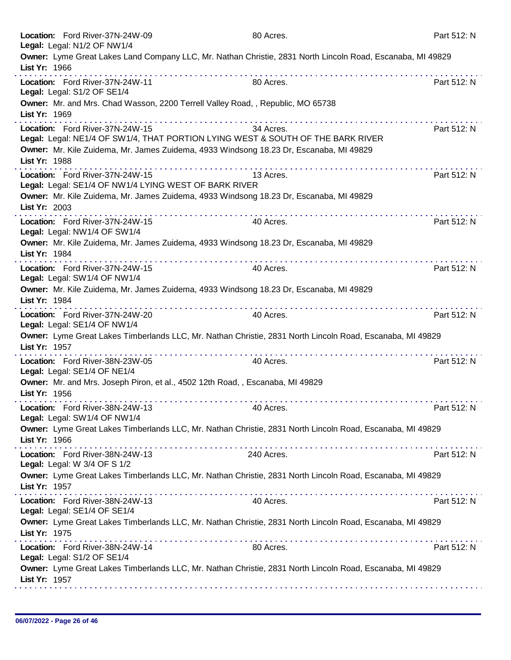|               | Location: Ford River-37N-24W-09<br>Legal: Legal: N1/2 OF NW1/4                                                                                                                                               | 80 Acres.                               | Part 512: N |
|---------------|--------------------------------------------------------------------------------------------------------------------------------------------------------------------------------------------------------------|-----------------------------------------|-------------|
| List Yr: 1966 | Owner: Lyme Great Lakes Land Company LLC, Mr. Nathan Christie, 2831 North Lincoln Road, Escanaba, MI 49829                                                                                                   |                                         |             |
|               | Location: Ford River-37N-24W-11<br>Legal: Legal: S1/2 OF SE1/4                                                                                                                                               | 80 Acres.                               | Part 512: N |
| List Yr: 1969 | Owner: Mr. and Mrs. Chad Wasson, 2200 Terrell Valley Road,, Republic, MO 65738                                                                                                                               |                                         |             |
|               | Location: Ford River-37N-24W-15<br>Legal: Legal: NE1/4 OF SW1/4, THAT PORTION LYING WEST & SOUTH OF THE BARK RIVER<br>Owner: Mr. Kile Zuidema, Mr. James Zuidema, 4933 Windsong 18.23 Dr, Escanaba, MI 49829 | 34 Acres.                               | Part 512: N |
| List Yr: 1988 |                                                                                                                                                                                                              |                                         |             |
|               | Location: Ford River-37N-24W-15<br>Legal: Legal: SE1/4 OF NW1/4 LYING WEST OF BARK RIVER                                                                                                                     | 13 Acres.                               | Part 512: N |
| List Yr: 2003 | Owner: Mr. Kile Zuidema, Mr. James Zuidema, 4933 Windsong 18.23 Dr, Escanaba, MI 49829                                                                                                                       | .                                       |             |
|               | Location: Ford River-37N-24W-15<br>Legal: Legal: NW1/4 OF SW1/4                                                                                                                                              | 40 Acres.                               | Part 512: N |
| List Yr: 1984 | Owner: Mr. Kile Zuidema, Mr. James Zuidema, 4933 Windsong 18.23 Dr, Escanaba, MI 49829                                                                                                                       |                                         |             |
|               | Location: Ford River-37N-24W-15<br>Legal: Legal: SW1/4 OF NW1/4                                                                                                                                              | 40 Acres.                               | Part 512: N |
| List Yr: 1984 | Owner: Mr. Kile Zuidema, Mr. James Zuidema, 4933 Windsong 18.23 Dr, Escanaba, MI 49829                                                                                                                       |                                         |             |
|               | .<br>Location: Ford River-37N-24W-20<br>Legal: Legal: SE1/4 OF NW1/4                                                                                                                                         | 40 Acres.                               | Part 512: N |
| List Yr: 1957 | Owner: Lyme Great Lakes Timberlands LLC, Mr. Nathan Christie, 2831 North Lincoln Road, Escanaba, MI 49829<br><u>.</u>                                                                                        | dia a a a a a a a a a a a a a a a a a a |             |
|               | Location: Ford River-38N-23W-05<br>Legal: Legal: SE1/4 OF NE1/4                                                                                                                                              | 40 Acres.                               | Part 512: N |
| List Yr: 1956 | Owner: Mr. and Mrs. Joseph Piron, et al., 4502 12th Road, , Escanaba, MI 49829                                                                                                                               |                                         |             |
|               | Location: Ford River-38N-24W-13<br>Legal: Legal: SW1/4 OF NW1/4                                                                                                                                              | 40 Acres.                               | Part 512: N |
| List Yr: 1966 | Owner: Lyme Great Lakes Timberlands LLC, Mr. Nathan Christie, 2831 North Lincoln Road, Escanaba, MI 49829                                                                                                    |                                         |             |
|               | Location: Ford River-38N-24W-13<br>Legal: Legal: W 3/4 OF S 1/2                                                                                                                                              | 240 Acres.                              | Part 512: N |
| List Yr: 1957 | Owner: Lyme Great Lakes Timberlands LLC, Mr. Nathan Christie, 2831 North Lincoln Road, Escanaba, MI 49829                                                                                                    |                                         |             |
|               | Location: Ford River-38N-24W-13<br>Legal: Legal: SE1/4 OF SE1/4                                                                                                                                              | 40 Acres.                               | Part 512: N |
| List Yr: 1975 | Owner: Lyme Great Lakes Timberlands LLC, Mr. Nathan Christie, 2831 North Lincoln Road, Escanaba, MI 49829                                                                                                    |                                         |             |
|               | Location: Ford River-38N-24W-14<br>Legal: Legal: S1/2 OF SE1/4                                                                                                                                               | 80 Acres.                               | Part 512: N |
| List Yr: 1957 | Owner: Lyme Great Lakes Timberlands LLC, Mr. Nathan Christie, 2831 North Lincoln Road, Escanaba, MI 49829                                                                                                    |                                         |             |
|               |                                                                                                                                                                                                              |                                         |             |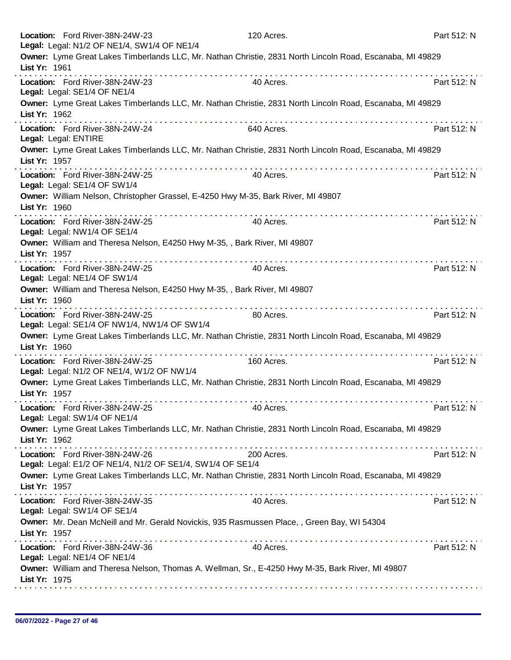| Location: Ford River-38N-24W-23<br>Legal: Legal: N1/2 OF NE1/4, SW1/4 OF NE1/4                      | 120 Acres.                                                                                                     | Part 512: N                         |
|-----------------------------------------------------------------------------------------------------|----------------------------------------------------------------------------------------------------------------|-------------------------------------|
| List Yr: 1961                                                                                       | Owner: Lyme Great Lakes Timberlands LLC, Mr. Nathan Christie, 2831 North Lincoln Road, Escanaba, MI 49829      |                                     |
| dia ara-dia ara-dia ara-dia ara-<br>Location: Ford River-38N-24W-23<br>Legal: Legal: SE1/4 OF NE1/4 | 40 Acres.                                                                                                      | Part 512: N                         |
| List Yr: 1962                                                                                       | Owner: Lyme Great Lakes Timberlands LLC, Mr. Nathan Christie, 2831 North Lincoln Road, Escanaba, MI 49829      |                                     |
| Location: Ford River-38N-24W-24<br>Legal: Legal: ENTIRE                                             | 640 Acres.                                                                                                     | Part 512: N                         |
| List Yr: 1957                                                                                       | Owner: Lyme Great Lakes Timberlands LLC, Mr. Nathan Christie, 2831 North Lincoln Road, Escanaba, MI 49829      |                                     |
| Location: Ford River-38N-24W-25<br>Legal: Legal: SE1/4 OF SW1/4                                     | 40 Acres.                                                                                                      | Part 512: N                         |
| Owner: William Nelson, Christopher Grassel, E-4250 Hwy M-35, Bark River, MI 49807<br>List Yr: 1960  |                                                                                                                | dia ara-dia ara-dia ara-dia ara-dia |
| Location: Ford River-38N-24W-25<br>Legal: Legal: NW1/4 OF SE1/4                                     | 40 Acres.                                                                                                      | Part 512: N                         |
| Owner: William and Theresa Nelson, E4250 Hwy M-35, , Bark River, MI 49807<br>List Yr: 1957          |                                                                                                                |                                     |
| Location: Ford River-38N-24W-25<br>Legal: Legal: NE1/4 OF SW1/4                                     | 40 Acres.                                                                                                      | Part 512: N                         |
| Owner: William and Theresa Nelson, E4250 Hwy M-35, , Bark River, MI 49807<br>List Yr: 1960          | .                                                                                                              |                                     |
| Location: Ford River-38N-24W-25<br>Legal: Legal: SE1/4 OF NW1/4, NW1/4 OF SW1/4                     | 80 Acres.                                                                                                      | Part 512: N                         |
| List Yr: 1960                                                                                       | Owner: Lyme Great Lakes Timberlands LLC, Mr. Nathan Christie, 2831 North Lincoln Road, Escanaba, MI 49829<br>. |                                     |
| Location: Ford River-38N-24W-25<br>Legal: Legal: N1/2 OF NE1/4, W1/2 OF NW1/4                       | 160 Acres.                                                                                                     | Part 512: N                         |
| List Yr: 1957                                                                                       | Owner: Lyme Great Lakes Timberlands LLC, Mr. Nathan Christie, 2831 North Lincoln Road, Escanaba, MI 49829      |                                     |
| Location: Ford River-38N-24W-25<br>Legal: Legal: SW1/4 OF NE1/4                                     | 40 Acres.                                                                                                      | Part 512: N                         |
| List Yr: 1962                                                                                       | Owner: Lyme Great Lakes Timberlands LLC, Mr. Nathan Christie, 2831 North Lincoln Road, Escanaba, MI 49829      |                                     |
| Location: Ford River-38N-24W-26<br>Legal: Legal: E1/2 OF NE1/4, N1/2 OF SE1/4, SW1/4 OF SE1/4       | 200 Acres.                                                                                                     | Part 512: N                         |
| List Yr: 1957                                                                                       | Owner: Lyme Great Lakes Timberlands LLC, Mr. Nathan Christie, 2831 North Lincoln Road, Escanaba, MI 49829      |                                     |
| Location: Ford River-38N-24W-35<br>Legal: Legal: SW1/4 OF SE1/4                                     | 40 Acres.                                                                                                      | Part 512: N                         |
| List Yr: 1957                                                                                       | Owner: Mr. Dean McNeill and Mr. Gerald Novickis, 935 Rasmussen Place, , Green Bay, WI 54304                    |                                     |
| Location: Ford River-38N-24W-36<br>Legal: Legal: NE1/4 OF NE1/4                                     | 40 Acres.                                                                                                      | Part 512: N                         |
| List Yr: 1975                                                                                       | Owner: William and Theresa Nelson, Thomas A. Wellman, Sr., E-4250 Hwy M-35, Bark River, MI 49807               |                                     |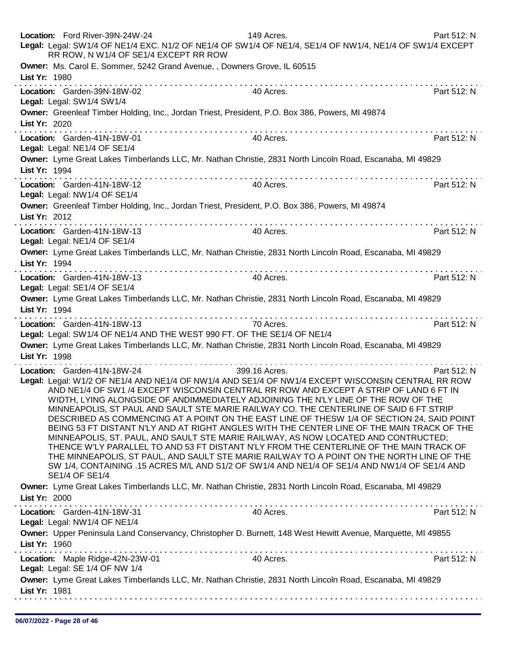|                              | Location: Ford River-39N-24W-24<br>RR ROW, N W1/4 OF SE1/4 EXCEPT RR ROW | 149 Acres.<br>Legal: Legal: SW1/4 OF NE1/4 EXC. N1/2 OF NE1/4 OF SW1/4 OF NE1/4, SE1/4 OF NW1/4, NE1/4 OF SW1/4 EXCEPT                                                                                                                                                                                                                                                                                                                                                                                                                                                                                                                                                                                                                                                                                                                                                                                                                                                 | Part 512: N |
|------------------------------|--------------------------------------------------------------------------|------------------------------------------------------------------------------------------------------------------------------------------------------------------------------------------------------------------------------------------------------------------------------------------------------------------------------------------------------------------------------------------------------------------------------------------------------------------------------------------------------------------------------------------------------------------------------------------------------------------------------------------------------------------------------------------------------------------------------------------------------------------------------------------------------------------------------------------------------------------------------------------------------------------------------------------------------------------------|-------------|
| List Yr: 1980                |                                                                          | Owner: Ms. Carol E. Sommer, 5242 Grand Avenue, , Downers Grove, IL 60515                                                                                                                                                                                                                                                                                                                                                                                                                                                                                                                                                                                                                                                                                                                                                                                                                                                                                               |             |
| Legal: Legal: SW1/4 SW1/4    | Location: Garden-39N-18W-02                                              | 40 Acres.                                                                                                                                                                                                                                                                                                                                                                                                                                                                                                                                                                                                                                                                                                                                                                                                                                                                                                                                                              | Part 512: N |
| List Yr: 2020                |                                                                          | Owner: Greenleaf Timber Holding, Inc., Jordan Triest, President, P.O. Box 386, Powers, MI 49874                                                                                                                                                                                                                                                                                                                                                                                                                                                                                                                                                                                                                                                                                                                                                                                                                                                                        |             |
| Legal: Legal: NE1/4 OF SE1/4 | Location: Garden-41N-18W-01                                              | 40 Acres.                                                                                                                                                                                                                                                                                                                                                                                                                                                                                                                                                                                                                                                                                                                                                                                                                                                                                                                                                              | Part 512: N |
| List Yr: 1994                |                                                                          | Owner: Lyme Great Lakes Timberlands LLC, Mr. Nathan Christie, 2831 North Lincoln Road, Escanaba, MI 49829                                                                                                                                                                                                                                                                                                                                                                                                                                                                                                                                                                                                                                                                                                                                                                                                                                                              |             |
| Legal: Legal: NW1/4 OF SE1/4 | Location: Garden-41N-18W-12                                              | 40 Acres.                                                                                                                                                                                                                                                                                                                                                                                                                                                                                                                                                                                                                                                                                                                                                                                                                                                                                                                                                              | Part 512: N |
| List Yr: 2012                | the second contract of the second contract of the                        | Owner: Greenleaf Timber Holding, Inc., Jordan Triest, President, P.O. Box 386, Powers, MI 49874                                                                                                                                                                                                                                                                                                                                                                                                                                                                                                                                                                                                                                                                                                                                                                                                                                                                        |             |
| Legal: Legal: NE1/4 OF SE1/4 | Location: Garden-41N-18W-13                                              | 40 Acres.                                                                                                                                                                                                                                                                                                                                                                                                                                                                                                                                                                                                                                                                                                                                                                                                                                                                                                                                                              | Part 512: N |
| List Yr: 1994                |                                                                          | Owner: Lyme Great Lakes Timberlands LLC, Mr. Nathan Christie, 2831 North Lincoln Road, Escanaba, MI 49829                                                                                                                                                                                                                                                                                                                                                                                                                                                                                                                                                                                                                                                                                                                                                                                                                                                              |             |
| Legal: Legal: SE1/4 OF SE1/4 | Location: Garden-41N-18W-13                                              | 40 Acres.                                                                                                                                                                                                                                                                                                                                                                                                                                                                                                                                                                                                                                                                                                                                                                                                                                                                                                                                                              | Part 512: N |
| List Yr: 1994                |                                                                          | Owner: Lyme Great Lakes Timberlands LLC, Mr. Nathan Christie, 2831 North Lincoln Road, Escanaba, MI 49829                                                                                                                                                                                                                                                                                                                                                                                                                                                                                                                                                                                                                                                                                                                                                                                                                                                              |             |
|                              | Location: Garden-41N-18W-13                                              | 70 Acres.<br>Legal: Legal: SW1/4 OF NE1/4 AND THE WEST 990 FT. OF THE SE1/4 OF NE1/4                                                                                                                                                                                                                                                                                                                                                                                                                                                                                                                                                                                                                                                                                                                                                                                                                                                                                   | Part 512: N |
| List Yr: 1998                |                                                                          | Owner: Lyme Great Lakes Timberlands LLC, Mr. Nathan Christie, 2831 North Lincoln Road, Escanaba, MI 49829                                                                                                                                                                                                                                                                                                                                                                                                                                                                                                                                                                                                                                                                                                                                                                                                                                                              |             |
| SE1/4 OF SE1/4               | Location: Garden-41N-18W-24                                              | 399.16 Acres.<br>Legal: Legal: W1/2 OF NE1/4 AND NE1/4 OF NW1/4 AND SE1/4 OF NW1/4 EXCEPT WISCONSIN CENTRAL RR ROW<br>AND NE1/4 OF SW1 /4 EXCEPT WISCONSIN CENTRAL RR ROW AND EXCEPT A STRIP OF LAND 6 FT IN<br>WIDTH, LYING ALONGSIDE OF ANDIMMEDIATELY ADJOINING THE N'LY LINE OF THE ROW OF THE<br>MINNEAPOLIS, ST PAUL AND SAULT STE MARIE RAILWAY CO. THE CENTERLINE OF SAID 6 FT STRIP<br>DESCRIBED AS COMMENCING AT A POINT ON THE EAST LINE OF THESW 1/4 OF SECTION 24, SAID POINT<br>BEING 53 FT DISTANT N'LY AND AT RIGHT ANGLES WITH THE CENTER LINE OF THE MAIN TRACK OF THE<br>MINNEAPOLIS, ST. PAUL, AND SAULT STE MARIE RAILWAY, AS NOW LOCATED AND CONTRUCTED;<br>THENCE W'LY PARALLEL TO AND 53 FT DISTANT N'LY FROM THE CENTERLINE OF THE MAIN TRACK OF<br>THE MINNEAPOLIS, ST PAUL, AND SAULT STE MARIE RAILWAY TO A POINT ON THE NORTH LINE OF THE<br>SW 1/4, CONTAINING .15 ACRES M/L AND S1/2 OF SW1/4 AND NE1/4 OF SE1/4 AND NW1/4 OF SE1/4 AND | Part 512: N |
| List Yr: 2000                |                                                                          | Owner: Lyme Great Lakes Timberlands LLC, Mr. Nathan Christie, 2831 North Lincoln Road, Escanaba, MI 49829                                                                                                                                                                                                                                                                                                                                                                                                                                                                                                                                                                                                                                                                                                                                                                                                                                                              |             |
| Legal: Legal: NW1/4 OF NE1/4 | Location: Garden-41N-18W-31                                              | 40 Acres.                                                                                                                                                                                                                                                                                                                                                                                                                                                                                                                                                                                                                                                                                                                                                                                                                                                                                                                                                              | Part 512: N |
| List Yr: 1960                |                                                                          | Owner: Upper Peninsula Land Conservancy, Christopher D. Burnett, 148 West Hewitt Avenue, Marquette, MI 49855                                                                                                                                                                                                                                                                                                                                                                                                                                                                                                                                                                                                                                                                                                                                                                                                                                                           |             |
|                              | Location: Maple Ridge-42N-23W-01<br>Legal: Legal: SE 1/4 OF NW 1/4       | 40 Acres.                                                                                                                                                                                                                                                                                                                                                                                                                                                                                                                                                                                                                                                                                                                                                                                                                                                                                                                                                              | Part 512: N |
| List Yr: 1981                |                                                                          | Owner: Lyme Great Lakes Timberlands LLC, Mr. Nathan Christie, 2831 North Lincoln Road, Escanaba, MI 49829                                                                                                                                                                                                                                                                                                                                                                                                                                                                                                                                                                                                                                                                                                                                                                                                                                                              |             |
|                              |                                                                          |                                                                                                                                                                                                                                                                                                                                                                                                                                                                                                                                                                                                                                                                                                                                                                                                                                                                                                                                                                        |             |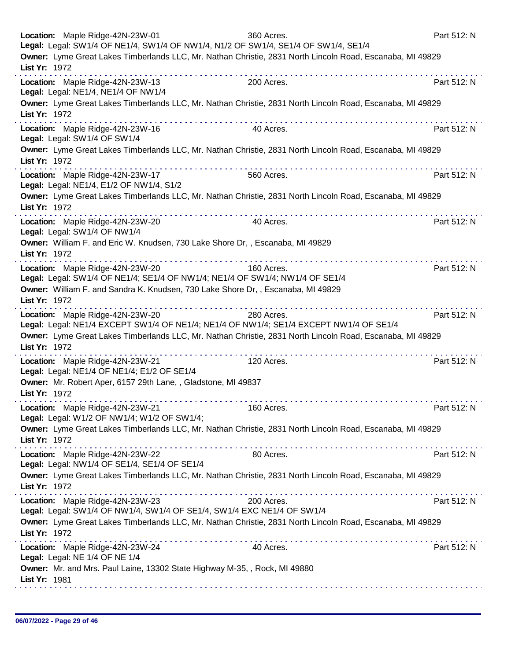| Location: Maple Ridge-42N-23W-01<br>Legal: Legal: SW1/4 OF NE1/4, SW1/4 OF NW1/4, N1/2 OF SW1/4, SE1/4 OF SW1/4, SE1/4          | 360 Acres.      | Part 512: N |
|---------------------------------------------------------------------------------------------------------------------------------|-----------------|-------------|
| Owner: Lyme Great Lakes Timberlands LLC, Mr. Nathan Christie, 2831 North Lincoln Road, Escanaba, MI 49829<br>List Yr: 1972      |                 |             |
| Location: Maple Ridge-42N-23W-13<br>Legal: Legal: NE1/4, NE1/4 OF NW1/4                                                         | 200 Acres.      | Part 512: N |
| Owner: Lyme Great Lakes Timberlands LLC, Mr. Nathan Christie, 2831 North Lincoln Road, Escanaba, MI 49829<br>List Yr: 1972      |                 |             |
| Location: Maple Ridge-42N-23W-16<br>Legal: Legal: SW1/4 OF SW1/4                                                                | 40 Acres.       | Part 512: N |
| Owner: Lyme Great Lakes Timberlands LLC, Mr. Nathan Christie, 2831 North Lincoln Road, Escanaba, MI 49829<br>List Yr: 1972      |                 |             |
| .<br>Location: Maple Ridge-42N-23W-17<br>Legal: Legal: NE1/4, E1/2 OF NW1/4, S1/2                                               | 560 Acres.      | Part 512: N |
| Owner: Lyme Great Lakes Timberlands LLC, Mr. Nathan Christie, 2831 North Lincoln Road, Escanaba, MI 49829<br>List Yr: 1972      |                 |             |
| Location: Maple Ridge-42N-23W-20<br>Legal: Legal: SW1/4 OF NW1/4                                                                | 40 Acres.       | Part 512: N |
| Owner: William F. and Eric W. Knudsen, 730 Lake Shore Dr, , Escanaba, MI 49829<br>List Yr: 1972                                 |                 |             |
| Location: Maple Ridge-42N-23W-20<br>Legal: Legal: SW1/4 OF NE1/4; SE1/4 OF NW1/4; NE1/4 OF SW1/4; NW1/4 OF SE1/4                | .<br>160 Acres. | Part 512: N |
| Owner: William F. and Sandra K. Knudsen, 730 Lake Shore Dr,, Escanaba, MI 49829<br>List Yr: 1972                                |                 |             |
| .<br>Location: Maple Ridge-42N-23W-20<br>Legal: Legal: NE1/4 EXCEPT SW1/4 OF NE1/4; NE1/4 OF NW1/4; SE1/4 EXCEPT NW1/4 OF SE1/4 | 280 Acres.      | Part 512: N |
| Owner: Lyme Great Lakes Timberlands LLC, Mr. Nathan Christie, 2831 North Lincoln Road, Escanaba, MI 49829<br>List Yr: 1972      |                 |             |
| Location: Maple Ridge-42N-23W-21<br>Legal: Legal: NE1/4 OF NE1/4; E1/2 OF SE1/4                                                 | 120 Acres.      | Part 512: N |
| Owner: Mr. Robert Aper, 6157 29th Lane, , Gladstone, MI 49837<br>List Yr: 1972                                                  |                 |             |
| Location: Maple Ridge-42N-23W-21<br>Legal: Legal: W1/2 OF NW1/4; W1/2 OF SW1/4;                                                 | 160 Acres.      | Part 512: N |
| Owner: Lyme Great Lakes Timberlands LLC, Mr. Nathan Christie, 2831 North Lincoln Road, Escanaba, MI 49829<br>List Yr: 1972      |                 |             |
| Location: Maple Ridge-42N-23W-22<br>Legal: Legal: NW1/4 OF SE1/4, SE1/4 OF SE1/4                                                | 80 Acres.       | Part 512: N |
| Owner: Lyme Great Lakes Timberlands LLC, Mr. Nathan Christie, 2831 North Lincoln Road, Escanaba, MI 49829<br>List Yr: 1972      |                 |             |
| Location: Maple Ridge-42N-23W-23<br>Legal: Legal: SW1/4 OF NW1/4, SW1/4 OF SE1/4, SW1/4 EXC NE1/4 OF SW1/4                      | 200 Acres.      | Part 512: N |
| Owner: Lyme Great Lakes Timberlands LLC, Mr. Nathan Christie, 2831 North Lincoln Road, Escanaba, MI 49829<br>List Yr: 1972      |                 |             |
| the second complete state in the second complete<br>Location: Maple Ridge-42N-23W-24<br>Legal: Legal: NE 1/4 OF NE 1/4          | 40 Acres.       | Part 512: N |
| Owner: Mr. and Mrs. Paul Laine, 13302 State Highway M-35, , Rock, MI 49880<br>List Yr: 1981                                     |                 |             |
|                                                                                                                                 |                 |             |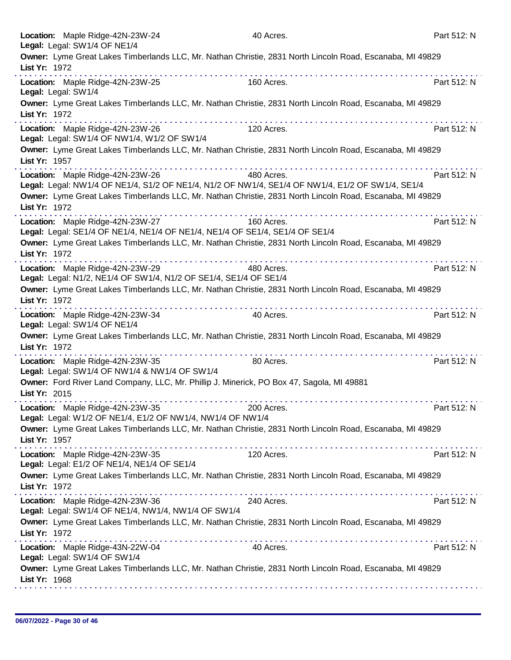|                     | Location: Maple Ridge-42N-23W-24<br>Legal: Legal: SW1/4 OF NE1/4                                                                     |                                              | 40 Acres.  |   | Part 512: N |
|---------------------|--------------------------------------------------------------------------------------------------------------------------------------|----------------------------------------------|------------|---|-------------|
| List Yr: 1972       | Owner: Lyme Great Lakes Timberlands LLC, Mr. Nathan Christie, 2831 North Lincoln Road, Escanaba, MI 49829                            |                                              |            |   |             |
| Legal: Legal: SW1/4 | Location: Maple Ridge-42N-23W-25                                                                                                     |                                              | 160 Acres. |   | Part 512: N |
| List Yr: 1972       | Owner: Lyme Great Lakes Timberlands LLC, Mr. Nathan Christie, 2831 North Lincoln Road, Escanaba, MI 49829                            |                                              |            |   |             |
|                     | Location: Maple Ridge-42N-23W-26<br>Legal: Legal: SW1/4 OF NW1/4, W1/2 OF SW1/4                                                      |                                              | 120 Acres. |   | Part 512: N |
| List Yr: 1957       | Owner: Lyme Great Lakes Timberlands LLC, Mr. Nathan Christie, 2831 North Lincoln Road, Escanaba, MI 49829                            |                                              |            |   |             |
|                     | Location: Maple Ridge-42N-23W-26<br>Legal: Legal: NW1/4 OF NE1/4, S1/2 OF NE1/4, N1/2 OF NW1/4, SE1/4 OF NW1/4, E1/2 OF SW1/4, SE1/4 |                                              | 480 Acres. |   | Part 512: N |
| List Yr: 1972       | Owner: Lyme Great Lakes Timberlands LLC, Mr. Nathan Christie, 2831 North Lincoln Road, Escanaba, MI 49829                            | the second companies of the second companies |            |   |             |
|                     | Location: Maple Ridge-42N-23W-27<br>Legal: Legal: SE1/4 OF NE1/4, NE1/4 OF NE1/4, NE1/4 OF SE1/4, SE1/4 OF SE1/4                     |                                              | 160 Acres. |   | Part 512: N |
| List Yr: 1972       | Owner: Lyme Great Lakes Timberlands LLC, Mr. Nathan Christie, 2831 North Lincoln Road, Escanaba, MI 49829                            |                                              |            |   |             |
|                     | Location: Maple Ridge-42N-23W-29<br>Legal: Legal: N1/2, NE1/4 OF SW1/4, N1/2 OF SE1/4, SE1/4 OF SE1/4                                |                                              | 480 Acres. |   | Part 512: N |
| List Yr: 1972       | Owner: Lyme Great Lakes Timberlands LLC, Mr. Nathan Christie, 2831 North Lincoln Road, Escanaba, MI 49829                            |                                              |            |   |             |
|                     | Location: Maple Ridge-42N-23W-34<br>Legal: Legal: SW1/4 OF NE1/4                                                                     |                                              | 40 Acres.  |   | Part 512: N |
| List Yr: 1972       | Owner: Lyme Great Lakes Timberlands LLC, Mr. Nathan Christie, 2831 North Lincoln Road, Escanaba, MI 49829                            |                                              |            | . |             |
|                     | Location: Maple Ridge-42N-23W-35<br>Legal: Legal: SW1/4 OF NW1/4 & NW1/4 OF SW1/4                                                    |                                              | 80 Acres.  |   | Part 512: N |
| List Yr: 2015       | Owner: Ford River Land Company, LLC, Mr. Phillip J. Minerick, PO Box 47, Sagola, MI 49881                                            |                                              |            |   |             |
|                     | Location: Maple Ridge-42N-23W-35<br>Legal: Legal: W1/2 OF NE1/4, E1/2 OF NW1/4, NW1/4 OF NW1/4                                       |                                              | 200 Acres. |   | Part 512: N |
| List Yr: 1957       | Owner: Lyme Great Lakes Timberlands LLC, Mr. Nathan Christie, 2831 North Lincoln Road, Escanaba, MI 49829                            |                                              |            |   |             |
|                     | Location: Maple Ridge-42N-23W-35<br>Legal: Legal: E1/2 OF NE1/4, NE1/4 OF SE1/4                                                      |                                              | 120 Acres. |   | Part 512: N |
| List Yr: 1972       | Owner: Lyme Great Lakes Timberlands LLC, Mr. Nathan Christie, 2831 North Lincoln Road, Escanaba, MI 49829                            |                                              |            |   |             |
|                     | Location: Maple Ridge-42N-23W-36<br>Legal: Legal: SW1/4 OF NE1/4, NW1/4, NW1/4 OF SW1/4                                              |                                              | 240 Acres. |   | Part 512: N |
| List Yr: 1972       | Owner: Lyme Great Lakes Timberlands LLC, Mr. Nathan Christie, 2831 North Lincoln Road, Escanaba, MI 49829                            |                                              |            |   |             |
|                     | Location: Maple Ridge-43N-22W-04<br>Legal: Legal: SW1/4 OF SW1/4                                                                     |                                              | 40 Acres.  |   | Part 512: N |
| List Yr: 1968       | Owner: Lyme Great Lakes Timberlands LLC, Mr. Nathan Christie, 2831 North Lincoln Road, Escanaba, MI 49829                            |                                              |            |   |             |
|                     |                                                                                                                                      |                                              |            |   |             |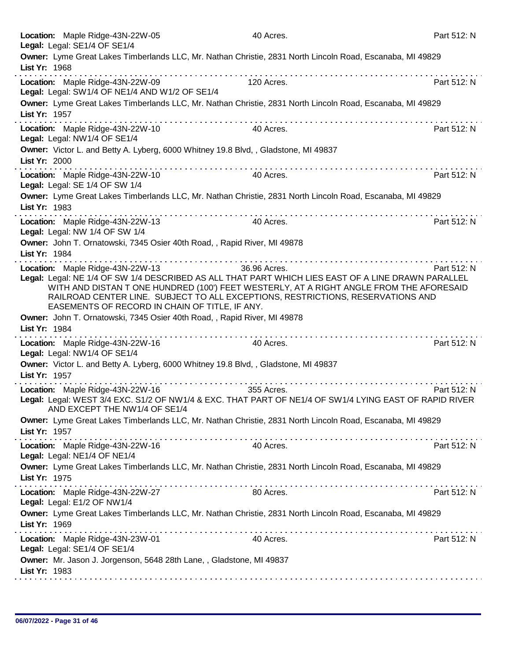|               | Location: Maple Ridge-43N-22W-05<br>Legal: Legal: SE1/4 OF SE1/4                   | 40 Acres.                                                                                                                                                                                                                                                                                                                                                                                                                                  | Part 512: N |
|---------------|------------------------------------------------------------------------------------|--------------------------------------------------------------------------------------------------------------------------------------------------------------------------------------------------------------------------------------------------------------------------------------------------------------------------------------------------------------------------------------------------------------------------------------------|-------------|
|               |                                                                                    | Owner: Lyme Great Lakes Timberlands LLC, Mr. Nathan Christie, 2831 North Lincoln Road, Escanaba, MI 49829                                                                                                                                                                                                                                                                                                                                  |             |
| List Yr: 1968 |                                                                                    |                                                                                                                                                                                                                                                                                                                                                                                                                                            |             |
|               | Location: Maple Ridge-43N-22W-09<br>Legal: Legal: SW1/4 OF NE1/4 AND W1/2 OF SE1/4 | 120 Acres.                                                                                                                                                                                                                                                                                                                                                                                                                                 | Part 512: N |
| List Yr: 1957 |                                                                                    | Owner: Lyme Great Lakes Timberlands LLC, Mr. Nathan Christie, 2831 North Lincoln Road, Escanaba, MI 49829                                                                                                                                                                                                                                                                                                                                  |             |
|               | Location: Maple Ridge-43N-22W-10<br>Legal: Legal: NW1/4 OF SE1/4                   | .<br>40 Acres.                                                                                                                                                                                                                                                                                                                                                                                                                             | Part 512: N |
| List Yr: 2000 |                                                                                    | Owner: Victor L. and Betty A. Lyberg, 6000 Whitney 19.8 Blvd,, Gladstone, MI 49837                                                                                                                                                                                                                                                                                                                                                         |             |
|               | Location: Maple Ridge-43N-22W-10<br>Legal: Legal: SE 1/4 OF SW 1/4                 | 40 Acres.                                                                                                                                                                                                                                                                                                                                                                                                                                  | Part 512: N |
| List Yr: 1983 |                                                                                    | Owner: Lyme Great Lakes Timberlands LLC, Mr. Nathan Christie, 2831 North Lincoln Road, Escanaba, MI 49829                                                                                                                                                                                                                                                                                                                                  |             |
|               | Location: Maple Ridge-43N-22W-13<br>Legal: Legal: NW 1/4 OF SW 1/4                 | where the second contract of the second contract of the second contract of the second contract of the second contract of the second contract of the second contract of the second contract of the second contract of the secon<br>40 Acres.                                                                                                                                                                                                | Part 512: N |
| List Yr: 1984 |                                                                                    | Owner: John T. Ornatowski, 7345 Osier 40th Road, , Rapid River, MI 49878                                                                                                                                                                                                                                                                                                                                                                   |             |
|               | Location: Maple Ridge-43N-22W-13<br>EASEMENTS OF RECORD IN CHAIN OF TITLE, IF ANY. | 36.96 Acres.<br>Legal: Legal: NE 1/4 OF SW 1/4 DESCRIBED AS ALL THAT PART WHICH LIES EAST OF A LINE DRAWN PARALLEL<br>WITH AND DISTAN T ONE HUNDRED (100') FEET WESTERLY, AT A RIGHT ANGLE FROM THE AFORESAID<br>RAILROAD CENTER LINE. SUBJECT TO ALL EXCEPTIONS, RESTRICTIONS, RESERVATIONS AND                                                                                                                                           | Part 512: N |
| List Yr: 1984 |                                                                                    | Owner: John T. Ornatowski, 7345 Osier 40th Road, , Rapid River, MI 49878                                                                                                                                                                                                                                                                                                                                                                   |             |
|               | Location: Maple Ridge-43N-22W-16<br>Legal: Legal: NW1/4 OF SE1/4                   | 40 Acres.                                                                                                                                                                                                                                                                                                                                                                                                                                  | Part 512: N |
| List Yr: 1957 |                                                                                    | Owner: Victor L. and Betty A. Lyberg, 6000 Whitney 19.8 Blvd,, Gladstone, MI 49837                                                                                                                                                                                                                                                                                                                                                         |             |
|               | Location: Maple Ridge-43N-22W-16<br>AND EXCEPT THE NW1/4 OF SE1/4                  | 355 Acres.<br>Legal: Legal: WEST 3/4 EXC. S1/2 OF NW1/4 & EXC. THAT PART OF NE1/4 OF SW1/4 LYING EAST OF RAPID RIVER                                                                                                                                                                                                                                                                                                                       | Part 512: N |
| List Yr: 1957 |                                                                                    | Owner: Lyme Great Lakes Timberlands LLC, Mr. Nathan Christie, 2831 North Lincoln Road, Escanaba, MI 49829                                                                                                                                                                                                                                                                                                                                  |             |
|               | Location: Maple Ridge-43N-22W-16<br>Legal: Legal: NE1/4 OF NE1/4                   | $\label{eq:2.1} \begin{array}{lllllllllllllllllllll} \mathbf{1}_{\mathbf{1}}&\mathbf{1}_{\mathbf{1}}&\mathbf{1}_{\mathbf{1}}&\mathbf{1}_{\mathbf{1}}&\mathbf{1}_{\mathbf{1}}&\mathbf{1}_{\mathbf{1}}&\mathbf{1}_{\mathbf{1}}&\mathbf{1}_{\mathbf{1}}&\mathbf{1}_{\mathbf{1}}&\mathbf{1}_{\mathbf{1}}&\mathbf{1}_{\mathbf{1}}&\mathbf{1}_{\mathbf{1}}&\mathbf{1}_{\mathbf{1}}&\mathbf{1}_{\mathbf{1}}&\mathbf{1}_{\mathbf{1}}$<br>40 Acres. | Part 512: N |
| List Yr: 1975 |                                                                                    | Owner: Lyme Great Lakes Timberlands LLC, Mr. Nathan Christie, 2831 North Lincoln Road, Escanaba, MI 49829                                                                                                                                                                                                                                                                                                                                  |             |
|               | Location: Maple Ridge-43N-22W-27<br>Legal: Legal: E1/2 OF NW1/4                    | 80 Acres.                                                                                                                                                                                                                                                                                                                                                                                                                                  | Part 512: N |
| List Yr: 1969 |                                                                                    | Owner: Lyme Great Lakes Timberlands LLC, Mr. Nathan Christie, 2831 North Lincoln Road, Escanaba, MI 49829                                                                                                                                                                                                                                                                                                                                  |             |
|               | Location: Maple Ridge-43N-23W-01<br>Legal: Legal: SE1/4 OF SE1/4                   | 40 Acres.                                                                                                                                                                                                                                                                                                                                                                                                                                  | Part 512: N |
| List Yr: 1983 | Owner: Mr. Jason J. Jorgenson, 5648 28th Lane, , Gladstone, MI 49837               |                                                                                                                                                                                                                                                                                                                                                                                                                                            |             |
|               |                                                                                    |                                                                                                                                                                                                                                                                                                                                                                                                                                            |             |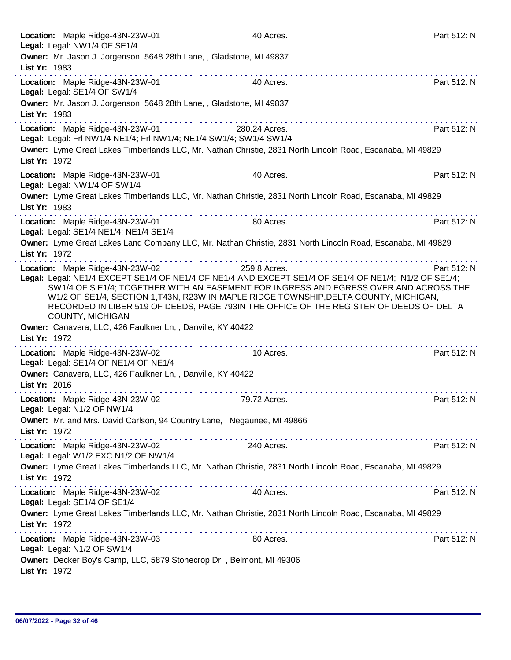| Location: Maple Ridge-43N-23W-01<br>Legal: Legal: NW1/4 OF SE1/4                                                                                                                                                                                                   | 40 Acres.     |                                                                                                                                                                                                                                                                                                                                                                                                                                                           | Part 512: N |
|--------------------------------------------------------------------------------------------------------------------------------------------------------------------------------------------------------------------------------------------------------------------|---------------|-----------------------------------------------------------------------------------------------------------------------------------------------------------------------------------------------------------------------------------------------------------------------------------------------------------------------------------------------------------------------------------------------------------------------------------------------------------|-------------|
| Owner: Mr. Jason J. Jorgenson, 5648 28th Lane, , Gladstone, MI 49837                                                                                                                                                                                               |               |                                                                                                                                                                                                                                                                                                                                                                                                                                                           |             |
| List Yr: 1983                                                                                                                                                                                                                                                      |               |                                                                                                                                                                                                                                                                                                                                                                                                                                                           |             |
| .<br>Location: Maple Ridge-43N-23W-01<br>Legal: Legal: SE1/4 OF SW1/4                                                                                                                                                                                              | 40 Acres.     |                                                                                                                                                                                                                                                                                                                                                                                                                                                           | Part 512: N |
| Owner: Mr. Jason J. Jorgenson, 5648 28th Lane, , Gladstone, MI 49837                                                                                                                                                                                               |               |                                                                                                                                                                                                                                                                                                                                                                                                                                                           |             |
| List Yr: 1983                                                                                                                                                                                                                                                      |               |                                                                                                                                                                                                                                                                                                                                                                                                                                                           |             |
| Location: Maple Ridge-43N-23W-01                                                                                                                                                                                                                                   | 280.24 Acres. |                                                                                                                                                                                                                                                                                                                                                                                                                                                           | Part 512: N |
| Legal: Legal: Frl NW1/4 NE1/4; Frl NW1/4; NE1/4 SW1/4; SW1/4 SW1/4                                                                                                                                                                                                 |               |                                                                                                                                                                                                                                                                                                                                                                                                                                                           |             |
| Owner: Lyme Great Lakes Timberlands LLC, Mr. Nathan Christie, 2831 North Lincoln Road, Escanaba, MI 49829                                                                                                                                                          |               |                                                                                                                                                                                                                                                                                                                                                                                                                                                           |             |
| List Yr: 1972                                                                                                                                                                                                                                                      |               |                                                                                                                                                                                                                                                                                                                                                                                                                                                           |             |
| Location: Maple Ridge-43N-23W-01                                                                                                                                                                                                                                   | 40 Acres.     |                                                                                                                                                                                                                                                                                                                                                                                                                                                           | Part 512: N |
| Legal: Legal: NW1/4 OF SW1/4                                                                                                                                                                                                                                       |               |                                                                                                                                                                                                                                                                                                                                                                                                                                                           |             |
| Owner: Lyme Great Lakes Timberlands LLC, Mr. Nathan Christie, 2831 North Lincoln Road, Escanaba, MI 49829<br>List Yr: 1983                                                                                                                                         |               |                                                                                                                                                                                                                                                                                                                                                                                                                                                           |             |
|                                                                                                                                                                                                                                                                    |               |                                                                                                                                                                                                                                                                                                                                                                                                                                                           |             |
| Location: Maple Ridge-43N-23W-01                                                                                                                                                                                                                                   | 80 Acres.     |                                                                                                                                                                                                                                                                                                                                                                                                                                                           | Part 512: N |
| Legal: Legal: SE1/4 NE1/4; NE1/4 SE1/4<br>Owner: Lyme Great Lakes Land Company LLC, Mr. Nathan Christie, 2831 North Lincoln Road, Escanaba, MI 49829                                                                                                               |               |                                                                                                                                                                                                                                                                                                                                                                                                                                                           |             |
| List Yr: 1972                                                                                                                                                                                                                                                      |               |                                                                                                                                                                                                                                                                                                                                                                                                                                                           |             |
|                                                                                                                                                                                                                                                                    |               | $\mathcal{L}^{\mathcal{A}}(\mathcal{A}^{\mathcal{A}}(\mathcal{A}^{\mathcal{A}}(\mathcal{A}^{\mathcal{A}}(\mathcal{A}^{\mathcal{A}}(\mathcal{A}^{\mathcal{A}}(\mathcal{A}^{\mathcal{A}}(\mathcal{A}^{\mathcal{A}}(\mathcal{A}^{\mathcal{A}}(\mathcal{A}^{\mathcal{A}}(\mathcal{A}^{\mathcal{A}}(\mathcal{A}^{\mathcal{A}}(\mathcal{A}^{\mathcal{A}}(\mathcal{A}^{\mathcal{A}}(\mathcal{A}^{\mathcal{A}}(\mathcal{A}^{\mathcal{A}}(\mathcal{A}^{\mathcal{A$ |             |
| Location: Maple Ridge-43N-23W-02<br>Legal: Legal: NE1/4 EXCEPT SE1/4 OF NE1/4 OF NE1/4 AND EXCEPT SE1/4 OF SE1/4 OF NE1/4; N1/2 OF SE1/4;                                                                                                                          | 259.8 Acres.  |                                                                                                                                                                                                                                                                                                                                                                                                                                                           | Part 512: N |
| SW1/4 OF S E1/4; TOGETHER WITH AN EASEMENT FOR INGRESS AND EGRESS OVER AND ACROSS THE                                                                                                                                                                              |               |                                                                                                                                                                                                                                                                                                                                                                                                                                                           |             |
| W1/2 OF SE1/4, SECTION 1, T43N, R23W IN MAPLE RIDGE TOWNSHIP, DELTA COUNTY, MICHIGAN,                                                                                                                                                                              |               |                                                                                                                                                                                                                                                                                                                                                                                                                                                           |             |
| RECORDED IN LIBER 519 OF DEEDS, PAGE 793IN THE OFFICE OF THE REGISTER OF DEEDS OF DELTA                                                                                                                                                                            |               |                                                                                                                                                                                                                                                                                                                                                                                                                                                           |             |
| <b>COUNTY, MICHIGAN</b>                                                                                                                                                                                                                                            |               |                                                                                                                                                                                                                                                                                                                                                                                                                                                           |             |
| Owner: Canavera, LLC, 426 Faulkner Ln, , Danville, KY 40422<br>List Yr: 1972                                                                                                                                                                                       |               |                                                                                                                                                                                                                                                                                                                                                                                                                                                           |             |
|                                                                                                                                                                                                                                                                    |               | a construction and construction and construction                                                                                                                                                                                                                                                                                                                                                                                                          |             |
| Location: Maple Ridge-43N-23W-02<br>Legal: Legal: SE1/4 OF NE1/4 OF NE1/4                                                                                                                                                                                          | 10 Acres.     |                                                                                                                                                                                                                                                                                                                                                                                                                                                           | Part 512: N |
| Owner: Canavera, LLC, 426 Faulkner Ln, , Danville, KY 40422                                                                                                                                                                                                        |               |                                                                                                                                                                                                                                                                                                                                                                                                                                                           |             |
| List Yr: 2016                                                                                                                                                                                                                                                      |               |                                                                                                                                                                                                                                                                                                                                                                                                                                                           |             |
|                                                                                                                                                                                                                                                                    | 79.72 Acres.  |                                                                                                                                                                                                                                                                                                                                                                                                                                                           |             |
| Location: Maple Ridge-43N-23W-02<br>Legal: Legal: N1/2 OF NW1/4                                                                                                                                                                                                    |               |                                                                                                                                                                                                                                                                                                                                                                                                                                                           | Part 512: N |
| Owner: Mr. and Mrs. David Carlson, 94 Country Lane, , Negaunee, MI 49866                                                                                                                                                                                           |               |                                                                                                                                                                                                                                                                                                                                                                                                                                                           |             |
| List Yr: 1972                                                                                                                                                                                                                                                      |               |                                                                                                                                                                                                                                                                                                                                                                                                                                                           |             |
| Location: Maple Ridge-43N-23W-02                                                                                                                                                                                                                                   | 240 Acres.    |                                                                                                                                                                                                                                                                                                                                                                                                                                                           | Part 512: N |
| Legal: Legal: W1/2 EXC N1/2 OF NW1/4                                                                                                                                                                                                                               |               |                                                                                                                                                                                                                                                                                                                                                                                                                                                           |             |
| Owner: Lyme Great Lakes Timberlands LLC, Mr. Nathan Christie, 2831 North Lincoln Road, Escanaba, MI 49829                                                                                                                                                          |               |                                                                                                                                                                                                                                                                                                                                                                                                                                                           |             |
| List Yr: 1972                                                                                                                                                                                                                                                      |               |                                                                                                                                                                                                                                                                                                                                                                                                                                                           |             |
| Location: Maple Ridge-43N-23W-02                                                                                                                                                                                                                                   | 40 Acres.     |                                                                                                                                                                                                                                                                                                                                                                                                                                                           | Part 512: N |
| Legal: Legal: SE1/4 OF SE1/4                                                                                                                                                                                                                                       |               |                                                                                                                                                                                                                                                                                                                                                                                                                                                           |             |
| Owner: Lyme Great Lakes Timberlands LLC, Mr. Nathan Christie, 2831 North Lincoln Road, Escanaba, MI 49829                                                                                                                                                          |               |                                                                                                                                                                                                                                                                                                                                                                                                                                                           |             |
| List Yr: 1972                                                                                                                                                                                                                                                      |               |                                                                                                                                                                                                                                                                                                                                                                                                                                                           |             |
| a construction and construction of the construction of the construction of the construction of the construction of the construction of the construction of the construction of the construction of the construction of the con<br>Location: Maple Ridge-43N-23W-03 | 80 Acres.     |                                                                                                                                                                                                                                                                                                                                                                                                                                                           | Part 512: N |
| Legal: Legal: N1/2 OF SW1/4                                                                                                                                                                                                                                        |               |                                                                                                                                                                                                                                                                                                                                                                                                                                                           |             |
| Owner: Decker Boy's Camp, LLC, 5879 Stonecrop Dr,, Belmont, MI 49306                                                                                                                                                                                               |               |                                                                                                                                                                                                                                                                                                                                                                                                                                                           |             |
| List Yr: 1972                                                                                                                                                                                                                                                      |               |                                                                                                                                                                                                                                                                                                                                                                                                                                                           |             |
|                                                                                                                                                                                                                                                                    |               |                                                                                                                                                                                                                                                                                                                                                                                                                                                           |             |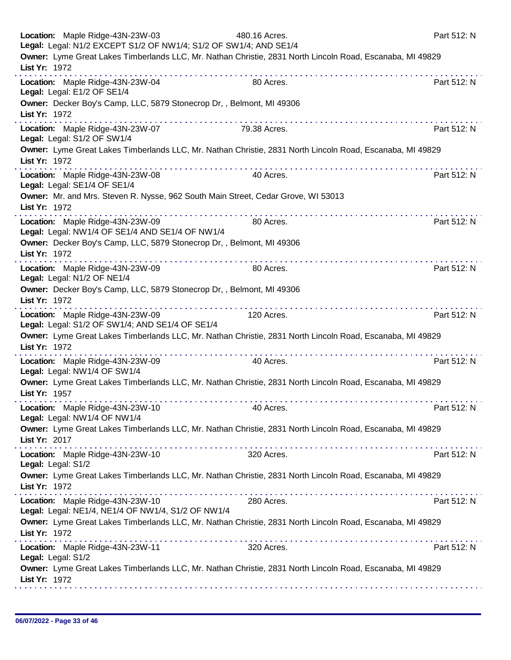|               | Location: Maple Ridge-43N-23W-03<br>Legal: Legal: N1/2 EXCEPT S1/2 OF NW1/4; S1/2 OF SW1/4; AND SE1/4 | 480.16 Acres.                                                                                             | Part 512: N |
|---------------|-------------------------------------------------------------------------------------------------------|-----------------------------------------------------------------------------------------------------------|-------------|
| List Yr: 1972 |                                                                                                       | Owner: Lyme Great Lakes Timberlands LLC, Mr. Nathan Christie, 2831 North Lincoln Road, Escanaba, MI 49829 |             |
|               | Location: Maple Ridge-43N-23W-04<br>Legal: Legal: E1/2 OF SE1/4                                       | 80 Acres.                                                                                                 | Part 512: N |
| List Yr: 1972 | Owner: Decker Boy's Camp, LLC, 5879 Stonecrop Dr,, Belmont, MI 49306                                  |                                                                                                           |             |
|               | Location: Maple Ridge-43N-23W-07<br>Legal: Legal: S1/2 OF SW1/4                                       | 79.38 Acres.                                                                                              | Part 512: N |
| List Yr: 1972 |                                                                                                       | Owner: Lyme Great Lakes Timberlands LLC, Mr. Nathan Christie, 2831 North Lincoln Road, Escanaba, MI 49829 |             |
|               | Location: Maple Ridge-43N-23W-08<br>Legal: Legal: SE1/4 OF SE1/4                                      | .<br>40 Acres.                                                                                            | Part 512: N |
| List Yr: 1972 |                                                                                                       | Owner: Mr. and Mrs. Steven R. Nysse, 962 South Main Street, Cedar Grove, WI 53013                         |             |
|               | Location: Maple Ridge-43N-23W-09<br>Legal: Legal: NW1/4 OF SE1/4 AND SE1/4 OF NW1/4                   | 80 Acres.                                                                                                 | Part 512: N |
| List Yr: 1972 | Owner: Decker Boy's Camp, LLC, 5879 Stonecrop Dr,, Belmont, MI 49306                                  |                                                                                                           |             |
|               | Location: Maple Ridge-43N-23W-09<br>Legal: Legal: N1/2 OF NE1/4                                       | .<br>80 Acres.                                                                                            | Part 512: N |
| List Yr: 1972 | Owner: Decker Boy's Camp, LLC, 5879 Stonecrop Dr,, Belmont, MI 49306                                  |                                                                                                           |             |
|               | Location: Maple Ridge-43N-23W-09<br>Legal: Legal: S1/2 OF SW1/4; AND SE1/4 OF SE1/4                   | .<br>120 Acres.                                                                                           | Part 512: N |
| List Yr: 1972 |                                                                                                       | Owner: Lyme Great Lakes Timberlands LLC, Mr. Nathan Christie, 2831 North Lincoln Road, Escanaba, MI 49829 |             |
|               | Location: Maple Ridge-43N-23W-09<br>Legal: Legal: NW1/4 OF SW1/4                                      | .<br>40 Acres.                                                                                            | Part 512: N |
| List Yr: 1957 |                                                                                                       | Owner: Lyme Great Lakes Timberlands LLC, Mr. Nathan Christie, 2831 North Lincoln Road, Escanaba, MI 49829 |             |
|               | Location: Maple Ridge-43N-23W-10<br>Legal: Legal: NW1/4 OF NW1/4                                      | 40 Acres.                                                                                                 | Part 512: N |
| List Yr: 2017 |                                                                                                       | Owner: Lyme Great Lakes Timberlands LLC, Mr. Nathan Christie, 2831 North Lincoln Road, Escanaba, MI 49829 |             |
|               | Location: Maple Ridge-43N-23W-10<br>Legal: Legal: S1/2                                                | 320 Acres.                                                                                                | Part 512: N |
| List Yr: 1972 |                                                                                                       | Owner: Lyme Great Lakes Timberlands LLC, Mr. Nathan Christie, 2831 North Lincoln Road, Escanaba, MI 49829 |             |
|               | Location: Maple Ridge-43N-23W-10<br>Legal: Legal: NE1/4, NE1/4 OF NW1/4, S1/2 OF NW1/4                | 280 Acres.                                                                                                | Part 512: N |
| List Yr: 1972 |                                                                                                       | Owner: Lyme Great Lakes Timberlands LLC, Mr. Nathan Christie, 2831 North Lincoln Road, Escanaba, MI 49829 |             |
|               | Location: Maple Ridge-43N-23W-11<br>Legal: Legal: S1/2                                                | 320 Acres.                                                                                                | Part 512: N |
| List Yr: 1972 |                                                                                                       | Owner: Lyme Great Lakes Timberlands LLC, Mr. Nathan Christie, 2831 North Lincoln Road, Escanaba, MI 49829 |             |
|               |                                                                                                       |                                                                                                           |             |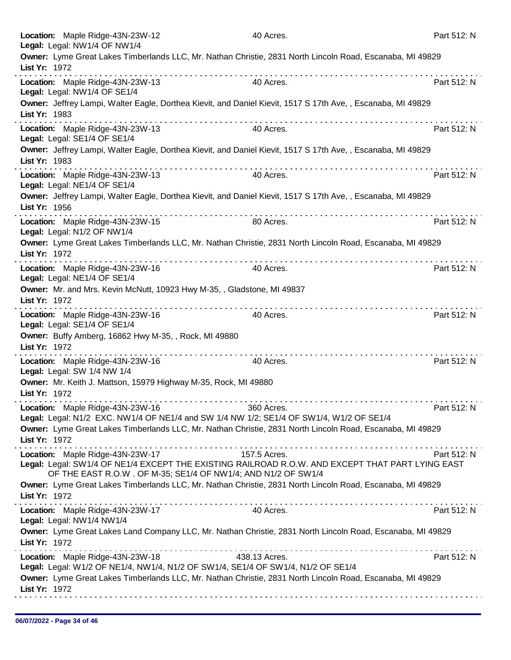|               | Location: Maple Ridge-43N-23W-12<br>Legal: Legal: NW1/4 OF NW1/4                                                                                                  | 40 Acres.  | Part 512: N |
|---------------|-------------------------------------------------------------------------------------------------------------------------------------------------------------------|------------|-------------|
|               | Owner: Lyme Great Lakes Timberlands LLC, Mr. Nathan Christie, 2831 North Lincoln Road, Escanaba, MI 49829                                                         |            |             |
| List Yr: 1972 |                                                                                                                                                                   |            |             |
|               | .<br>Location: Maple Ridge-43N-23W-13                                                                                                                             | 40 Acres.  | Part 512: N |
|               | Legal: Legal: NW1/4 OF SE1/4                                                                                                                                      |            |             |
| List Yr: 1983 | Owner: Jeffrey Lampi, Walter Eagle, Dorthea Kievit, and Daniel Kievit, 1517 S 17th Ave, , Escanaba, MI 49829                                                      |            |             |
|               | Location: Maple Ridge-43N-23W-13<br>Legal: Legal: SE1/4 OF SE1/4                                                                                                  | 40 Acres.  | Part 512: N |
| List Yr: 1983 | Owner: Jeffrey Lampi, Walter Eagle, Dorthea Kievit, and Daniel Kievit, 1517 S 17th Ave, , Escanaba, MI 49829                                                      |            |             |
|               | Location: Maple Ridge-43N-23W-13<br>Legal: Legal: NE1/4 OF SE1/4                                                                                                  | 40 Acres.  | Part 512: N |
| List Yr: 1956 | Owner: Jeffrey Lampi, Walter Eagle, Dorthea Kievit, and Daniel Kievit, 1517 S 17th Ave, , Escanaba, MI 49829                                                      |            |             |
|               | Location: Maple Ridge-43N-23W-15<br>Legal: Legal: N1/2 OF NW1/4                                                                                                   | 80 Acres.  | Part 512: N |
| List Yr: 1972 | Owner: Lyme Great Lakes Timberlands LLC, Mr. Nathan Christie, 2831 North Lincoln Road, Escanaba, MI 49829                                                         |            |             |
|               | . <b>.</b><br>Location: Maple Ridge-43N-23W-16<br>Legal: Legal: NE1/4 OF SE1/4                                                                                    | 40 Acres.  | Part 512: N |
| List Yr: 1972 | Owner: Mr. and Mrs. Kevin McNutt, 10923 Hwy M-35, , Gladstone, MI 49837                                                                                           |            |             |
|               | Location: Maple Ridge-43N-23W-16<br>Legal: Legal: SE1/4 OF SE1/4                                                                                                  | 40 Acres.  | Part 512: N |
| List Yr: 1972 | Owner: Buffy Amberg, 16862 Hwy M-35, , Rock, MI 49880                                                                                                             |            |             |
|               | .<br>Location: Maple Ridge-43N-23W-16<br>Legal: Legal: SW 1/4 NW 1/4                                                                                              | 40 Acres.  | Part 512: N |
| List Yr: 1972 | Owner: Mr. Keith J. Mattson, 15979 Highway M-35, Rock, MI 49880                                                                                                   |            |             |
|               | Location: Maple Ridge-43N-23W-16                                                                                                                                  | 360 Acres. | Part 512: N |
|               | Legal: Legal: N1/2 EXC. NW1/4 OF NE1/4 and SW 1/4 NW 1/2; SE1/4 OF SW1/4, W1/2 OF SE1/4                                                                           |            |             |
| List Yr: 1972 | Owner: Lyme Great Lakes Timberlands LLC, Mr. Nathan Christie, 2831 North Lincoln Road, Escanaba, MI 49829                                                         |            |             |
|               | .<br>Location: Maple Ridge-43N-23W-17 157.5 Acres.                                                                                                                |            | Part 512: N |
|               | Legal: Legal: SW1/4 OF NE1/4 EXCEPT THE EXISTING RAILROAD R.O.W. AND EXCEPT THAT PART LYING EAST<br>OF THE EAST R.O.W. OF M-35; SE1/4 OF NW1/4; AND N1/2 OF SW1/4 |            |             |
| List Yr: 1972 | Owner: Lyme Great Lakes Timberlands LLC, Mr. Nathan Christie, 2831 North Lincoln Road, Escanaba, MI 49829                                                         |            |             |
|               | Location: Maple Ridge-43N-23W-17<br>Legal: Legal: NW1/4 NW1/4                                                                                                     | 40 Acres.  | Part 512: N |
| List Yr: 1972 | Owner: Lyme Great Lakes Land Company LLC, Mr. Nathan Christie, 2831 North Lincoln Road, Escanaba, MI 49829                                                        |            |             |
|               | Location: Maple Ridge-43N-23W-18 438.13 Acres.<br>Legal: Legal: W1/2 OF NE1/4, NW1/4, N1/2 OF SW1/4, SE1/4 OF SW1/4, N1/2 OF SE1/4                                |            | Part 512: N |
| List Yr: 1972 | Owner: Lyme Great Lakes Timberlands LLC, Mr. Nathan Christie, 2831 North Lincoln Road, Escanaba, MI 49829                                                         |            |             |
|               |                                                                                                                                                                   |            |             |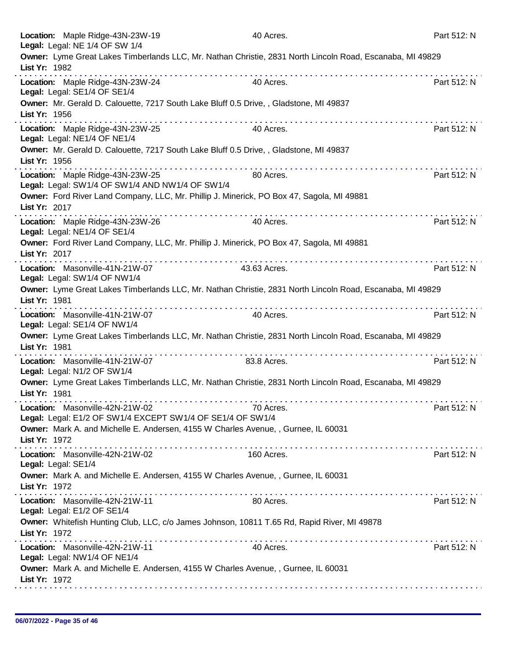| Location: Maple Ridge-43N-23W-19<br>Legal: Legal: NE 1/4 OF SW 1/4                                                         | 40 Acres.    | Part 512: N |
|----------------------------------------------------------------------------------------------------------------------------|--------------|-------------|
| Owner: Lyme Great Lakes Timberlands LLC, Mr. Nathan Christie, 2831 North Lincoln Road, Escanaba, MI 49829<br>List Yr: 1982 |              |             |
| .<br>Location: Maple Ridge-43N-23W-24<br>Legal: Legal: SE1/4 OF SE1/4                                                      | 40 Acres.    | Part 512: N |
| Owner: Mr. Gerald D. Calouette, 7217 South Lake Bluff 0.5 Drive,, Gladstone, MI 49837<br>List Yr: 1956                     | .            |             |
| Location: Maple Ridge-43N-23W-25<br>Legal: Legal: NE1/4 OF NE1/4                                                           | 40 Acres.    | Part 512: N |
| Owner: Mr. Gerald D. Calouette, 7217 South Lake Bluff 0.5 Drive, , Gladstone, MI 49837<br>List Yr: 1956                    |              |             |
| Location: Maple Ridge-43N-23W-25<br>Legal: Legal: SW1/4 OF SW1/4 AND NW1/4 OF SW1/4                                        | 80 Acres.    | Part 512: N |
| Owner: Ford River Land Company, LLC, Mr. Phillip J. Minerick, PO Box 47, Sagola, MI 49881<br>List Yr: 2017                 |              |             |
| Location: Maple Ridge-43N-23W-26<br>Legal: Legal: NE1/4 OF SE1/4                                                           | 40 Acres.    | Part 512: N |
| Owner: Ford River Land Company, LLC, Mr. Phillip J. Minerick, PO Box 47, Sagola, MI 49881<br>List Yr: 2017                 |              |             |
| Location: Masonville-41N-21W-07<br>Legal: Legal: SW1/4 OF NW1/4                                                            | 43.63 Acres. | Part 512: N |
| Owner: Lyme Great Lakes Timberlands LLC, Mr. Nathan Christie, 2831 North Lincoln Road, Escanaba, MI 49829<br>List Yr: 1981 |              |             |
| Location: Masonville-41N-21W-07<br>Legal: Legal: SE1/4 OF NW1/4                                                            | 40 Acres.    | Part 512: N |
| Owner: Lyme Great Lakes Timberlands LLC, Mr. Nathan Christie, 2831 North Lincoln Road, Escanaba, MI 49829<br>List Yr: 1981 |              |             |
| Location: Masonville-41N-21W-07<br>Legal: Legal: N1/2 OF SW1/4                                                             | 83.8 Acres.  | Part 512: N |
| Owner: Lyme Great Lakes Timberlands LLC, Mr. Nathan Christie, 2831 North Lincoln Road, Escanaba, MI 49829<br>List Yr: 1981 |              |             |
| Location: Masonville-42N-21W-02<br>Legal: Legal: E1/2 OF SW1/4 EXCEPT SW1/4 OF SE1/4 OF SW1/4                              | 70 Acres.    | Part 512: N |
| Owner: Mark A. and Michelle E. Andersen, 4155 W Charles Avenue, , Gurnee, IL 60031<br>List Yr: 1972                        |              |             |
| Location: Masonville-42N-21W-02<br>Legal: Legal: SE1/4                                                                     | 160 Acres.   | Part 512: N |
| Owner: Mark A. and Michelle E. Andersen, 4155 W Charles Avenue, , Gurnee, IL 60031<br>List Yr: 1972                        |              |             |
| Location: Masonville-42N-21W-11<br>Legal: Legal: E1/2 OF SE1/4                                                             | 80 Acres.    | Part 512: N |
| Owner: Whitefish Hunting Club, LLC, c/o James Johnson, 10811 T.65 Rd, Rapid River, MI 49878<br>List Yr: 1972               |              |             |
| Location: Masonville-42N-21W-11<br>Legal: Legal: NW1/4 OF NE1/4                                                            | 40 Acres.    | Part 512: N |
| Owner: Mark A. and Michelle E. Andersen, 4155 W Charles Avenue, , Gurnee, IL 60031<br>List Yr: 1972                        |              |             |
|                                                                                                                            |              |             |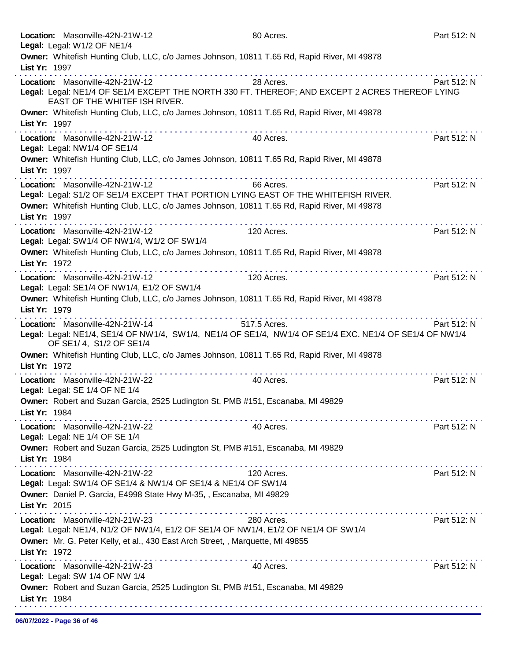|               | Location: Masonville-42N-21W-12                                                             | 80 Acres.                                                                                               | Part 512: N |
|---------------|---------------------------------------------------------------------------------------------|---------------------------------------------------------------------------------------------------------|-------------|
|               | Legal: Legal: W1/2 OF NE1/4                                                                 |                                                                                                         |             |
|               | Owner: Whitefish Hunting Club, LLC, c/o James Johnson, 10811 T.65 Rd, Rapid River, MI 49878 |                                                                                                         |             |
| List Yr: 1997 |                                                                                             |                                                                                                         |             |
|               | Location: Masonville-42N-21W-12                                                             | 28 Acres.                                                                                               | Part 512: N |
|               |                                                                                             | Legal: Legal: NE1/4 OF SE1/4 EXCEPT THE NORTH 330 FT. THEREOF; AND EXCEPT 2 ACRES THEREOF LYING         |             |
|               | EAST OF THE WHITEF ISH RIVER.                                                               |                                                                                                         |             |
|               | Owner: Whitefish Hunting Club, LLC, c/o James Johnson, 10811 T.65 Rd, Rapid River, MI 49878 |                                                                                                         |             |
| List Yr: 1997 |                                                                                             |                                                                                                         |             |
|               |                                                                                             |                                                                                                         |             |
|               | Location: Masonville-42N-21W-12                                                             | 40 Acres.                                                                                               | Part 512: N |
|               | Legal: Legal: NW1/4 OF SE1/4                                                                |                                                                                                         |             |
|               | Owner: Whitefish Hunting Club, LLC, c/o James Johnson, 10811 T.65 Rd, Rapid River, MI 49878 |                                                                                                         |             |
| List Yr: 1997 |                                                                                             |                                                                                                         |             |
|               | Location: Masonville-42N-21W-12                                                             | 66 Acres.                                                                                               | Part 512: N |
|               | Legal: Legal: S1/2 OF SE1/4 EXCEPT THAT PORTION LYING EAST OF THE WHITEFISH RIVER.          |                                                                                                         |             |
|               | Owner: Whitefish Hunting Club, LLC, c/o James Johnson, 10811 T.65 Rd, Rapid River, MI 49878 |                                                                                                         |             |
| List Yr: 1997 |                                                                                             |                                                                                                         |             |
|               |                                                                                             |                                                                                                         |             |
|               | Location: Masonville-42N-21W-12                                                             | 120 Acres.                                                                                              | Part 512: N |
|               | Legal: Legal: SW1/4 OF NW1/4, W1/2 OF SW1/4                                                 |                                                                                                         |             |
|               | Owner: Whitefish Hunting Club, LLC, c/o James Johnson, 10811 T.65 Rd, Rapid River, MI 49878 |                                                                                                         |             |
| List Yr: 1972 |                                                                                             |                                                                                                         |             |
|               | Location: Masonville-42N-21W-12                                                             | 120 Acres.                                                                                              | Part 512: N |
|               | Legal: Legal: SE1/4 OF NW1/4, E1/2 OF SW1/4                                                 |                                                                                                         |             |
|               | Owner: Whitefish Hunting Club, LLC, c/o James Johnson, 10811 T.65 Rd, Rapid River, MI 49878 |                                                                                                         |             |
| List Yr: 1979 |                                                                                             |                                                                                                         |             |
|               | Location: Masonville-42N-21W-14                                                             | 517.5 Acres.                                                                                            | Part 512: N |
|               |                                                                                             | Legal: Legal: NE1/4, SE1/4 OF NW1/4, SW1/4, NE1/4 OF SE1/4, NW1/4 OF SE1/4 EXC. NE1/4 OF SE1/4 OF NW1/4 |             |
|               | OF SE1/4, S1/2 OF SE1/4                                                                     |                                                                                                         |             |
|               | Owner: Whitefish Hunting Club, LLC, c/o James Johnson, 10811 T.65 Rd, Rapid River, MI 49878 |                                                                                                         |             |
| List Yr: 1972 |                                                                                             |                                                                                                         |             |
|               |                                                                                             |                                                                                                         |             |
|               | Location: Masonville-42N-21W-22                                                             | 40 Acres.                                                                                               | Part 512: N |
|               | Legal: Legal: SE 1/4 OF NE 1/4                                                              |                                                                                                         |             |
|               | Owner: Robert and Suzan Garcia, 2525 Ludington St, PMB #151, Escanaba, MI 49829             |                                                                                                         |             |
| List Yr: 1984 | .                                                                                           |                                                                                                         |             |
|               | Location: Masonville-42N-21W-22                                                             | 40 Acres.                                                                                               | Part 512: N |
|               | Legal: Legal: NE 1/4 OF SE 1/4                                                              |                                                                                                         |             |
|               | Owner: Robert and Suzan Garcia, 2525 Ludington St, PMB #151, Escanaba, MI 49829             |                                                                                                         |             |
| List Yr: 1984 |                                                                                             |                                                                                                         |             |
|               | Location: Masonville-42N-21W-22                                                             |                                                                                                         | Part 512: N |
|               |                                                                                             | 120 Acres.                                                                                              |             |
|               | Legal: Legal: SW1/4 OF SE1/4 & NW1/4 OF SE1/4 & NE1/4 OF SW1/4                              |                                                                                                         |             |
|               | Owner: Daniel P. Garcia, E4998 State Hwy M-35, , Escanaba, MI 49829                         |                                                                                                         |             |
| List Yr: 2015 |                                                                                             |                                                                                                         |             |
|               | Location: Masonville-42N-21W-23                                                             | 280 Acres.                                                                                              | Part 512: N |
|               | Legal: Legal: NE1/4, N1/2 OF NW1/4, E1/2 OF SE1/4 OF NW1/4, E1/2 OF NE1/4 OF SW1/4          |                                                                                                         |             |
|               | Owner: Mr. G. Peter Kelly, et al., 430 East Arch Street, , Marquette, MI 49855              |                                                                                                         |             |
| List Yr: 1972 |                                                                                             |                                                                                                         |             |
|               | Location: Masonville-42N-21W-23                                                             | 40 Acres.                                                                                               | Part 512: N |
|               | Legal: Legal: SW 1/4 OF NW 1/4                                                              |                                                                                                         |             |
|               | Owner: Robert and Suzan Garcia, 2525 Ludington St, PMB #151, Escanaba, MI 49829             |                                                                                                         |             |
|               |                                                                                             |                                                                                                         |             |
|               |                                                                                             |                                                                                                         |             |
| List Yr: 1984 |                                                                                             |                                                                                                         |             |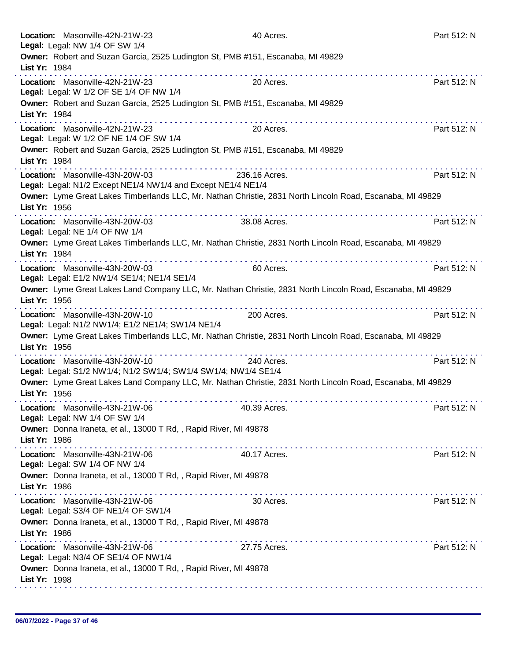| Location: Masonville-42N-21W-23<br>Legal: Legal: NW 1/4 OF SW 1/4                                 | 40 Acres.                                                                                                      | Part 512: N |
|---------------------------------------------------------------------------------------------------|----------------------------------------------------------------------------------------------------------------|-------------|
| List Yr: 1984                                                                                     | Owner: Robert and Suzan Garcia, 2525 Ludington St, PMB #151, Escanaba, MI 49829<br>.                           |             |
| Location: Masonville-42N-21W-23<br>Legal: Legal: W 1/2 OF SE 1/4 OF NW 1/4                        | 20 Acres.                                                                                                      | Part 512: N |
| List Yr: 1984                                                                                     | Owner: Robert and Suzan Garcia, 2525 Ludington St, PMB #151, Escanaba, MI 49829                                |             |
| Location: Masonville-42N-21W-23<br>Legal: Legal: W 1/2 OF NE 1/4 OF SW 1/4                        | 20 Acres.                                                                                                      | Part 512: N |
| List Yr: 1984                                                                                     | Owner: Robert and Suzan Garcia, 2525 Ludington St, PMB #151, Escanaba, MI 49829                                |             |
| Location: Masonville-43N-20W-03<br>Legal: Legal: N1/2 Except NE1/4 NW1/4 and Except NE1/4 NE1/4   | 236.16 Acres.                                                                                                  | Part 512: N |
| List Yr: 1956                                                                                     | Owner: Lyme Great Lakes Timberlands LLC, Mr. Nathan Christie, 2831 North Lincoln Road, Escanaba, MI 49829      |             |
| Location: Masonville-43N-20W-03<br>Legal: Legal: NE 1/4 OF NW 1/4                                 | .<br>38.08 Acres.                                                                                              | Part 512: N |
| List Yr: 1984                                                                                     | Owner: Lyme Great Lakes Timberlands LLC, Mr. Nathan Christie, 2831 North Lincoln Road, Escanaba, MI 49829      |             |
| Location: Masonville-43N-20W-03<br>Legal: Legal: E1/2 NW1/4 SE1/4; NE1/4 SE1/4                    | 60 Acres.                                                                                                      | Part 512: N |
| List Yr: 1956                                                                                     | Owner: Lyme Great Lakes Land Company LLC, Mr. Nathan Christie, 2831 North Lincoln Road, Escanaba, MI 49829     |             |
| Location: Masonville-43N-20W-10<br>Legal: Legal: N1/2 NW1/4; E1/2 NE1/4; SW1/4 NE1/4              | 200 Acres.                                                                                                     | Part 512: N |
| List Yr: 1956                                                                                     | Owner: Lyme Great Lakes Timberlands LLC, Mr. Nathan Christie, 2831 North Lincoln Road, Escanaba, MI 49829<br>. |             |
| Location: Masonville-43N-20W-10<br>Legal: Legal: S1/2 NW1/4; N1/2 SW1/4; SW1/4 SW1/4; NW1/4 SE1/4 | 240 Acres.                                                                                                     | Part 512: N |
| List Yr: 1956                                                                                     | Owner: Lyme Great Lakes Land Company LLC, Mr. Nathan Christie, 2831 North Lincoln Road, Escanaba, MI 49829     |             |
| Location: Masonville-43N-21W-06<br>Legal: Legal: NW 1/4 OF SW 1/4                                 | 40.39 Acres.                                                                                                   | Part 512: N |
| Owner: Donna Iraneta, et al., 13000 T Rd, , Rapid River, MI 49878<br>List Yr: 1986                |                                                                                                                |             |
| Location: Masonville-43N-21W-06<br>Legal: Legal: SW 1/4 OF NW 1/4                                 | .<br>40.17 Acres.                                                                                              | Part 512: N |
| Owner: Donna Iraneta, et al., 13000 T Rd, , Rapid River, MI 49878<br>List Yr: 1986                |                                                                                                                |             |
| Location: Masonville-43N-21W-06<br>Legal: Legal: S3/4 OF NE1/4 OF SW1/4                           | 30 Acres.                                                                                                      | Part 512: N |
| Owner: Donna Iraneta, et al., 13000 T Rd, , Rapid River, MI 49878<br>List Yr: 1986                |                                                                                                                |             |
| Location: Masonville-43N-21W-06<br>Legal: Legal: N3/4 OF SE1/4 OF NW1/4                           | 27.75 Acres.                                                                                                   | Part 512: N |
| Owner: Donna Iraneta, et al., 13000 T Rd, , Rapid River, MI 49878<br>List Yr: 1998                |                                                                                                                |             |
|                                                                                                   |                                                                                                                |             |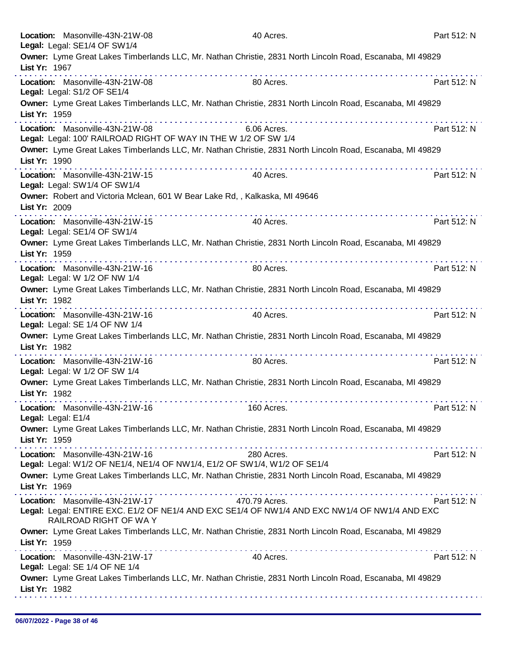| Location: Masonville-43N-21W-08<br>Legal: Legal: SE1/4 OF SW1/4                                              | 40 Acres.                                                                                                                                | Part 512: N |
|--------------------------------------------------------------------------------------------------------------|------------------------------------------------------------------------------------------------------------------------------------------|-------------|
| List Yr: 1967                                                                                                | Owner: Lyme Great Lakes Timberlands LLC, Mr. Nathan Christie, 2831 North Lincoln Road, Escanaba, MI 49829                                |             |
| Location: Masonville-43N-21W-08<br>Legal: Legal: S1/2 OF SE1/4                                               | 80 Acres.                                                                                                                                | Part 512: N |
| List Yr: 1959                                                                                                | Owner: Lyme Great Lakes Timberlands LLC, Mr. Nathan Christie, 2831 North Lincoln Road, Escanaba, MI 49829                                |             |
| Location: Masonville-43N-21W-08<br>Legal: Legal: 100' RAILROAD RIGHT OF WAY IN THE W 1/2 OF SW 1/4           | 6.06 Acres.                                                                                                                              | Part 512: N |
| List Yr: 1990                                                                                                | Owner: Lyme Great Lakes Timberlands LLC, Mr. Nathan Christie, 2831 North Lincoln Road, Escanaba, MI 49829<br><u>a dia ana ana ana an</u> |             |
| Location: Masonville-43N-21W-15<br>Legal: Legal: SW1/4 OF SW1/4                                              | 40 Acres.                                                                                                                                | Part 512: N |
| Owner: Robert and Victoria Mclean, 601 W Bear Lake Rd,, Kalkaska, MI 49646<br>List Yr: 2009                  |                                                                                                                                          |             |
| Location: Masonville-43N-21W-15<br>Legal: Legal: SE1/4 OF SW1/4                                              | 40 Acres.                                                                                                                                | Part 512: N |
| List Yr: 1959                                                                                                | Owner: Lyme Great Lakes Timberlands LLC, Mr. Nathan Christie, 2831 North Lincoln Road, Escanaba, MI 49829                                |             |
| Location: Masonville-43N-21W-16<br>Legal: Legal: W 1/2 OF NW 1/4                                             | 80 Acres.                                                                                                                                | Part 512: N |
| List Yr: 1982                                                                                                | Owner: Lyme Great Lakes Timberlands LLC, Mr. Nathan Christie, 2831 North Lincoln Road, Escanaba, MI 49829                                |             |
| Location: Masonville-43N-21W-16<br>Legal: Legal: SE 1/4 OF NW 1/4                                            | 40 Acres.                                                                                                                                | Part 512: N |
| List Yr: 1982                                                                                                | Owner: Lyme Great Lakes Timberlands LLC, Mr. Nathan Christie, 2831 North Lincoln Road, Escanaba, MI 49829<br>.                           |             |
| Location: Masonville-43N-21W-16<br>Legal: Legal: W 1/2 OF SW 1/4                                             | 80 Acres.                                                                                                                                | Part 512: N |
| List Yr: 1982                                                                                                | Owner: Lyme Great Lakes Timberlands LLC, Mr. Nathan Christie, 2831 North Lincoln Road, Escanaba, MI 49829                                |             |
| Location: Masonville-43N-21W-16<br>Legal: Legal: E1/4                                                        | 160 Acres.                                                                                                                               | Part 512: N |
| List Yr: 1959                                                                                                | Owner: Lyme Great Lakes Timberlands LLC, Mr. Nathan Christie, 2831 North Lincoln Road, Escanaba, MI 49829                                |             |
| Location: Masonville-43N-21W-16<br>Legal: Legal: W1/2 OF NE1/4, NE1/4 OF NW1/4, E1/2 OF SW1/4, W1/2 OF SE1/4 | 280 Acres.                                                                                                                               | Part 512: N |
| List Yr: 1969                                                                                                | Owner: Lyme Great Lakes Timberlands LLC, Mr. Nathan Christie, 2831 North Lincoln Road, Escanaba, MI 49829                                |             |
| Location: Masonville-43N-21W-17 470.79 Acres.<br>RAILROAD RIGHT OF WAY                                       | Legal: Legal: ENTIRE EXC. E1/2 OF NE1/4 AND EXC SE1/4 OF NW1/4 AND EXC NW1/4 OF NW1/4 AND EXC                                            | Part 512: N |
| List Yr: 1959                                                                                                | Owner: Lyme Great Lakes Timberlands LLC, Mr. Nathan Christie, 2831 North Lincoln Road, Escanaba, MI 49829                                |             |
| Location: Masonville-43N-21W-17<br>Legal: Legal: SE 1/4 OF NE 1/4                                            | 40 Acres.                                                                                                                                | Part 512: N |
| List Yr: 1982                                                                                                | Owner: Lyme Great Lakes Timberlands LLC, Mr. Nathan Christie, 2831 North Lincoln Road, Escanaba, MI 49829                                |             |
|                                                                                                              |                                                                                                                                          |             |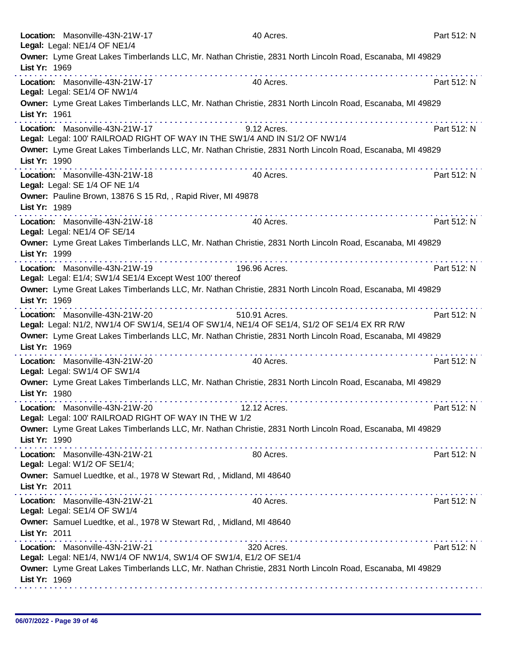|               | Location: Masonville-43N-21W-17<br>Legal: Legal: NE1/4 OF NE1/4                             | 40 Acres.                                                                                                    | Part 512: N |
|---------------|---------------------------------------------------------------------------------------------|--------------------------------------------------------------------------------------------------------------|-------------|
| List Yr: 1969 |                                                                                             | Owner: Lyme Great Lakes Timberlands LLC, Mr. Nathan Christie, 2831 North Lincoln Road, Escanaba, MI 49829    |             |
|               | Location: Masonville-43N-21W-17<br>Legal: Legal: SE1/4 OF NW1/4                             | 40 Acres.                                                                                                    | Part 512: N |
| List Yr: 1961 |                                                                                             | Owner: Lyme Great Lakes Timberlands LLC, Mr. Nathan Christie, 2831 North Lincoln Road, Escanaba, MI 49829    |             |
|               | Location: Masonville-43N-21W-17                                                             | 9.12 Acres.<br>Legal: Legal: 100' RAILROAD RIGHT OF WAY IN THE SW1/4 AND IN S1/2 OF NW1/4                    | Part 512: N |
| List Yr: 1990 |                                                                                             | Owner: Lyme Great Lakes Timberlands LLC, Mr. Nathan Christie, 2831 North Lincoln Road, Escanaba, MI 49829    |             |
|               | Location: Masonville-43N-21W-18<br>Legal: Legal: SE 1/4 OF NE 1/4                           | 40 Acres.                                                                                                    | Part 512: N |
| List Yr: 1989 | Owner: Pauline Brown, 13876 S 15 Rd, , Rapid River, MI 49878                                |                                                                                                              |             |
|               | Location: Masonville-43N-21W-18<br>Legal: Legal: NE1/4 OF SE/14                             | 40 Acres.                                                                                                    | Part 512: N |
| List Yr: 1999 |                                                                                             | Owner: Lyme Great Lakes Timberlands LLC, Mr. Nathan Christie, 2831 North Lincoln Road, Escanaba, MI 49829    |             |
|               | Location: Masonville-43N-21W-19<br>Legal: Legal: E1/4; SW1/4 SE1/4 Except West 100' thereof | 196.96 Acres.                                                                                                | Part 512: N |
| List Yr: 1969 |                                                                                             | Owner: Lyme Great Lakes Timberlands LLC, Mr. Nathan Christie, 2831 North Lincoln Road, Escanaba, MI 49829    |             |
|               | Location: Masonville-43N-21W-20                                                             | 510.91 Acres.<br>Legal: Legal: N1/2, NW1/4 OF SW1/4, SE1/4 OF SW1/4, NE1/4 OF SE1/4, S1/2 OF SE1/4 EX RR R/W | Part 512: N |
| List Yr: 1969 |                                                                                             | Owner: Lyme Great Lakes Timberlands LLC, Mr. Nathan Christie, 2831 North Lincoln Road, Escanaba, MI 49829    |             |
|               | Location: Masonville-43N-21W-20<br>Legal: Legal: SW1/4 OF SW1/4                             | 40 Acres.                                                                                                    | Part 512: N |
| List Yr: 1980 |                                                                                             | Owner: Lyme Great Lakes Timberlands LLC, Mr. Nathan Christie, 2831 North Lincoln Road, Escanaba, MI 49829    |             |
|               | Location: Masonville-43N-21W-20<br>Legal: Legal: 100' RAILROAD RIGHT OF WAY IN THE W 1/2    | 12.12 Acres.                                                                                                 | Part 512: N |
| List Yr: 1990 |                                                                                             | Owner: Lyme Great Lakes Timberlands LLC, Mr. Nathan Christie, 2831 North Lincoln Road, Escanaba, MI 49829    |             |
|               | Location: Masonville-43N-21W-21<br>Legal: Legal: W1/2 OF SE1/4;                             | 80 Acres.                                                                                                    | Part 512: N |
| List Yr: 2011 | Owner: Samuel Luedtke, et al., 1978 W Stewart Rd, , Midland, MI 48640                       |                                                                                                              |             |
|               | Location: Masonville-43N-21W-21<br>Legal: Legal: SE1/4 OF SW1/4                             | 40 Acres.                                                                                                    | Part 512: N |
| List Yr: 2011 | Owner: Samuel Luedtke, et al., 1978 W Stewart Rd, , Midland, MI 48640                       |                                                                                                              |             |
|               | Location: Masonville-43N-21W-21                                                             | 320 Acres.<br>Legal: Legal: NE1/4, NW1/4 OF NW1/4, SW1/4 OF SW1/4, E1/2 OF SE1/4                             | Part 512: N |
| List Yr: 1969 |                                                                                             | Owner: Lyme Great Lakes Timberlands LLC, Mr. Nathan Christie, 2831 North Lincoln Road, Escanaba, MI 49829    |             |
|               |                                                                                             |                                                                                                              |             |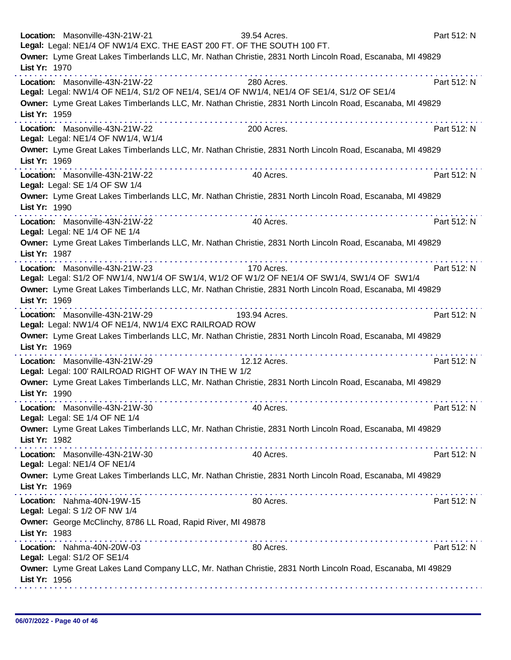| Location: Masonville-43N-21W-21<br>39.54 Acres.<br>Legal: Legal: NE1/4 OF NW1/4 EXC. THE EAST 200 FT. OF THE SOUTH 100 FT.                   | Part 512: N |
|----------------------------------------------------------------------------------------------------------------------------------------------|-------------|
| Owner: Lyme Great Lakes Timberlands LLC, Mr. Nathan Christie, 2831 North Lincoln Road, Escanaba, MI 49829<br>List Yr: 1970                   |             |
| Location: Masonville-43N-21W-22<br>280 Acres.<br>Legal: Legal: NW1/4 OF NE1/4, S1/2 OF NE1/4, SE1/4 OF NW1/4, NE1/4 OF SE1/4, S1/2 OF SE1/4  | Part 512: N |
| Owner: Lyme Great Lakes Timberlands LLC, Mr. Nathan Christie, 2831 North Lincoln Road, Escanaba, MI 49829<br>List Yr: 1959                   |             |
| and a series and a series of<br>Location: Masonville-43N-21W-22<br>200 Acres.<br>Legal: Legal: NE1/4 OF NW1/4, W1/4                          | Part 512: N |
| Owner: Lyme Great Lakes Timberlands LLC, Mr. Nathan Christie, 2831 North Lincoln Road, Escanaba, MI 49829<br>List Yr: 1969                   |             |
| Location: Masonville-43N-21W-22<br>40 Acres.<br>Legal: Legal: SE 1/4 OF SW 1/4                                                               | Part 512: N |
| Owner: Lyme Great Lakes Timberlands LLC, Mr. Nathan Christie, 2831 North Lincoln Road, Escanaba, MI 49829<br>List Yr: 1990<br>.              |             |
| Location: Masonville-43N-21W-22<br>40 Acres.<br>Legal: Legal: NE 1/4 OF NE 1/4                                                               | Part 512: N |
| Owner: Lyme Great Lakes Timberlands LLC, Mr. Nathan Christie, 2831 North Lincoln Road, Escanaba, MI 49829<br>List Yr: 1987                   |             |
| Location: Masonville-43N-21W-23<br>170 Acres.<br>Legal: Legal: S1/2 OF NW1/4, NW1/4 OF SW1/4, W1/2 OF W1/2 OF NE1/4 OF SW1/4, SW1/4 OF SW1/4 | Part 512: N |
| Owner: Lyme Great Lakes Timberlands LLC, Mr. Nathan Christie, 2831 North Lincoln Road, Escanaba, MI 49829<br>List Yr: 1969                   |             |
| Location: Masonville-43N-21W-29<br>193.94 Acres.<br>Legal: Legal: NW1/4 OF NE1/4, NW1/4 EXC RAILROAD ROW                                     | Part 512: N |
| Owner: Lyme Great Lakes Timberlands LLC, Mr. Nathan Christie, 2831 North Lincoln Road, Escanaba, MI 49829<br>List Yr: 1969                   |             |
| Location: Masonville-43N-21W-29<br>12.12 Acres.<br>Legal: Legal: 100' RAILROAD RIGHT OF WAY IN THE W 1/2                                     | Part 512: N |
| Owner: Lyme Great Lakes Timberlands LLC, Mr. Nathan Christie, 2831 North Lincoln Road, Escanaba, MI 49829<br>List Yr: 1990                   |             |
| Location: Masonville-43N-21W-30<br>40 Acres.<br>Legal: Legal: SE 1/4 OF NE 1/4                                                               | Part 512: N |
| Owner: Lyme Great Lakes Timberlands LLC, Mr. Nathan Christie, 2831 North Lincoln Road, Escanaba, MI 49829<br>List Yr: 1982                   |             |
| Location: Masonville-43N-21W-30<br>40 Acres.<br>Legal: Legal: NE1/4 OF NE1/4                                                                 | Part 512: N |
| Owner: Lyme Great Lakes Timberlands LLC, Mr. Nathan Christie, 2831 North Lincoln Road, Escanaba, MI 49829<br>List Yr: 1969                   |             |
| Location: Nahma-40N-19W-15<br>80 Acres.<br>Legal: Legal: S 1/2 OF NW 1/4                                                                     | Part 512: N |
| Owner: George McClinchy, 8786 LL Road, Rapid River, MI 49878<br>List Yr: 1983                                                                |             |
| Location: Nahma-40N-20W-03<br>80 Acres.<br>Legal: Legal: S1/2 OF SE1/4                                                                       | Part 512: N |
| Owner: Lyme Great Lakes Land Company LLC, Mr. Nathan Christie, 2831 North Lincoln Road, Escanaba, MI 49829<br>List Yr: 1956                  |             |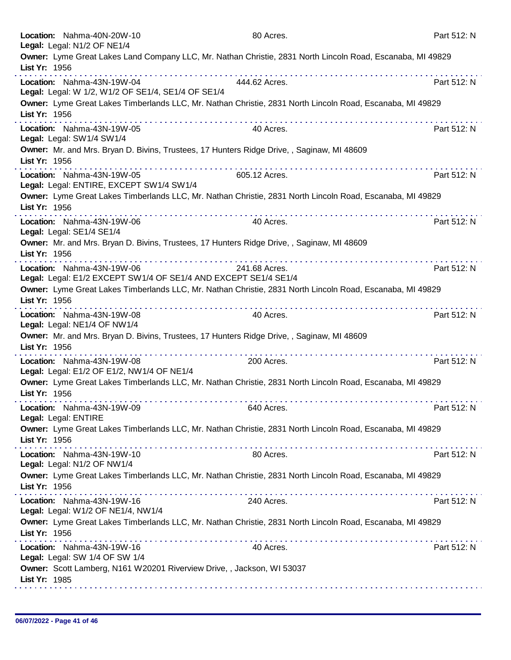| Location: Nahma-40N-20W-10<br>Legal: Legal: N1/2 OF NE1/4                               | 80 Acres.                                                                                                  | Part 512: N |
|-----------------------------------------------------------------------------------------|------------------------------------------------------------------------------------------------------------|-------------|
| List Yr: 1956                                                                           | Owner: Lyme Great Lakes Land Company LLC, Mr. Nathan Christie, 2831 North Lincoln Road, Escanaba, MI 49829 |             |
| Location: Nahma-43N-19W-04                                                              | 444.62 Acres.                                                                                              | Part 512: N |
| Legal: Legal: W 1/2, W1/2 OF SE1/4, SE1/4 OF SE1/4                                      |                                                                                                            |             |
| List Yr: 1956                                                                           | Owner: Lyme Great Lakes Timberlands LLC, Mr. Nathan Christie, 2831 North Lincoln Road, Escanaba, MI 49829  |             |
| Location: Nahma-43N-19W-05<br>Legal: Legal: SW1/4 SW1/4                                 | 40 Acres.                                                                                                  | Part 512: N |
| List Yr: 1956                                                                           | Owner: Mr. and Mrs. Bryan D. Bivins, Trustees, 17 Hunters Ridge Drive, , Saginaw, MI 48609                 |             |
| Location: Nahma-43N-19W-05<br>Legal: Legal: ENTIRE, EXCEPT SW1/4 SW1/4                  | <u>. </u><br>605.12 Acres.                                                                                 | Part 512: N |
| List Yr: 1956                                                                           | Owner: Lyme Great Lakes Timberlands LLC, Mr. Nathan Christie, 2831 North Lincoln Road, Escanaba, MI 49829  |             |
| Location: Nahma-43N-19W-06<br>Legal: Legal: SE1/4 SE1/4                                 | 40 Acres.                                                                                                  | Part 512: N |
| List Yr: 1956                                                                           | Owner: Mr. and Mrs. Bryan D. Bivins, Trustees, 17 Hunters Ridge Drive, , Saginaw, MI 48609                 |             |
| Location: Nahma-43N-19W-06                                                              | 241.68 Acres.                                                                                              | Part 512: N |
| Legal: Legal: E1/2 EXCEPT SW1/4 OF SE1/4 AND EXCEPT SE1/4 SE1/4                         |                                                                                                            |             |
| List Yr: 1956                                                                           | Owner: Lyme Great Lakes Timberlands LLC, Mr. Nathan Christie, 2831 North Lincoln Road, Escanaba, MI 49829  |             |
| Location: Nahma-43N-19W-08<br>Legal: Legal: NE1/4 OF NW1/4                              | 40 Acres.                                                                                                  | Part 512: N |
| List Yr: 1956                                                                           | Owner: Mr. and Mrs. Bryan D. Bivins, Trustees, 17 Hunters Ridge Drive, , Saginaw, MI 48609                 |             |
| Location: Nahma-43N-19W-08<br>Legal: Legal: E1/2 OF E1/2, NW1/4 OF NE1/4                | 200 Acres.                                                                                                 | Part 512: N |
| List Yr: 1956                                                                           | Owner: Lyme Great Lakes Timberlands LLC, Mr. Nathan Christie, 2831 North Lincoln Road, Escanaba, MI 49829  |             |
| Location: Nahma-43N-19W-09<br>Legal: Legal: ENTIRE                                      | 640 Acres.                                                                                                 | Part 512: N |
| List Yr: 1956                                                                           | Owner: Lyme Great Lakes Timberlands LLC, Mr. Nathan Christie, 2831 North Lincoln Road, Escanaba, MI 49829  |             |
| Location: Nahma-43N-19W-10<br>Legal: Legal: N1/2 OF NW1/4                               | 80 Acres.                                                                                                  | Part 512: N |
| List Yr: 1956                                                                           | Owner: Lyme Great Lakes Timberlands LLC, Mr. Nathan Christie, 2831 North Lincoln Road, Escanaba, MI 49829  |             |
| Location: Nahma-43N-19W-16<br>Legal: Legal: W1/2 OF NE1/4, NW1/4                        | 240 Acres.                                                                                                 | Part 512: N |
| List Yr: 1956                                                                           | Owner: Lyme Great Lakes Timberlands LLC, Mr. Nathan Christie, 2831 North Lincoln Road, Escanaba, MI 49829  |             |
| Location: Nahma-43N-19W-16<br>Legal: Legal: SW 1/4 OF SW 1/4                            | 40 Acres.                                                                                                  | Part 512: N |
| Owner: Scott Lamberg, N161 W20201 Riverview Drive, , Jackson, WI 53037<br>List Yr: 1985 |                                                                                                            |             |
|                                                                                         |                                                                                                            |             |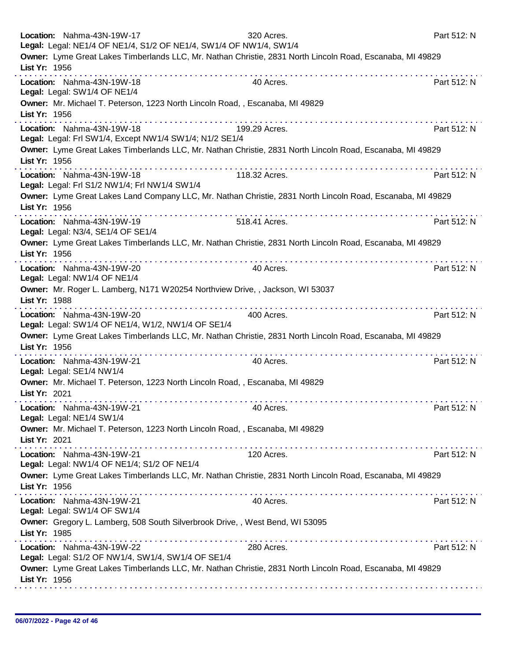|               | Location: Nahma-43N-19W-17<br>Legal: Legal: NE1/4 OF NE1/4, S1/2 OF NE1/4, SW1/4 OF NW1/4, SW1/4 | 320 Acres.                                                                                                 | Part 512: N |
|---------------|--------------------------------------------------------------------------------------------------|------------------------------------------------------------------------------------------------------------|-------------|
| List Yr: 1956 |                                                                                                  | Owner: Lyme Great Lakes Timberlands LLC, Mr. Nathan Christie, 2831 North Lincoln Road, Escanaba, MI 49829  |             |
|               | Location: Nahma-43N-19W-18<br>Legal: Legal: SW1/4 OF NE1/4                                       | .<br>40 Acres.                                                                                             | Part 512: N |
| List Yr: 1956 | Owner: Mr. Michael T. Peterson, 1223 North Lincoln Road, , Escanaba, MI 49829                    |                                                                                                            |             |
|               | Location: Nahma-43N-19W-18<br>Legal: Legal: Frl SW1/4, Except NW1/4 SW1/4; N1/2 SE1/4            | 199.29 Acres.                                                                                              | Part 512: N |
| List Yr: 1956 |                                                                                                  | Owner: Lyme Great Lakes Timberlands LLC, Mr. Nathan Christie, 2831 North Lincoln Road, Escanaba, MI 49829  |             |
|               | Location: Nahma-43N-19W-18<br>Legal: Legal: Frl S1/2 NW1/4; Frl NW1/4 SW1/4                      | 118.32 Acres.                                                                                              | Part 512: N |
| List Yr: 1956 |                                                                                                  | Owner: Lyme Great Lakes Land Company LLC, Mr. Nathan Christie, 2831 North Lincoln Road, Escanaba, MI 49829 |             |
|               | Location: Nahma-43N-19W-19<br>Legal: Legal: N3/4, SE1/4 OF SE1/4                                 | .<br>518.41 Acres.                                                                                         | Part 512: N |
| List Yr: 1956 |                                                                                                  | Owner: Lyme Great Lakes Timberlands LLC, Mr. Nathan Christie, 2831 North Lincoln Road, Escanaba, MI 49829  |             |
|               | Location: Nahma-43N-19W-20<br>Legal: Legal: NW1/4 OF NE1/4                                       | 40 Acres.                                                                                                  | Part 512: N |
| List Yr: 1988 | Owner: Mr. Roger L. Lamberg, N171 W20254 Northview Drive, , Jackson, WI 53037                    |                                                                                                            |             |
|               | Location: Nahma-43N-19W-20<br>Legal: Legal: SW1/4 OF NE1/4, W1/2, NW1/4 OF SE1/4                 | 400 Acres.                                                                                                 | Part 512: N |
| List Yr: 1956 |                                                                                                  | Owner: Lyme Great Lakes Timberlands LLC, Mr. Nathan Christie, 2831 North Lincoln Road, Escanaba, MI 49829  |             |
|               | Location: Nahma-43N-19W-21<br>Legal: Legal: SE1/4 NW1/4                                          | 40 Acres.                                                                                                  | Part 512: N |
| List Yr: 2021 | Owner: Mr. Michael T. Peterson, 1223 North Lincoln Road, , Escanaba, MI 49829                    |                                                                                                            |             |
|               | Location: Nahma-43N-19W-21<br>Legal: Legal: NE1/4 SW1/4                                          | 40 Acres.                                                                                                  | Part 512: N |
| List Yr: 2021 | Owner: Mr. Michael T. Peterson, 1223 North Lincoln Road, , Escanaba, MI 49829                    |                                                                                                            |             |
|               | Location: Nahma-43N-19W-21<br>Legal: Legal: NW1/4 OF NE1/4; S1/2 OF NE1/4                        | 120 Acres.                                                                                                 | Part 512: N |
| List Yr: 1956 |                                                                                                  | Owner: Lyme Great Lakes Timberlands LLC, Mr. Nathan Christie, 2831 North Lincoln Road, Escanaba, MI 49829  |             |
|               | Location: Nahma-43N-19W-21<br>Legal: Legal: SW1/4 OF SW1/4                                       | .<br>40 Acres.                                                                                             | Part 512: N |
| List Yr: 1985 | Owner: Gregory L. Lamberg, 508 South Silverbrook Drive,, West Bend, WI 53095                     |                                                                                                            |             |
|               | Location: Nahma-43N-19W-22<br>Legal: Legal: S1/2 OF NW1/4, SW1/4, SW1/4 OF SE1/4                 | 280 Acres.                                                                                                 | Part 512: N |
| List Yr: 1956 |                                                                                                  | Owner: Lyme Great Lakes Timberlands LLC, Mr. Nathan Christie, 2831 North Lincoln Road, Escanaba, MI 49829  |             |
|               |                                                                                                  |                                                                                                            |             |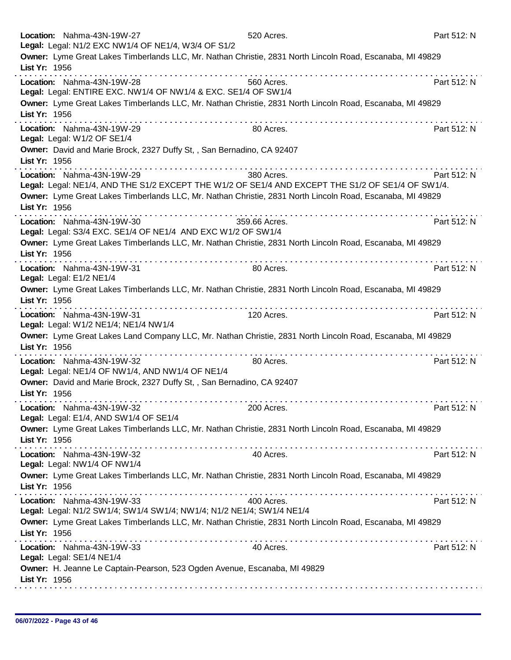| Location: Nahma-43N-19W-27                                                                                                                                       | 520 Acres.    | Part 512: N |
|------------------------------------------------------------------------------------------------------------------------------------------------------------------|---------------|-------------|
| Legal: Legal: N1/2 EXC NW1/4 OF NE1/4, W3/4 OF S1/2<br>Owner: Lyme Great Lakes Timberlands LLC, Mr. Nathan Christie, 2831 North Lincoln Road, Escanaba, MI 49829 |               |             |
| List Yr: 1956                                                                                                                                                    |               |             |
| Location: Nahma-43N-19W-28                                                                                                                                       | 560 Acres.    | Part 512: N |
| Legal: Legal: ENTIRE EXC. NW1/4 OF NW1/4 & EXC. SE1/4 OF SW1/4                                                                                                   |               |             |
| Owner: Lyme Great Lakes Timberlands LLC, Mr. Nathan Christie, 2831 North Lincoln Road, Escanaba, MI 49829                                                        |               |             |
| List Yr: 1956                                                                                                                                                    |               |             |
| Location: Nahma-43N-19W-29<br>Legal: Legal: W1/2 OF SE1/4                                                                                                        | 80 Acres.     | Part 512: N |
| Owner: David and Marie Brock, 2327 Duffy St,, San Bernadino, CA 92407                                                                                            |               |             |
| List Yr: 1956                                                                                                                                                    |               |             |
| Location: Nahma-43N-19W-29<br>Legal: Legal: NE1/4, AND THE S1/2 EXCEPT THE W1/2 OF SE1/4 AND EXCEPT THE S1/2 OF SE1/4 OF SW1/4.                                  | 380 Acres.    | Part 512: N |
| Owner: Lyme Great Lakes Timberlands LLC, Mr. Nathan Christie, 2831 North Lincoln Road, Escanaba, MI 49829<br>List Yr: 1956                                       |               |             |
| Location: Nahma-43N-19W-30<br>Legal: Legal: S3/4 EXC. SE1/4 OF NE1/4 AND EXC W1/2 OF SW1/4                                                                       | 359.66 Acres. | Part 512: N |
| Owner: Lyme Great Lakes Timberlands LLC, Mr. Nathan Christie, 2831 North Lincoln Road, Escanaba, MI 49829<br>List Yr: 1956                                       |               |             |
| Location: Nahma-43N-19W-31<br>Legal: Legal: E1/2 NE1/4                                                                                                           | 80 Acres.     | Part 512: N |
| Owner: Lyme Great Lakes Timberlands LLC, Mr. Nathan Christie, 2831 North Lincoln Road, Escanaba, MI 49829<br>List Yr: 1956                                       |               |             |
| . <b>.</b><br>Location: Nahma-43N-19W-31<br>Legal: Legal: W1/2 NE1/4; NE1/4 NW1/4                                                                                | 120 Acres.    | Part 512: N |
| Owner: Lyme Great Lakes Land Company LLC, Mr. Nathan Christie, 2831 North Lincoln Road, Escanaba, MI 49829<br>List Yr: 1956                                      |               |             |
| Location: Nahma-43N-19W-32<br>Legal: Legal: NE1/4 OF NW1/4, AND NW1/4 OF NE1/4                                                                                   | 80 Acres.     | Part 512: N |
| Owner: David and Marie Brock, 2327 Duffy St,, San Bernadino, CA 92407<br>List Yr: 1956                                                                           |               |             |
| Location: Nahma-43N-19W-32<br>Legal: Legal: E1/4, AND SW1/4 OF SE1/4                                                                                             | 200 Acres.    | Part 512: N |
| Owner: Lyme Great Lakes Timberlands LLC, Mr. Nathan Christie, 2831 North Lincoln Road, Escanaba, MI 49829<br>List Yr: 1956                                       |               |             |
| Location: Nahma-43N-19W-32<br>Legal: Legal: NW1/4 OF NW1/4                                                                                                       | 40 Acres.     | Part 512: N |
| Owner: Lyme Great Lakes Timberlands LLC, Mr. Nathan Christie, 2831 North Lincoln Road, Escanaba, MI 49829<br>List Yr: 1956                                       |               |             |
| Location: Nahma-43N-19W-33<br>Legal: Legal: N1/2 SW1/4; SW1/4 SW1/4; NW1/4; N1/2 NE1/4; SW1/4 NE1/4                                                              | 400 Acres.    | Part 512: N |
| Owner: Lyme Great Lakes Timberlands LLC, Mr. Nathan Christie, 2831 North Lincoln Road, Escanaba, MI 49829<br>List Yr: 1956                                       |               |             |
| Location: Nahma-43N-19W-33<br>Legal: Legal: SE1/4 NE1/4                                                                                                          | 40 Acres.     | Part 512: N |
| Owner: H. Jeanne Le Captain-Pearson, 523 Ogden Avenue, Escanaba, MI 49829<br>List Yr: 1956                                                                       |               |             |
|                                                                                                                                                                  |               |             |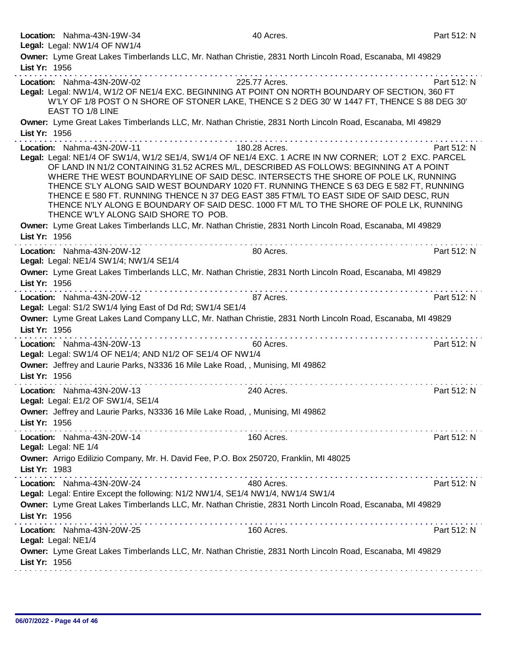| 40 Acres.                                                        | Part 512: N                                                                                                                                                                                                                                                                                                                                                                                                                                                                                                                                                                                                                                                                                                                                                                                                                                                                                                                                                                                                                                                                                                                                                                                                                                                                                                                                                                                                                                                                                                                                                                                                                                                                                                                                                                                                                                                                                                                                                                                                                                                                                       |
|------------------------------------------------------------------|---------------------------------------------------------------------------------------------------------------------------------------------------------------------------------------------------------------------------------------------------------------------------------------------------------------------------------------------------------------------------------------------------------------------------------------------------------------------------------------------------------------------------------------------------------------------------------------------------------------------------------------------------------------------------------------------------------------------------------------------------------------------------------------------------------------------------------------------------------------------------------------------------------------------------------------------------------------------------------------------------------------------------------------------------------------------------------------------------------------------------------------------------------------------------------------------------------------------------------------------------------------------------------------------------------------------------------------------------------------------------------------------------------------------------------------------------------------------------------------------------------------------------------------------------------------------------------------------------------------------------------------------------------------------------------------------------------------------------------------------------------------------------------------------------------------------------------------------------------------------------------------------------------------------------------------------------------------------------------------------------------------------------------------------------------------------------------------------------|
|                                                                  |                                                                                                                                                                                                                                                                                                                                                                                                                                                                                                                                                                                                                                                                                                                                                                                                                                                                                                                                                                                                                                                                                                                                                                                                                                                                                                                                                                                                                                                                                                                                                                                                                                                                                                                                                                                                                                                                                                                                                                                                                                                                                                   |
|                                                                  | Part 512: N                                                                                                                                                                                                                                                                                                                                                                                                                                                                                                                                                                                                                                                                                                                                                                                                                                                                                                                                                                                                                                                                                                                                                                                                                                                                                                                                                                                                                                                                                                                                                                                                                                                                                                                                                                                                                                                                                                                                                                                                                                                                                       |
|                                                                  |                                                                                                                                                                                                                                                                                                                                                                                                                                                                                                                                                                                                                                                                                                                                                                                                                                                                                                                                                                                                                                                                                                                                                                                                                                                                                                                                                                                                                                                                                                                                                                                                                                                                                                                                                                                                                                                                                                                                                                                                                                                                                                   |
|                                                                  | Part 512: N                                                                                                                                                                                                                                                                                                                                                                                                                                                                                                                                                                                                                                                                                                                                                                                                                                                                                                                                                                                                                                                                                                                                                                                                                                                                                                                                                                                                                                                                                                                                                                                                                                                                                                                                                                                                                                                                                                                                                                                                                                                                                       |
|                                                                  |                                                                                                                                                                                                                                                                                                                                                                                                                                                                                                                                                                                                                                                                                                                                                                                                                                                                                                                                                                                                                                                                                                                                                                                                                                                                                                                                                                                                                                                                                                                                                                                                                                                                                                                                                                                                                                                                                                                                                                                                                                                                                                   |
| 80 Acres.                                                        | Part 512: N                                                                                                                                                                                                                                                                                                                                                                                                                                                                                                                                                                                                                                                                                                                                                                                                                                                                                                                                                                                                                                                                                                                                                                                                                                                                                                                                                                                                                                                                                                                                                                                                                                                                                                                                                                                                                                                                                                                                                                                                                                                                                       |
|                                                                  |                                                                                                                                                                                                                                                                                                                                                                                                                                                                                                                                                                                                                                                                                                                                                                                                                                                                                                                                                                                                                                                                                                                                                                                                                                                                                                                                                                                                                                                                                                                                                                                                                                                                                                                                                                                                                                                                                                                                                                                                                                                                                                   |
| 87 Acres.                                                        | Part 512: N                                                                                                                                                                                                                                                                                                                                                                                                                                                                                                                                                                                                                                                                                                                                                                                                                                                                                                                                                                                                                                                                                                                                                                                                                                                                                                                                                                                                                                                                                                                                                                                                                                                                                                                                                                                                                                                                                                                                                                                                                                                                                       |
| 60 Acres.                                                        | Part 512: N                                                                                                                                                                                                                                                                                                                                                                                                                                                                                                                                                                                                                                                                                                                                                                                                                                                                                                                                                                                                                                                                                                                                                                                                                                                                                                                                                                                                                                                                                                                                                                                                                                                                                                                                                                                                                                                                                                                                                                                                                                                                                       |
| 240 Acres.                                                       | Part 512: N                                                                                                                                                                                                                                                                                                                                                                                                                                                                                                                                                                                                                                                                                                                                                                                                                                                                                                                                                                                                                                                                                                                                                                                                                                                                                                                                                                                                                                                                                                                                                                                                                                                                                                                                                                                                                                                                                                                                                                                                                                                                                       |
|                                                                  | Part 512: N                                                                                                                                                                                                                                                                                                                                                                                                                                                                                                                                                                                                                                                                                                                                                                                                                                                                                                                                                                                                                                                                                                                                                                                                                                                                                                                                                                                                                                                                                                                                                                                                                                                                                                                                                                                                                                                                                                                                                                                                                                                                                       |
|                                                                  |                                                                                                                                                                                                                                                                                                                                                                                                                                                                                                                                                                                                                                                                                                                                                                                                                                                                                                                                                                                                                                                                                                                                                                                                                                                                                                                                                                                                                                                                                                                                                                                                                                                                                                                                                                                                                                                                                                                                                                                                                                                                                                   |
| 480 Acres.                                                       | Part 512: N                                                                                                                                                                                                                                                                                                                                                                                                                                                                                                                                                                                                                                                                                                                                                                                                                                                                                                                                                                                                                                                                                                                                                                                                                                                                                                                                                                                                                                                                                                                                                                                                                                                                                                                                                                                                                                                                                                                                                                                                                                                                                       |
| the second complete service in the second complete<br>160 Acres. | Part 512: N                                                                                                                                                                                                                                                                                                                                                                                                                                                                                                                                                                                                                                                                                                                                                                                                                                                                                                                                                                                                                                                                                                                                                                                                                                                                                                                                                                                                                                                                                                                                                                                                                                                                                                                                                                                                                                                                                                                                                                                                                                                                                       |
|                                                                  |                                                                                                                                                                                                                                                                                                                                                                                                                                                                                                                                                                                                                                                                                                                                                                                                                                                                                                                                                                                                                                                                                                                                                                                                                                                                                                                                                                                                                                                                                                                                                                                                                                                                                                                                                                                                                                                                                                                                                                                                                                                                                                   |
|                                                                  | Owner: Lyme Great Lakes Timberlands LLC, Mr. Nathan Christie, 2831 North Lincoln Road, Escanaba, MI 49829<br>225.77 Acres.<br>Legal: Legal: NW1/4, W1/2 OF NE1/4 EXC. BEGINNING AT POINT ON NORTH BOUNDARY OF SECTION, 360 FT<br>W'LY OF 1/8 POST O N SHORE OF STONER LAKE, THENCE S 2 DEG 30' W 1447 FT, THENCE S 88 DEG 30'<br>Owner: Lyme Great Lakes Timberlands LLC, Mr. Nathan Christie, 2831 North Lincoln Road, Escanaba, MI 49829<br>180.28 Acres.<br>Legal: Legal: NE1/4 OF SW1/4, W1/2 SE1/4, SW1/4 OF NE1/4 EXC. 1 ACRE IN NW CORNER; LOT 2 EXC. PARCEL<br>OF LAND IN N1/2 CONTAINING 31.52 ACRES M/L, DESCRIBED AS FOLLOWS: BEGINNING AT A POINT<br>WHERE THE WEST BOUNDARYLINE OF SAID DESC. INTERSECTS THE SHORE OF POLE LK, RUNNING<br>THENCE S'LY ALONG SAID WEST BOUNDARY 1020 FT. RUNNING THENCE S 63 DEG E 582 FT, RUNNING<br>THENCE E 580 FT. RUNNING THENCE N 37 DEG EAST 385 FTM/L TO EAST SIDE OF SAID DESC, RUN<br>THENCE N'LY ALONG E BOUNDARY OF SAID DESC. 1000 FT M/L TO THE SHORE OF POLE LK, RUNNING<br>Owner: Lyme Great Lakes Timberlands LLC, Mr. Nathan Christie, 2831 North Lincoln Road, Escanaba, MI 49829<br>.<br>Owner: Lyme Great Lakes Timberlands LLC, Mr. Nathan Christie, 2831 North Lincoln Road, Escanaba, MI 49829<br>Legal: Legal: S1/2 SW1/4 lying East of Dd Rd; SW1/4 SE1/4<br>Owner: Lyme Great Lakes Land Company LLC, Mr. Nathan Christie, 2831 North Lincoln Road, Escanaba, MI 49829<br>Legal: Legal: SW1/4 OF NE1/4; AND N1/2 OF SE1/4 OF NW1/4<br>Owner: Jeffrey and Laurie Parks, N3336 16 Mile Lake Road, , Munising, MI 49862<br>Owner: Jeffrey and Laurie Parks, N3336 16 Mile Lake Road, , Munising, MI 49862<br>160 Acres.<br>Owner: Arrigo Edilizio Company, Mr. H. David Fee, P.O. Box 250720, Franklin, MI 48025<br>Legal: Legal: Entire Except the following: N1/2 NW1/4, SE1/4 NW1/4, NW1/4 SW1/4<br>Owner: Lyme Great Lakes Timberlands LLC, Mr. Nathan Christie, 2831 North Lincoln Road, Escanaba, MI 49829<br>Owner: Lyme Great Lakes Timberlands LLC, Mr. Nathan Christie, 2831 North Lincoln Road, Escanaba, MI 49829 |